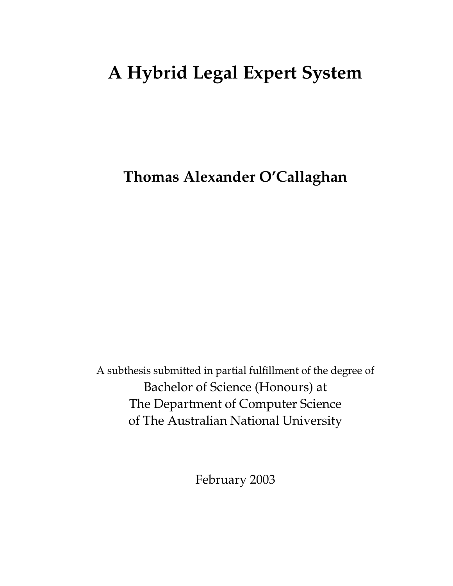# **A Hybrid Legal Expert System**

**Thomas Alexander O'Callaghan**

A subthesis submitted in partial fulfillment of the degree of Bachelor of Science (Honours) at The Department of Computer Science of The Australian National University

February 2003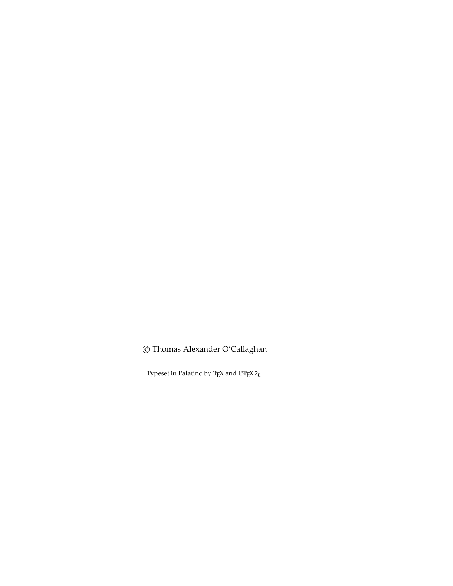© Thomas Alexander O'Callaghan

Typeset in Palatino by TEX and  $LATEX2\varepsilon$ .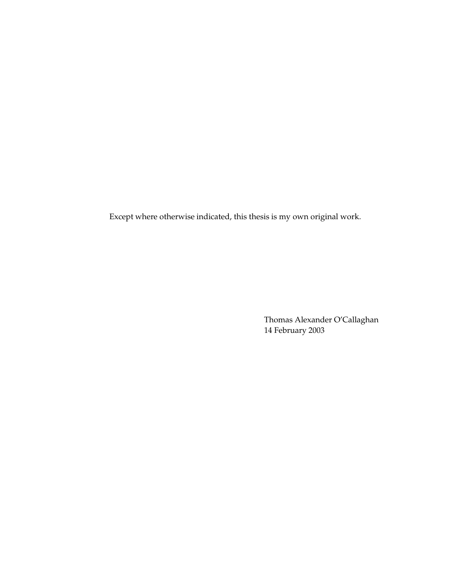Except where otherwise indicated, this thesis is my own original work.

Thomas Alexander O'Callaghan 14 February 2003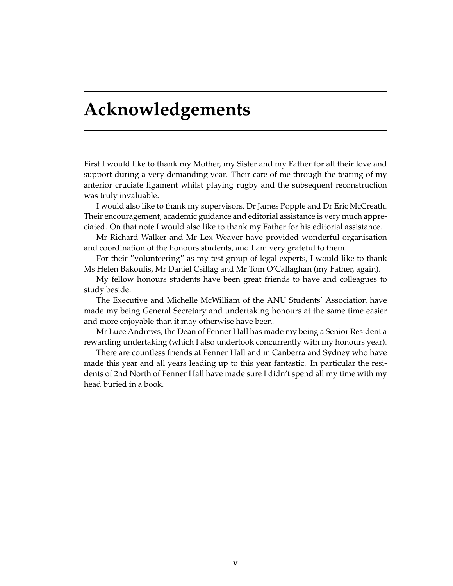## **Acknowledgements**

First I would like to thank my Mother, my Sister and my Father for all their love and support during a very demanding year. Their care of me through the tearing of my anterior cruciate ligament whilst playing rugby and the subsequent reconstruction was truly invaluable.

I would also like to thank my supervisors, Dr James Popple and Dr Eric McCreath. Their encouragement, academic guidance and editorial assistance is very much appreciated. On that note I would also like to thank my Father for his editorial assistance.

Mr Richard Walker and Mr Lex Weaver have provided wonderful organisation and coordination of the honours students, and I am very grateful to them.

For their "volunteering" as my test group of legal experts, I would like to thank Ms Helen Bakoulis, Mr Daniel Csillag and Mr Tom O'Callaghan (my Father, again).

My fellow honours students have been great friends to have and colleagues to study beside.

The Executive and Michelle McWilliam of the ANU Students' Association have made my being General Secretary and undertaking honours at the same time easier and more enjoyable than it may otherwise have been.

Mr Luce Andrews, the Dean of Fenner Hall has made my being a Senior Resident a rewarding undertaking (which I also undertook concurrently with my honours year).

There are countless friends at Fenner Hall and in Canberra and Sydney who have made this year and all years leading up to this year fantastic. In particular the residents of 2nd North of Fenner Hall have made sure I didn't spend all my time with my head buried in a book.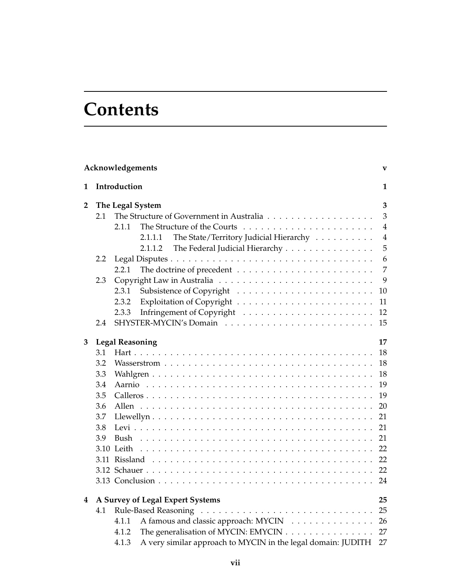## **Contents**

|                |              | Acknowledgements                                                      |  | $\mathbf{V}$   |  |  |  |
|----------------|--------------|-----------------------------------------------------------------------|--|----------------|--|--|--|
| 1              | Introduction |                                                                       |  |                |  |  |  |
| $\overline{2}$ |              | The Legal System                                                      |  |                |  |  |  |
|                | 2.1          |                                                                       |  | $\overline{3}$ |  |  |  |
|                |              | 2.1.1                                                                 |  | $\overline{4}$ |  |  |  |
|                |              | The State/Territory Judicial Hierarchy<br>2.1.1.1                     |  | $\overline{4}$ |  |  |  |
|                |              | The Federal Judicial Hierarchy<br>2.1.1.2                             |  | 5              |  |  |  |
|                | 2.2          |                                                                       |  | 6              |  |  |  |
|                |              | 2.2.1                                                                 |  | 7              |  |  |  |
|                | 2.3          |                                                                       |  | 9              |  |  |  |
|                |              | 2.3.1                                                                 |  | 10             |  |  |  |
|                |              | 2.3.2                                                                 |  | 11             |  |  |  |
|                |              | 2.3.3                                                                 |  | 12             |  |  |  |
|                | 2.4          |                                                                       |  | 15             |  |  |  |
| 3              |              | <b>Legal Reasoning</b>                                                |  | 17             |  |  |  |
|                | 3.1          |                                                                       |  | 18             |  |  |  |
|                | 3.2          |                                                                       |  | 18             |  |  |  |
|                | 3.3          |                                                                       |  | 18             |  |  |  |
|                | 3.4          |                                                                       |  | 19             |  |  |  |
|                | 3.5          |                                                                       |  | 19             |  |  |  |
|                | 3.6          |                                                                       |  | 20             |  |  |  |
|                | 3.7          |                                                                       |  | 21             |  |  |  |
|                | 3.8          |                                                                       |  | 21             |  |  |  |
|                | 3.9          |                                                                       |  | 21             |  |  |  |
|                |              |                                                                       |  | 22             |  |  |  |
|                |              |                                                                       |  | 22             |  |  |  |
|                |              |                                                                       |  | 22             |  |  |  |
|                |              |                                                                       |  | 24             |  |  |  |
| 4              |              | A Survey of Legal Expert Systems                                      |  | 25             |  |  |  |
|                | 4.1          |                                                                       |  | 25             |  |  |  |
|                |              | A famous and classic approach: MYCIN<br>4.1.1                         |  | 26             |  |  |  |
|                |              | The generalisation of MYCIN: EMYCIN<br>4.1.2                          |  | 27             |  |  |  |
|                |              | A very similar approach to MYCIN in the legal domain: JUDITH<br>4.1.3 |  | 27             |  |  |  |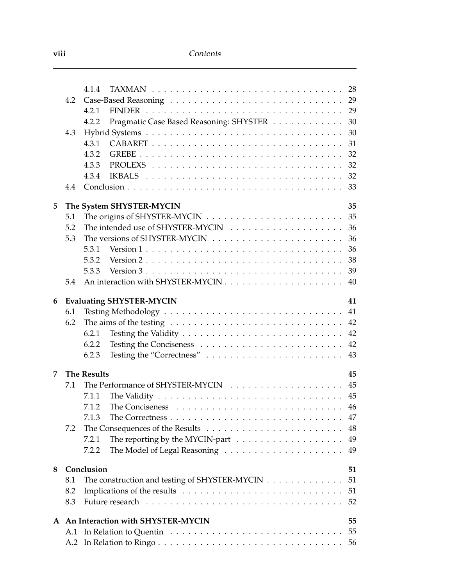|   |     | 4.1.4                                                                                                  |
|---|-----|--------------------------------------------------------------------------------------------------------|
|   | 4.2 |                                                                                                        |
|   |     | 29<br>4.2.1                                                                                            |
|   |     | Pragmatic Case Based Reasoning: SHYSTER<br>30<br>4.2.2                                                 |
|   | 4.3 | 30                                                                                                     |
|   |     | 4.3.1<br>31                                                                                            |
|   |     | 32<br>4.3.2                                                                                            |
|   |     | 4.3.3<br>32                                                                                            |
|   |     | 32<br>4.3.4                                                                                            |
|   | 4.4 | 33                                                                                                     |
| 5 |     | 35<br>The System SHYSTER-MYCIN                                                                         |
|   | 5.1 | 35                                                                                                     |
|   | 5.2 | 36                                                                                                     |
|   | 5.3 | 36                                                                                                     |
|   |     | 36<br>5.3.1                                                                                            |
|   |     | Version $2 \ldots \ldots \ldots \ldots \ldots \ldots \ldots \ldots \ldots \ldots$<br>38<br>5.3.2       |
|   |     | Version $3 \ldots \ldots \ldots \ldots \ldots \ldots \ldots \ldots \ldots \ldots$<br>39<br>5.3.3       |
|   | 5.4 | 40                                                                                                     |
| 6 |     | <b>Evaluating SHYSTER-MYCIN</b><br>41                                                                  |
|   | 6.1 | 41                                                                                                     |
|   | 6.2 | 42<br>The aims of the testing $\ldots \ldots \ldots \ldots \ldots \ldots \ldots \ldots \ldots \ldots$  |
|   |     | 42<br>6.2.1                                                                                            |
|   |     | 42<br>6.2.2                                                                                            |
|   |     | Testing the "Correctness"<br>43<br>6.2.3                                                               |
| 7 |     | <b>The Results</b><br>45                                                                               |
|   | 7.1 | 45                                                                                                     |
|   |     | 45<br>7.1.1                                                                                            |
|   |     | 7.1.2                                                                                                  |
|   |     | 7.1.3<br>The Correctness $\ldots \ldots \ldots \ldots \ldots \ldots \ldots \ldots \ldots \ldots$<br>47 |
|   | 7.2 | 48                                                                                                     |
|   |     | 49<br>7.2.1                                                                                            |
|   |     | 49<br>7.2.2                                                                                            |
| 8 |     | Conclusion<br>51                                                                                       |
|   | 8.1 | The construction and testing of SHYSTER-MYCIN<br>51                                                    |
|   | 8.2 | 51                                                                                                     |
|   | 8.3 | 52                                                                                                     |
|   |     | A An Interaction with SHYSTER-MYCIN<br>55                                                              |
|   |     | 55                                                                                                     |
|   |     | 56                                                                                                     |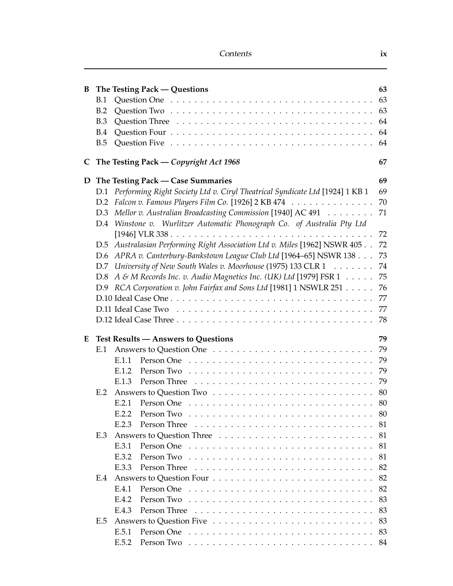| B |            |       | The Testing Pack — Questions                                                                         | 63 |
|---|------------|-------|------------------------------------------------------------------------------------------------------|----|
|   | B.1        |       |                                                                                                      | 63 |
|   | B.2        |       |                                                                                                      |    |
|   | B.3        |       |                                                                                                      |    |
|   | <b>B.4</b> |       |                                                                                                      |    |
|   | B.5        |       |                                                                                                      | 64 |
|   |            |       | C The Testing Pack — Copyright Act 1968                                                              | 67 |
|   |            |       | D The Testing Pack — Case Summaries                                                                  | 69 |
|   |            |       | D.1 Performing Right Society Ltd v. Ciryl Theatrical Syndicate Ltd [1924] 1 KB 1                     | 69 |
|   |            |       | D.2 Falcon v. Famous Players Film Co. [1926] 2 KB 474                                                | 70 |
|   | D.3        |       | Mellor v. Australian Broadcasting Commission [1940] AC 491                                           | 71 |
|   |            |       | D.4 Winstone v. Wurlitzer Automatic Phonograph Co. of Australia Pty Ltd                              |    |
|   |            |       |                                                                                                      | 72 |
|   |            |       | D.5 Australasian Performing Right Association Ltd v. Miles [1962] NSWR 405                           | 72 |
|   | D.6        |       | APRA v. Canterbury-Bankstown League Club Ltd [1964–65] NSWR 138                                      | 73 |
|   |            |       | D.7 University of New South Wales v. Moorhouse (1975) 133 CLR 1                                      | 74 |
|   |            |       | D.8 A & M Records Inc. v. Audio Magnetics Inc. (UK) Ltd [1979] FSR 1                                 | 75 |
|   |            |       | D.9 RCA Corporation v. John Fairfax and Sons Ltd [1981] 1 NSWLR 251                                  | 76 |
|   |            |       |                                                                                                      | 77 |
|   |            |       |                                                                                                      | 77 |
|   |            |       |                                                                                                      | 78 |
| E |            |       | <b>Test Results - Answers to Questions</b>                                                           | 79 |
|   | E.1        |       |                                                                                                      |    |
|   |            | E.1.1 |                                                                                                      | 79 |
|   |            | E.1.2 |                                                                                                      | 79 |
|   |            | E.1.3 |                                                                                                      | 79 |
|   | E.2        |       |                                                                                                      |    |
|   |            | E.2.1 |                                                                                                      |    |
|   |            |       |                                                                                                      | 80 |
|   |            | E.2.3 |                                                                                                      |    |
|   | E.3        |       |                                                                                                      |    |
|   |            | E.3.1 |                                                                                                      | 81 |
|   |            | E.3.2 |                                                                                                      | 81 |
|   |            | E.3.3 |                                                                                                      | 82 |
|   | E.4        |       |                                                                                                      | 82 |
|   |            | E.4.1 |                                                                                                      | 82 |
|   |            | E.4.2 |                                                                                                      | 83 |
|   |            | E.4.3 |                                                                                                      | 83 |
|   | E.5        |       |                                                                                                      | 83 |
|   |            | E.5.1 | Person One received a series of the contract of the contract of the Person Contract of the Person Co | 83 |
|   |            |       |                                                                                                      |    |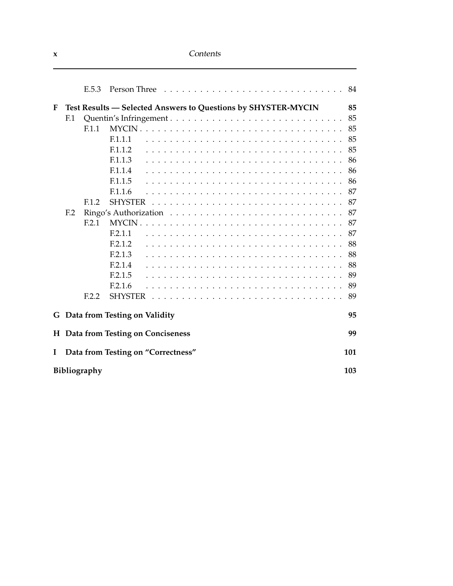|   |                 | E.5.3               |                                                                                        | 84  |
|---|-----------------|---------------------|----------------------------------------------------------------------------------------|-----|
| F |                 |                     | Test Results - Selected Answers to Questions by SHYSTER-MYCIN                          | 85  |
|   | F.1             |                     |                                                                                        | 85  |
|   |                 | F <sub>1.1</sub>    |                                                                                        | 85  |
|   |                 |                     | F.1.1.1                                                                                | 85  |
|   |                 |                     | F.1.1.2                                                                                | 85  |
|   |                 |                     | F.1.1.3                                                                                | 86  |
|   |                 |                     | F.1.1.4                                                                                | 86  |
|   |                 |                     | F.1.1.5                                                                                | 86  |
|   |                 |                     | F.1.1.6                                                                                | 87  |
|   |                 | F <sub>1.2</sub>    | <b>SHYSTER</b>                                                                         | 87  |
|   | F <sub>12</sub> |                     | Ringo's Authorization $\ldots \ldots \ldots \ldots \ldots \ldots \ldots \ldots \ldots$ | 87  |
|   |                 | F.2.1               |                                                                                        | 87  |
|   |                 |                     | F.2.1.1                                                                                | 87  |
|   |                 |                     | F.2.1.2                                                                                | 88  |
|   |                 |                     | F.2.1.3                                                                                | 88  |
|   |                 |                     | F.2.1.4                                                                                | 88  |
|   |                 |                     | F.2.1.5                                                                                | 89  |
|   |                 |                     |                                                                                        |     |
|   |                 |                     | F.2.1.6                                                                                | 89  |
|   |                 | F.2.2               | <b>SHYSTER</b>                                                                         | 89  |
|   |                 |                     | G Data from Testing on Validity                                                        | 95  |
|   |                 |                     | H Data from Testing on Conciseness                                                     | 99  |
| I |                 |                     | Data from Testing on "Correctness"                                                     | 101 |
|   |                 | <b>Bibliography</b> |                                                                                        | 103 |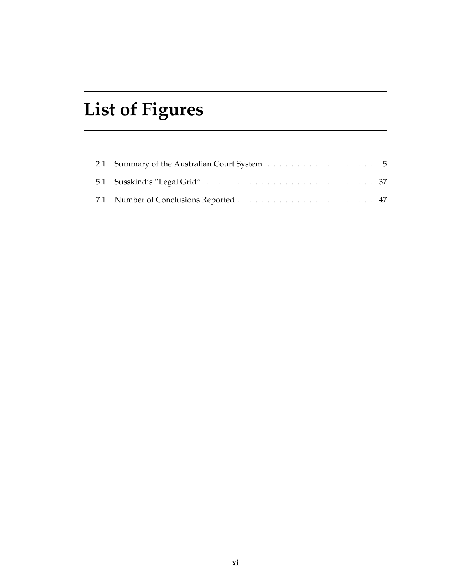# **List of Figures**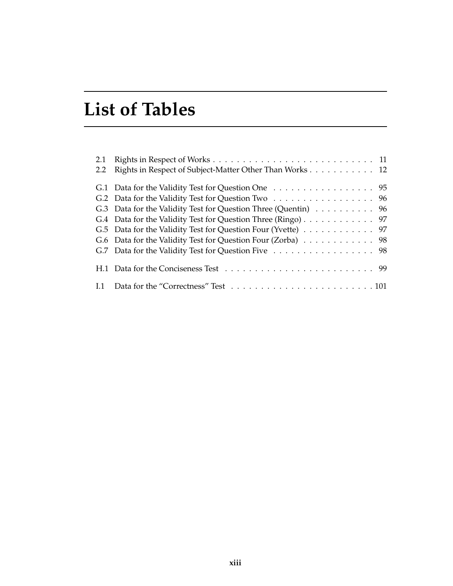# **List of Tables**

| 2.1<br>2.2 | Rights in Respect of Subject-Matter Other Than Works 12        |  |
|------------|----------------------------------------------------------------|--|
|            | G.1 Data for the Validity Test for Question One 95             |  |
|            | G.2 Data for the Validity Test for Question Two 96             |  |
|            | G.3 Data for the Validity Test for Question Three (Quentin) 96 |  |
|            | G.4 Data for the Validity Test for Question Three (Ringo) 97   |  |
|            | G.5 Data for the Validity Test for Question Four (Yvette) 97   |  |
|            | G.6 Data for the Validity Test for Question Four (Zorba) 98    |  |
|            | G.7 Data for the Validity Test for Question Five 98            |  |
|            |                                                                |  |
|            |                                                                |  |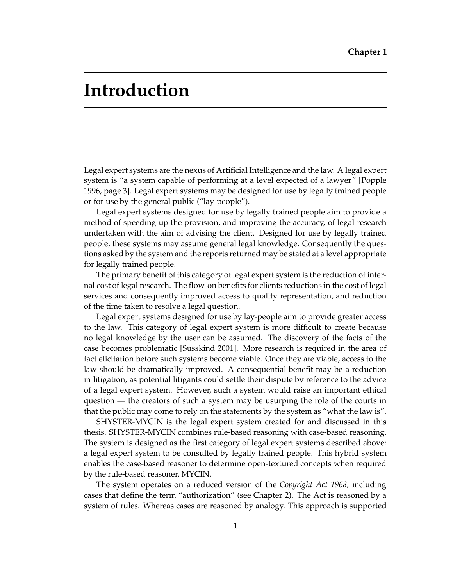## **Introduction**

Legal expert systems are the nexus of Artificial Intelligence and the law. A legal expert system is "a system capable of performing at a level expected of a lawyer" [Popple 1996, page 3]. Legal expert systems may be designed for use by legally trained people or for use by the general public ("lay-people").

Legal expert systems designed for use by legally trained people aim to provide a method of speeding-up the provision, and improving the accuracy, of legal research undertaken with the aim of advising the client. Designed for use by legally trained people, these systems may assume general legal knowledge. Consequently the questions asked by the system and the reports returned may be stated at a level appropriate for legally trained people.

The primary benefit of this category of legal expert system is the reduction of internal cost of legal research. The flow-on benefits for clients reductions in the cost of legal services and consequently improved access to quality representation, and reduction of the time taken to resolve a legal question.

Legal expert systems designed for use by lay-people aim to provide greater access to the law. This category of legal expert system is more difficult to create because no legal knowledge by the user can be assumed. The discovery of the facts of the case becomes problematic [Susskind 2001]. More research is required in the area of fact elicitation before such systems become viable. Once they are viable, access to the law should be dramatically improved. A consequential benefit may be a reduction in litigation, as potential litigants could settle their dispute by reference to the advice of a legal expert system. However, such a system would raise an important ethical question — the creators of such a system may be usurping the role of the courts in that the public may come to rely on the statements by the system as "what the law is".

SHYSTER-MYCIN is the legal expert system created for and discussed in this thesis. SHYSTER-MYCIN combines rule-based reasoning with case-based reasoning. The system is designed as the first category of legal expert systems described above: a legal expert system to be consulted by legally trained people. This hybrid system enables the case-based reasoner to determine open-textured concepts when required by the rule-based reasoner, MYCIN.

The system operates on a reduced version of the *Copyright Act 1968*, including cases that define the term "authorization" (see Chapter 2). The Act is reasoned by a system of rules. Whereas cases are reasoned by analogy. This approach is supported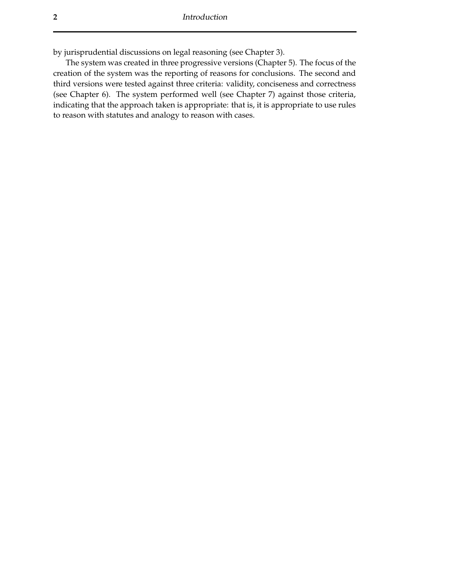by jurisprudential discussions on legal reasoning (see Chapter 3).

The system was created in three progressive versions (Chapter 5). The focus of the creation of the system was the reporting of reasons for conclusions. The second and third versions were tested against three criteria: validity, conciseness and correctness (see Chapter 6). The system performed well (see Chapter 7) against those criteria, indicating that the approach taken is appropriate: that is, it is appropriate to use rules to reason with statutes and analogy to reason with cases.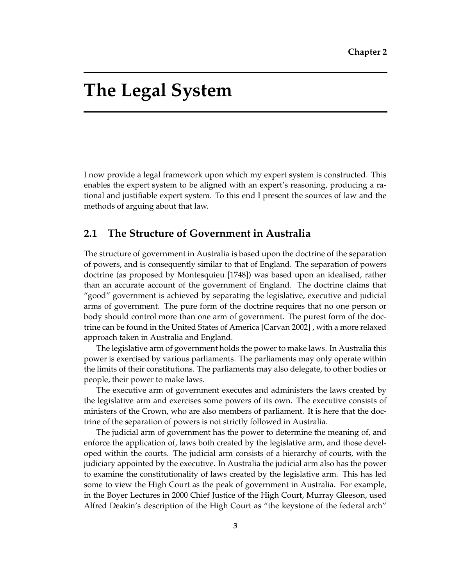## **The Legal System**

I now provide a legal framework upon which my expert system is constructed. This enables the expert system to be aligned with an expert's reasoning, producing a rational and justifiable expert system. To this end I present the sources of law and the methods of arguing about that law.

### **2.1 The Structure of Government in Australia**

The structure of government in Australia is based upon the doctrine of the separation of powers, and is consequently similar to that of England. The separation of powers doctrine (as proposed by Montesquieu [1748]) was based upon an idealised, rather than an accurate account of the government of England. The doctrine claims that "good" government is achieved by separating the legislative, executive and judicial arms of government. The pure form of the doctrine requires that no one person or body should control more than one arm of government. The purest form of the doctrine can be found in the United States of America [Carvan 2002] , with a more relaxed approach taken in Australia and England.

The legislative arm of government holds the power to make laws. In Australia this power is exercised by various parliaments. The parliaments may only operate within the limits of their constitutions. The parliaments may also delegate, to other bodies or people, their power to make laws.

The executive arm of government executes and administers the laws created by the legislative arm and exercises some powers of its own. The executive consists of ministers of the Crown, who are also members of parliament. It is here that the doctrine of the separation of powers is not strictly followed in Australia.

The judicial arm of government has the power to determine the meaning of, and enforce the application of, laws both created by the legislative arm, and those developed within the courts. The judicial arm consists of a hierarchy of courts, with the judiciary appointed by the executive. In Australia the judicial arm also has the power to examine the constitutionality of laws created by the legislative arm. This has led some to view the High Court as the peak of government in Australia. For example, in the Boyer Lectures in 2000 Chief Justice of the High Court, Murray Gleeson, used Alfred Deakin's description of the High Court as "the keystone of the federal arch"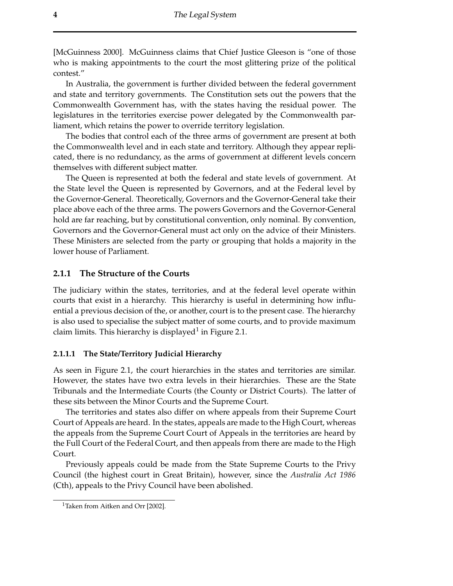[McGuinness 2000]. McGuinness claims that Chief Justice Gleeson is "one of those who is making appointments to the court the most glittering prize of the political contest."

In Australia, the government is further divided between the federal government and state and territory governments. The Constitution sets out the powers that the Commonwealth Government has, with the states having the residual power. The legislatures in the territories exercise power delegated by the Commonwealth parliament, which retains the power to override territory legislation.

The bodies that control each of the three arms of government are present at both the Commonwealth level and in each state and territory. Although they appear replicated, there is no redundancy, as the arms of government at different levels concern themselves with different subject matter.

The Queen is represented at both the federal and state levels of government. At the State level the Queen is represented by Governors, and at the Federal level by the Governor-General. Theoretically, Governors and the Governor-General take their place above each of the three arms. The powers Governors and the Governor-General hold are far reaching, but by constitutional convention, only nominal. By convention, Governors and the Governor-General must act only on the advice of their Ministers. These Ministers are selected from the party or grouping that holds a majority in the lower house of Parliament.

#### **2.1.1 The Structure of the Courts**

The judiciary within the states, territories, and at the federal level operate within courts that exist in a hierarchy. This hierarchy is useful in determining how influential a previous decision of the, or another, court is to the present case. The hierarchy is also used to specialise the subject matter of some courts, and to provide maximum claim limits. This hierarchy is displayed<sup>1</sup> in Figure 2.1.

#### **2.1.1.1 The State/Territory Judicial Hierarchy**

As seen in Figure 2.1, the court hierarchies in the states and territories are similar. However, the states have two extra levels in their hierarchies. These are the State Tribunals and the Intermediate Courts (the County or District Courts). The latter of these sits between the Minor Courts and the Supreme Court.

The territories and states also differ on where appeals from their Supreme Court Court of Appeals are heard. In the states, appeals are made to the High Court, whereas the appeals from the Supreme Court Court of Appeals in the territories are heard by the Full Court of the Federal Court, and then appeals from there are made to the High Court.

Previously appeals could be made from the State Supreme Courts to the Privy Council (the highest court in Great Britain), however, since the *Australia Act 1986* (Cth), appeals to the Privy Council have been abolished.

<sup>&</sup>lt;sup>1</sup>Taken from Aitken and Orr [2002].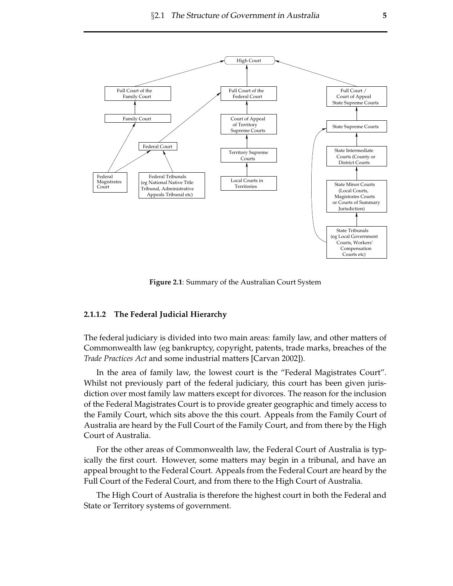

**Figure 2.1**: Summary of the Australian Court System

#### **2.1.1.2 The Federal Judicial Hierarchy**

The federal judiciary is divided into two main areas: family law, and other matters of Commonwealth law (eg bankruptcy, copyright, patents, trade marks, breaches of the *Trade Practices Act* and some industrial matters [Carvan 2002]).

In the area of family law, the lowest court is the "Federal Magistrates Court". Whilst not previously part of the federal judiciary, this court has been given jurisdiction over most family law matters except for divorces. The reason for the inclusion of the Federal Magistrates Court is to provide greater geographic and timely access to the Family Court, which sits above the this court. Appeals from the Family Court of Australia are heard by the Full Court of the Family Court, and from there by the High Court of Australia.

For the other areas of Commonwealth law, the Federal Court of Australia is typically the first court. However, some matters may begin in a tribunal, and have an appeal brought to the Federal Court. Appeals from the Federal Court are heard by the Full Court of the Federal Court, and from there to the High Court of Australia.

The High Court of Australia is therefore the highest court in both the Federal and State or Territory systems of government.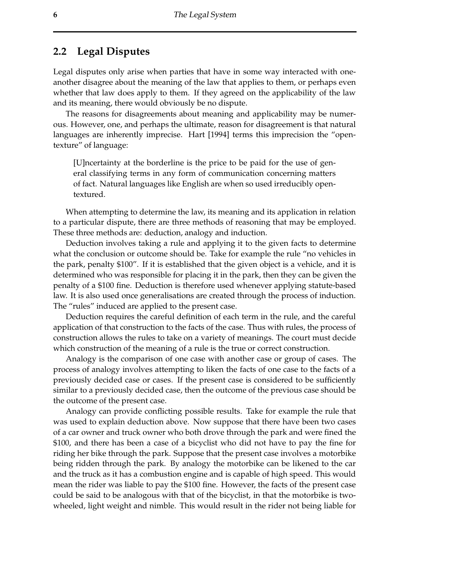### **2.2 Legal Disputes**

Legal disputes only arise when parties that have in some way interacted with oneanother disagree about the meaning of the law that applies to them, or perhaps even whether that law does apply to them. If they agreed on the applicability of the law and its meaning, there would obviously be no dispute.

The reasons for disagreements about meaning and applicability may be numerous. However, one, and perhaps the ultimate, reason for disagreement is that natural languages are inherently imprecise. Hart [1994] terms this imprecision the "opentexture" of language:

[U]ncertainty at the borderline is the price to be paid for the use of general classifying terms in any form of communication concerning matters of fact. Natural languages like English are when so used irreducibly opentextured.

When attempting to determine the law, its meaning and its application in relation to a particular dispute, there are three methods of reasoning that may be employed. These three methods are: deduction, analogy and induction.

Deduction involves taking a rule and applying it to the given facts to determine what the conclusion or outcome should be. Take for example the rule "no vehicles in the park, penalty \$100". If it is established that the given object is a vehicle, and it is determined who was responsible for placing it in the park, then they can be given the penalty of a \$100 fine. Deduction is therefore used whenever applying statute-based law. It is also used once generalisations are created through the process of induction. The "rules" induced are applied to the present case.

Deduction requires the careful definition of each term in the rule, and the careful application of that construction to the facts of the case. Thus with rules, the process of construction allows the rules to take on a variety of meanings. The court must decide which construction of the meaning of a rule is the true or correct construction.

Analogy is the comparison of one case with another case or group of cases. The process of analogy involves attempting to liken the facts of one case to the facts of a previously decided case or cases. If the present case is considered to be sufficiently similar to a previously decided case, then the outcome of the previous case should be the outcome of the present case.

Analogy can provide conflicting possible results. Take for example the rule that was used to explain deduction above. Now suppose that there have been two cases of a car owner and truck owner who both drove through the park and were fined the \$100, and there has been a case of a bicyclist who did not have to pay the fine for riding her bike through the park. Suppose that the present case involves a motorbike being ridden through the park. By analogy the motorbike can be likened to the car and the truck as it has a combustion engine and is capable of high speed. This would mean the rider was liable to pay the \$100 fine. However, the facts of the present case could be said to be analogous with that of the bicyclist, in that the motorbike is twowheeled, light weight and nimble. This would result in the rider not being liable for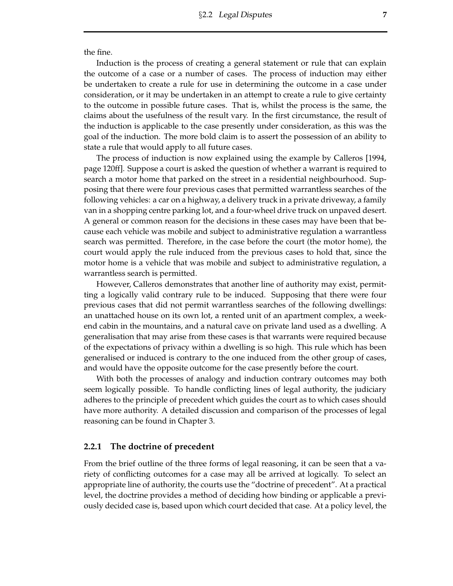the fine.

Induction is the process of creating a general statement or rule that can explain the outcome of a case or a number of cases. The process of induction may either be undertaken to create a rule for use in determining the outcome in a case under consideration, or it may be undertaken in an attempt to create a rule to give certainty to the outcome in possible future cases. That is, whilst the process is the same, the claims about the usefulness of the result vary. In the first circumstance, the result of the induction is applicable to the case presently under consideration, as this was the goal of the induction. The more bold claim is to assert the possession of an ability to state a rule that would apply to all future cases.

The process of induction is now explained using the example by Calleros [1994, page 120ff]. Suppose a court is asked the question of whether a warrant is required to search a motor home that parked on the street in a residential neighbourhood. Supposing that there were four previous cases that permitted warrantless searches of the following vehicles: a car on a highway, a delivery truck in a private driveway, a family van in a shopping centre parking lot, and a four-wheel drive truck on unpaved desert. A general or common reason for the decisions in these cases may have been that because each vehicle was mobile and subject to administrative regulation a warrantless search was permitted. Therefore, in the case before the court (the motor home), the court would apply the rule induced from the previous cases to hold that, since the motor home is a vehicle that was mobile and subject to administrative regulation, a warrantless search is permitted.

However, Calleros demonstrates that another line of authority may exist, permitting a logically valid contrary rule to be induced. Supposing that there were four previous cases that did not permit warrantless searches of the following dwellings: an unattached house on its own lot, a rented unit of an apartment complex, a weekend cabin in the mountains, and a natural cave on private land used as a dwelling. A generalisation that may arise from these cases is that warrants were required because of the expectations of privacy within a dwelling is so high. This rule which has been generalised or induced is contrary to the one induced from the other group of cases, and would have the opposite outcome for the case presently before the court.

With both the processes of analogy and induction contrary outcomes may both seem logically possible. To handle conflicting lines of legal authority, the judiciary adheres to the principle of precedent which guides the court as to which cases should have more authority. A detailed discussion and comparison of the processes of legal reasoning can be found in Chapter 3.

#### **2.2.1 The doctrine of precedent**

From the brief outline of the three forms of legal reasoning, it can be seen that a variety of conflicting outcomes for a case may all be arrived at logically. To select an appropriate line of authority, the courts use the "doctrine of precedent". At a practical level, the doctrine provides a method of deciding how binding or applicable a previously decided case is, based upon which court decided that case. At a policy level, the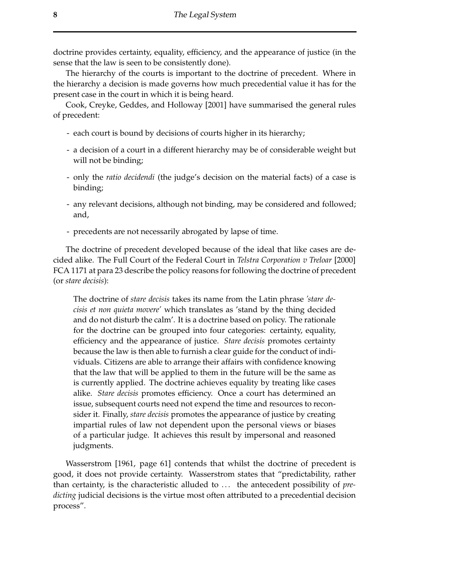doctrine provides certainty, equality, efficiency, and the appearance of justice (in the sense that the law is seen to be consistently done).

The hierarchy of the courts is important to the doctrine of precedent. Where in the hierarchy a decision is made governs how much precedential value it has for the present case in the court in which it is being heard.

Cook, Creyke, Geddes, and Holloway [2001] have summarised the general rules of precedent:

- each court is bound by decisions of courts higher in its hierarchy;
- a decision of a court in a different hierarchy may be of considerable weight but will not be binding;
- only the *ratio decidendi* (the judge's decision on the material facts) of a case is binding;
- any relevant decisions, although not binding, may be considered and followed; and,
- precedents are not necessarily abrogated by lapse of time.

The doctrine of precedent developed because of the ideal that like cases are decided alike. The Full Court of the Federal Court in *Telstra Corporation v Treloar* [2000] FCA 1171 at para 23 describe the policy reasons for following the doctrine of precedent (or *stare decisis*):

The doctrine of *stare decisis* takes its name from the Latin phrase *'stare decisis et non quieta movere'* which translates as 'stand by the thing decided and do not disturb the calm'. It is a doctrine based on policy. The rationale for the doctrine can be grouped into four categories: certainty, equality, efficiency and the appearance of justice. *Stare decisis* promotes certainty because the law is then able to furnish a clear guide for the conduct of individuals. Citizens are able to arrange their affairs with confidence knowing that the law that will be applied to them in the future will be the same as is currently applied. The doctrine achieves equality by treating like cases alike. *Stare decisis* promotes efficiency. Once a court has determined an issue, subsequent courts need not expend the time and resources to reconsider it. Finally, *stare decisis* promotes the appearance of justice by creating impartial rules of law not dependent upon the personal views or biases of a particular judge. It achieves this result by impersonal and reasoned judgments.

Wasserstrom [1961, page 61] contends that whilst the doctrine of precedent is good, it does not provide certainty. Wasserstrom states that "predictability, rather than certainty, is the characteristic alluded to . . . the antecedent possibility of *predicting* judicial decisions is the virtue most often attributed to a precedential decision process".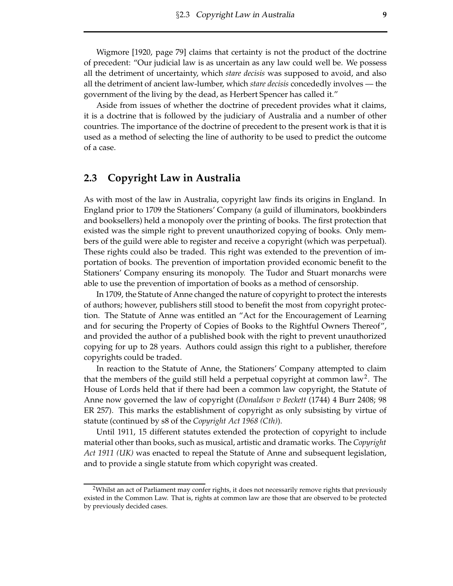Wigmore [1920, page 79] claims that certainty is not the product of the doctrine of precedent: "Our judicial law is as uncertain as any law could well be. We possess all the detriment of uncertainty, which *stare decisis* was supposed to avoid, and also all the detriment of ancient law-lumber, which *stare decisis* concededly involves — the government of the living by the dead, as Herbert Spencer has called it."

Aside from issues of whether the doctrine of precedent provides what it claims, it is a doctrine that is followed by the judiciary of Australia and a number of other countries. The importance of the doctrine of precedent to the present work is that it is used as a method of selecting the line of authority to be used to predict the outcome of a case.

### **2.3 Copyright Law in Australia**

As with most of the law in Australia, copyright law finds its origins in England. In England prior to 1709 the Stationers' Company (a guild of illuminators, bookbinders and booksellers) held a monopoly over the printing of books. The first protection that existed was the simple right to prevent unauthorized copying of books. Only members of the guild were able to register and receive a copyright (which was perpetual). These rights could also be traded. This right was extended to the prevention of importation of books. The prevention of importation provided economic benefit to the Stationers' Company ensuring its monopoly. The Tudor and Stuart monarchs were able to use the prevention of importation of books as a method of censorship.

In 1709, the Statute of Anne changed the nature of copyright to protect the interests of authors; however, publishers still stood to benefit the most from copyright protection. The Statute of Anne was entitled an "Act for the Encouragement of Learning and for securing the Property of Copies of Books to the Rightful Owners Thereof", and provided the author of a published book with the right to prevent unauthorized copying for up to 28 years. Authors could assign this right to a publisher, therefore copyrights could be traded.

In reaction to the Statute of Anne, the Stationers' Company attempted to claim that the members of the guild still held a perpetual copyright at common law<sup>2</sup>. The House of Lords held that if there had been a common law copyright, the Statute of Anne now governed the law of copyright (*Donaldson v Beckett* (1744) 4 Burr 2408; 98 ER 257). This marks the establishment of copyright as only subsisting by virtue of statute (continued by s8 of the *Copyright Act 1968 (Cth)*).

Until 1911, 15 different statutes extended the protection of copyright to include material other than books, such as musical, artistic and dramatic works. The *Copyright Act 1911 (UK)* was enacted to repeal the Statute of Anne and subsequent legislation, and to provide a single statute from which copyright was created.

 $2$ Whilst an act of Parliament may confer rights, it does not necessarily remove rights that previously existed in the Common Law. That is, rights at common law are those that are observed to be protected by previously decided cases.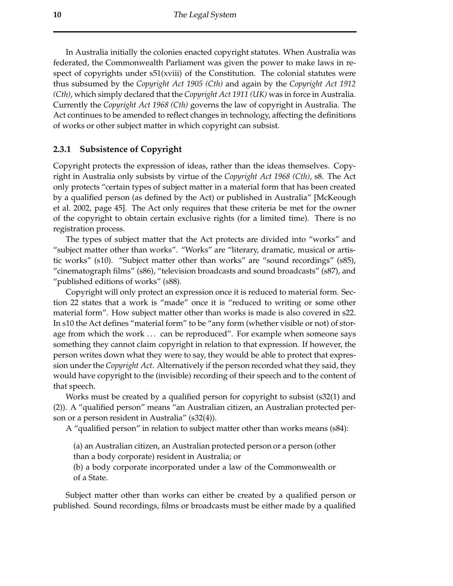In Australia initially the colonies enacted copyright statutes. When Australia was federated, the Commonwealth Parliament was given the power to make laws in respect of copyrights under s51(xviii) of the Constitution. The colonial statutes were thus subsumed by the *Copyright Act 1905 (Cth)* and again by the *Copyright Act 1912 (Cth)*, which simply declared that the *Copyright Act 1911 (UK)* was in force in Australia. Currently the *Copyright Act 1968 (Cth)* governs the law of copyright in Australia. The Act continues to be amended to reflect changes in technology, affecting the definitions of works or other subject matter in which copyright can subsist.

#### **2.3.1 Subsistence of Copyright**

Copyright protects the expression of ideas, rather than the ideas themselves. Copyright in Australia only subsists by virtue of the *Copyright Act 1968 (Cth)*, s8. The Act only protects "certain types of subject matter in a material form that has been created by a qualified person (as defined by the Act) or published in Australia" [McKeough et al. 2002, page 45]. The Act only requires that these criteria be met for the owner of the copyright to obtain certain exclusive rights (for a limited time). There is no registration process.

The types of subject matter that the Act protects are divided into "works" and "subject matter other than works". "Works" are "literary, dramatic, musical or artistic works" (s10). "Subject matter other than works" are "sound recordings" (s85), "cinematograph films" (s86), "television broadcasts and sound broadcasts" (s87), and "published editions of works" (s88).

Copyright will only protect an expression once it is reduced to material form. Section 22 states that a work is "made" once it is "reduced to writing or some other material form". How subject matter other than works is made is also covered in s22. In s10 the Act defines "material form" to be "any form (whether visible or not) of storage from which the work ... can be reproduced". For example when someone says something they cannot claim copyright in relation to that expression. If however, the person writes down what they were to say, they would be able to protect that expression underthe *Copyright Act*. Alternatively if the person recorded what they said, they would have copyright to the (invisible) recording of their speech and to the content of that speech.

Works must be created by a qualified person for copyright to subsist (s32(1) and (2)). A "qualified person" means "an Australian citizen, an Australian protected person or a person resident in Australia" (s32(4)).

A "qualified person" in relation to subject matter other than works means (s84):

(a) an Australian citizen, an Australian protected person or a person (other than a body corporate) resident in Australia; or

(b) a body corporate incorporated under a law of the Commonwealth or of a State.

Subject matter other than works can either be created by a qualified person or published. Sound recordings, films or broadcasts must be either made by a qualified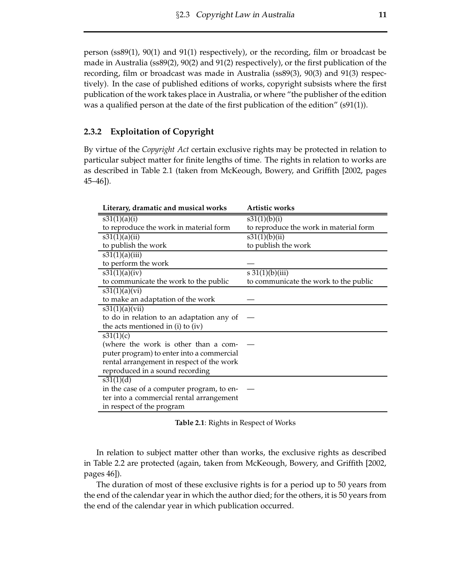person (ss89(1), 90(1) and 91(1) respectively), or the recording, film or broadcast be made in Australia (ss89(2), 90(2) and 91(2) respectively), or the first publication of the recording, film or broadcast was made in Australia (ss89(3), 90(3) and 91(3) respectively). In the case of published editions of works, copyright subsists where the first publication of the work takes place in Australia, or where "the publisher of the edition was a qualified person at the date of the first publication of the edition" (s91(1)).

#### **2.3.2 Exploitation of Copyright**

By virtue of the *Copyright Act* certain exclusive rights may be protected in relation to particular subject matter for finite lengths of time. The rights in relation to works are as described in Table 2.1 (taken from McKeough, Bowery, and Griffith [2002, pages 45–46]).

| Literary, dramatic and musical works      | <b>Artistic works</b>                  |
|-------------------------------------------|----------------------------------------|
| s31(1)(a)(i)                              | s31(1)(b)(i)                           |
| to reproduce the work in material form    | to reproduce the work in material form |
| s31(1)(a)(ii)                             | s31(1)(b)(ii)                          |
| to publish the work                       | to publish the work                    |
| s31(1)(a)(iii)                            |                                        |
| to perform the work                       |                                        |
| s31(1)(a)(iv)                             | $\overline{s31(1)}$ (b)(iii)           |
| to communicate the work to the public     | to communicate the work to the public  |
| s31(1)(a)(vi)                             |                                        |
| to make an adaptation of the work         |                                        |
| s31(1)(a)(vii)                            |                                        |
| to do in relation to an adaptation any of |                                        |
| the acts mentioned in (i) to (iv)         |                                        |
| s31(1)(c)                                 |                                        |
| (where the work is other than a com-      |                                        |
| puter program) to enter into a commercial |                                        |
| rental arrangement in respect of the work |                                        |
| reproduced in a sound recording           |                                        |
| s31(1)(d)                                 |                                        |
| in the case of a computer program, to en- |                                        |
| ter into a commercial rental arrangement  |                                        |
| in respect of the program                 |                                        |

**Table 2.1**: Rights in Respect of Works

In relation to subject matter other than works, the exclusive rights as described in Table 2.2 are protected (again, taken from McKeough, Bowery, and Griffith [2002, pages 46]).

The duration of most of these exclusive rights is for a period up to 50 years from the end of the calendar year in which the author died; for the others, it is 50 years from the end of the calendar year in which publication occurred.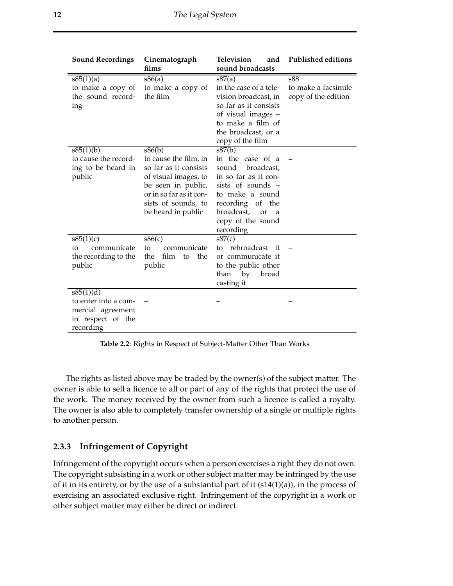| <b>Sound Recordings</b>                                                                  | Cinematograph                                                                                                                                                                  | <b>Television</b><br>and                                                                                                                                                                         | <b>Published editions</b>                         |
|------------------------------------------------------------------------------------------|--------------------------------------------------------------------------------------------------------------------------------------------------------------------------------|--------------------------------------------------------------------------------------------------------------------------------------------------------------------------------------------------|---------------------------------------------------|
|                                                                                          | films                                                                                                                                                                          | sound broadcasts                                                                                                                                                                                 |                                                   |
| s85(1)(a)<br>to make a copy of<br>the sound record-<br>ing                               | s86(a)<br>to make a copy of<br>the film                                                                                                                                        | s87(a)<br>in the case of a tele-<br>vision broadcast, in<br>so far as it consists<br>of visual images –<br>to make a film of<br>the broadcast, or a<br>copy of the film                          | s88<br>to make a facsimile<br>copy of the edition |
| s85(1)(b)<br>to cause the record-<br>ing to be heard in<br>public                        | s86(b)<br>to cause the film, in<br>so far as it consists<br>of visual images, to<br>be seen in public,<br>or in so far as it con-<br>sists of sounds, to<br>be heard in public | s87(b)<br>in the case of a<br>broadcast,<br>sound<br>in so far as it con-<br>sists of sounds -<br>to make a sound<br>recording of the<br>broadcast,<br>or<br>a<br>copy of the sound<br>recording |                                                   |
| $\frac{1}{885(1)(c)}$<br>communicate<br>tο<br>the recording to the<br>public             | s86(c)<br>communicate<br>to<br>film<br>the<br>the<br>to<br>public                                                                                                              | s87(c)<br>rebroadcast<br>it<br>to<br>or communicate it<br>to the public other<br>than by<br>broad<br>casting it                                                                                  |                                                   |
| s85(1)(d)<br>to enter into a com-<br>mercial agreement<br>in respect of the<br>recording |                                                                                                                                                                                |                                                                                                                                                                                                  |                                                   |

**Table 2.2**: Rights in Respect of Subject-Matter Other Than Works

The rights as listed above may be traded by the owner(s) of the subject matter. The owner is able to sell a licence to all or part of any of the rights that protect the use of the work. The money received by the owner from such a licence is called a royalty. The owner is also able to completely transfer ownership of a single or multiple rights to another person.

#### **2.3.3 Infringement of Copyright**

Infringement of the copyright occurs when a person exercises a right they do not own. The copyright subsisting in a work or other subject matter may be infringed by the use of it in its entirety, or by the use of a substantial part of it  $(s14(1)(a))$ , in the process of exercising an associated exclusive right. Infringement of the copyright in a work or other subject matter may either be direct or indirect.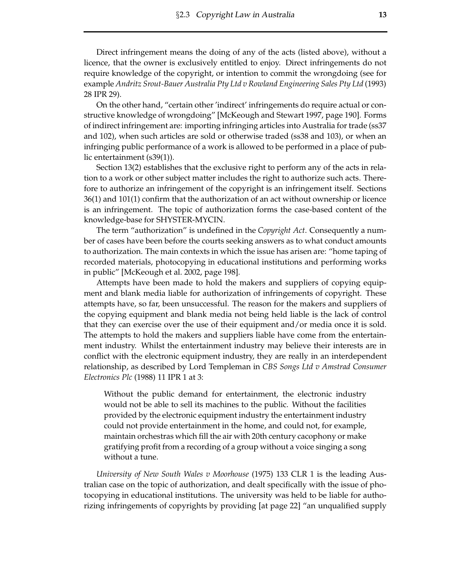Direct infringement means the doing of any of the acts (listed above), without a licence, that the owner is exclusively entitled to enjoy. Direct infringements do not require knowledge of the copyright, or intention to commit the wrongdoing (see for example *Andritz Srout-Bauer Australia Pty Ltd v Rowland Engineering Sales Pty Ltd* (1993) 28 IPR 29).

On the other hand, "certain other 'indirect' infringements do require actual or constructive knowledge of wrongdoing" [McKeough and Stewart 1997, page 190]. Forms of indirect infringement are: importing infringing articles into Australia for trade (ss37 and 102), when such articles are sold or otherwise traded (ss38 and 103), or when an infringing public performance of a work is allowed to be performed in a place of public entertainment (s39(1)).

Section 13(2) establishes that the exclusive right to perform any of the acts in relation to a work or other subject matter includes the right to authorize such acts. Therefore to authorize an infringement of the copyright is an infringement itself. Sections 36(1) and 101(1) confirm that the authorization of an act without ownership or licence is an infringement. The topic of authorization forms the case-based content of the knowledge-base for SHYSTER-MYCIN.

The term "authorization" is undefined in the *Copyright Act*. Consequently a number of cases have been before the courts seeking answers as to what conduct amounts to authorization. The main contexts in which the issue has arisen are: "home taping of recorded materials, photocopying in educational institutions and performing works in public" [McKeough et al. 2002, page 198].

Attempts have been made to hold the makers and suppliers of copying equipment and blank media liable for authorization of infringements of copyright. These attempts have, so far, been unsuccessful. The reason for the makers and suppliers of the copying equipment and blank media not being held liable is the lack of control that they can exercise over the use of their equipment and/or media once it is sold. The attempts to hold the makers and suppliers liable have come from the entertainment industry. Whilst the entertainment industry may believe their interests are in conflict with the electronic equipment industry, they are really in an interdependent relationship, as described by Lord Templeman in *CBS Songs Ltd v Amstrad Consumer Electronics Plc* (1988) 11 IPR 1 at 3:

Without the public demand for entertainment, the electronic industry would not be able to sell its machines to the public. Without the facilities provided by the electronic equipment industry the entertainment industry could not provide entertainment in the home, and could not, for example, maintain orchestras which fill the air with 20th century cacophony or make gratifying profit from a recording of a group without a voice singing a song without a tune.

*University of New South Wales v Moorhouse* (1975) 133 CLR 1 is the leading Australian case on the topic of authorization, and dealt specifically with the issue of photocopying in educational institutions. The university was held to be liable for authorizing infringements of copyrights by providing [at page 22] "an unqualified supply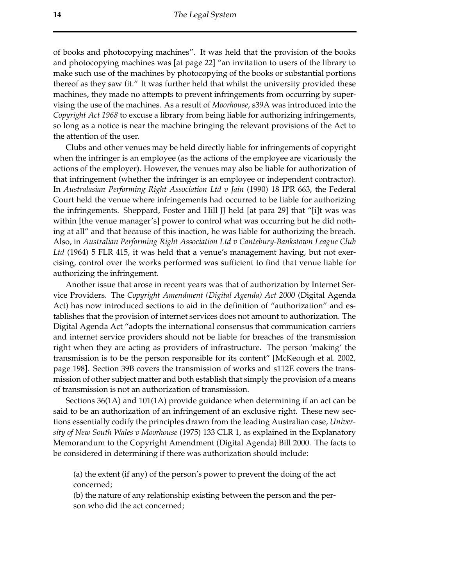of books and photocopying machines". It was held that the provision of the books and photocopying machines was [at page 22] "an invitation to users of the library to make such use of the machines by photocopying of the books or substantial portions thereof as they saw fit." It was further held that whilst the university provided these machines, they made no attempts to prevent infringements from occurring by supervising the use of the machines. As a result of *Moorhouse*, s39A was introduced into the *Copyright Act 1968* to excuse a library from being liable for authorizing infringements, so long as a notice is near the machine bringing the relevant provisions of the Act to the attention of the user.

Clubs and other venues may be held directly liable for infringements of copyright when the infringer is an employee (as the actions of the employee are vicariously the actions of the employer). However, the venues may also be liable for authorization of that infringement (whether the infringer is an employee or independent contractor). In *Australasian Performing Right Association Ltd v Jain* (1990) 18 IPR 663, the Federal Court held the venue where infringements had occurred to be liable for authorizing the infringements. Sheppard, Foster and Hill JJ held [at para 29] that "[i]t was was within [the venue manager's] power to control what was occurring but he did nothing at all" and that because of this inaction, he was liable for authorizing the breach. Also, in *Australian Performing Right Association Ltd v Cantebury-Bankstown League Club Ltd* (1964) 5 FLR 415, it was held that a venue's management having, but not exercising, control over the works performed was sufficient to find that venue liable for authorizing the infringement.

Another issue that arose in recent years was that of authorization by Internet Service Providers. The *Copyright Amendment (Digital Agenda) Act 2000* (Digital Agenda Act) has now introduced sections to aid in the definition of "authorization" and establishes that the provision of internet services does not amount to authorization. The Digital Agenda Act "adopts the international consensus that communication carriers and internet service providers should not be liable for breaches of the transmission right when they are acting as providers of infrastructure. The person 'making' the transmission is to be the person responsible for its content" [McKeough et al. 2002, page 198]. Section 39B covers the transmission of works and s112E covers the transmission of other subject matter and both establish that simply the provision of a means of transmission is not an authorization of transmission.

Sections 36(1A) and 101(1A) provide guidance when determining if an act can be said to be an authorization of an infringement of an exclusive right. These new sections essentially codify the principles drawn from the leading Australian case, *University of New South Wales v Moorhouse* (1975) 133 CLR 1, as explained in the Explanatory Memorandum to the Copyright Amendment (Digital Agenda) Bill 2000. The facts to be considered in determining if there was authorization should include:

(a) the extent (if any) of the person's power to prevent the doing of the act concerned;

(b) the nature of any relationship existing between the person and the person who did the act concerned;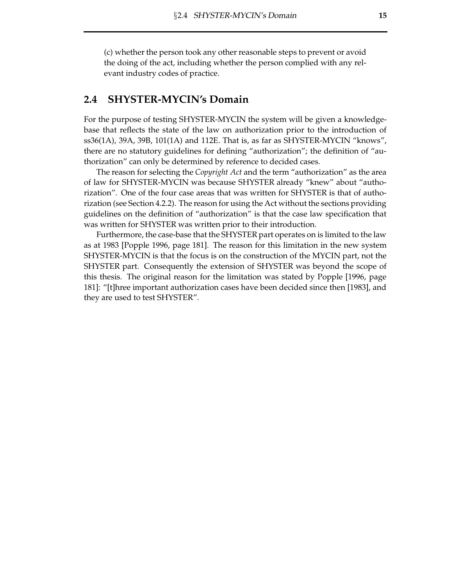(c) whether the person took any other reasonable steps to prevent or avoid the doing of the act, including whether the person complied with any relevant industry codes of practice.

#### **2.4 SHYSTER-MYCIN's Domain**

For the purpose of testing SHYSTER-MYCIN the system will be given a knowledgebase that reflects the state of the law on authorization prior to the introduction of ss36(1A), 39A, 39B, 101(1A) and 112E. That is, as far as SHYSTER-MYCIN "knows", there are no statutory guidelines for defining "authorization"; the definition of "authorization" can only be determined by reference to decided cases.

The reason for selecting the *Copyright Act* and the term "authorization" as the area of law for SHYSTER-MYCIN was because SHYSTER already "knew" about "authorization". One of the four case areas that was written for SHYSTER is that of authorization (see Section 4.2.2). The reason for using the Act without the sections providing guidelines on the definition of "authorization" is that the case law specification that was written for SHYSTER was written prior to their introduction.

Furthermore, the case-base that the SHYSTER part operates on is limited to the law as at 1983 [Popple 1996, page 181]. The reason for this limitation in the new system SHYSTER-MYCIN is that the focus is on the construction of the MYCIN part, not the SHYSTER part. Consequently the extension of SHYSTER was beyond the scope of this thesis. The original reason for the limitation was stated by Popple [1996, page 181]: "[t]hree important authorization cases have been decided since then [1983], and they are used to test SHYSTER".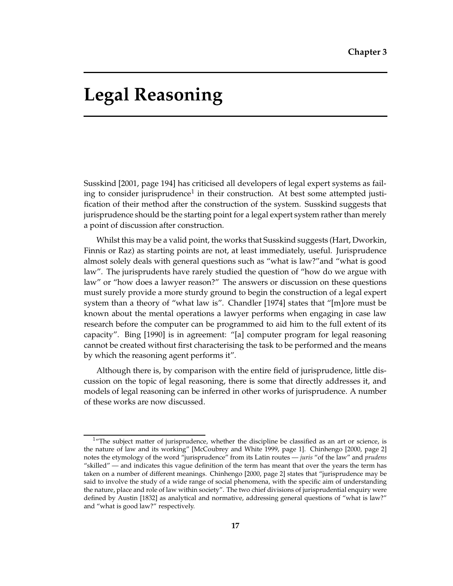# **Legal Reasoning**

Susskind [2001, page 194] has criticised all developers of legal expert systems as failing to consider jurisprudence<sup>1</sup> in their construction. At best some attempted justification of their method after the construction of the system. Susskind suggests that jurisprudence should be the starting point for a legal expert system rather than merely a point of discussion after construction.

Whilst this may be a valid point, the works that Susskind suggests (Hart, Dworkin, Finnis or Raz) as starting points are not, at least immediately, useful. Jurisprudence almost solely deals with general questions such as "what is law?"and "what is good law". The jurisprudents have rarely studied the question of "how do we argue with law" or "how does a lawyer reason?" The answers or discussion on these questions must surely provide a more sturdy ground to begin the construction of a legal expert system than a theory of "what law is". Chandler [1974] states that "[m]ore must be known about the mental operations a lawyer performs when engaging in case law research before the computer can be programmed to aid him to the full extent of its capacity". Bing [1990] is in agreement: "[a] computer program for legal reasoning cannot be created without first characterising the task to be performed and the means by which the reasoning agent performs it".

Although there is, by comparison with the entire field of jurisprudence, little discussion on the topic of legal reasoning, there is some that directly addresses it, and models of legal reasoning can be inferred in other works of jurisprudence. A number of these works are now discussed.

 $1$ <sup>"</sup>The subject matter of jurisprudence, whether the discipline be classified as an art or science, is the nature of law and its working" [McCoubrey and White 1999, page 1]. Chinhengo [2000, page 2] notes the etymology of the word "jurisprudence" from its Latin routes — *juris* "of the law" and *prudens* "skilled" — and indicates this vague definition of the term has meant that over the years the term has taken on a number of different meanings. Chinhengo [2000, page 2] states that "jurisprudence may be said to involve the study of a wide range of social phenomena, with the specific aim of understanding the nature, place and role of law within society". The two chief divisions of jurisprudential enquiry were defined by Austin [1832] as analytical and normative, addressing general questions of "what is law?" and "what is good law?" respectively.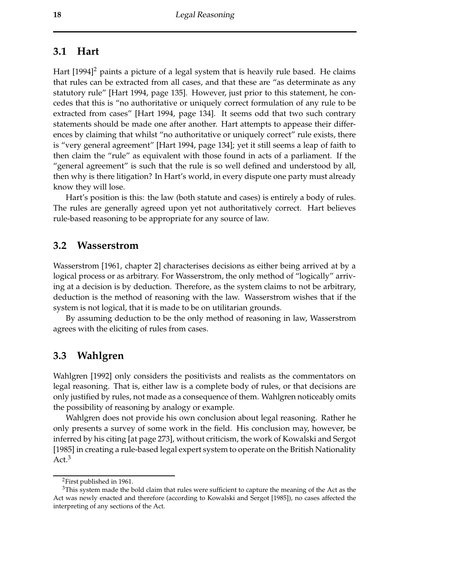#### **3.1 Hart**

Hart  $[1994]^2$  paints a picture of a legal system that is heavily rule based. He claims that rules can be extracted from all cases, and that these are "as determinate as any statutory rule" [Hart 1994, page 135]. However, just prior to this statement, he concedes that this is "no authoritative or uniquely correct formulation of any rule to be extracted from cases" [Hart 1994, page 134]. It seems odd that two such contrary statements should be made one after another. Hart attempts to appease their differences by claiming that whilst "no authoritative or uniquely correct" rule exists, there is "very general agreement" [Hart 1994, page 134]; yet it still seems a leap of faith to then claim the "rule" as equivalent with those found in acts of a parliament. If the "general agreement" is such that the rule is so well defined and understood by all, then why is there litigation? In Hart's world, in every dispute one party must already know they will lose.

Hart's position is this: the law (both statute and cases) is entirely a body of rules. The rules are generally agreed upon yet not authoritatively correct. Hart believes rule-based reasoning to be appropriate for any source of law.

#### **3.2 Wasserstrom**

Wasserstrom [1961, chapter 2] characterises decisions as either being arrived at by a logical process or as arbitrary. For Wasserstrom, the only method of "logically" arriving at a decision is by deduction. Therefore, as the system claims to not be arbitrary, deduction is the method of reasoning with the law. Wasserstrom wishes that if the system is not logical, that it is made to be on utilitarian grounds.

By assuming deduction to be the only method of reasoning in law, Wasserstrom agrees with the eliciting of rules from cases.

### **3.3 Wahlgren**

Wahlgren [1992] only considers the positivists and realists as the commentators on legal reasoning. That is, either law is a complete body of rules, or that decisions are only justified by rules, not made as a consequence of them. Wahlgren noticeably omits the possibility of reasoning by analogy or example.

Wahlgren does not provide his own conclusion about legal reasoning. Rather he only presents a survey of some work in the field. His conclusion may, however, be inferred by his citing [at page 273], without criticism, the work of Kowalski and Sergot [1985] in creating a rule-based legal expert system to operate on the British Nationality Act.<sup>3</sup>

<sup>2</sup>First published in 1961.

<sup>&</sup>lt;sup>3</sup>This system made the bold claim that rules were sufficient to capture the meaning of the Act as the Act was newly enacted and therefore (according to Kowalski and Sergot [1985]), no cases affected the interpreting of any sections of the Act.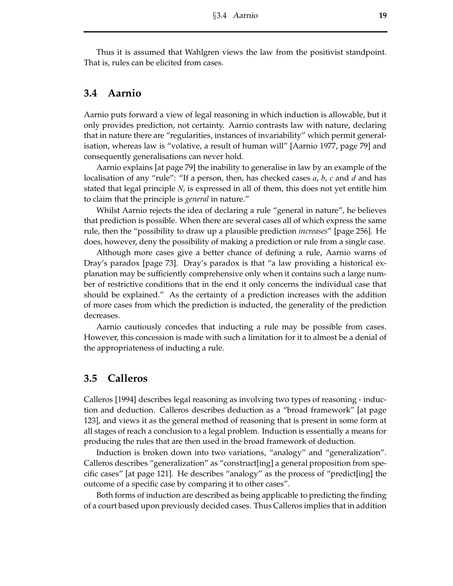Thus it is assumed that Wahlgren views the law from the positivist standpoint. That is, rules can be elicited from cases.

#### **3.4 Aarnio**

Aarnio puts forward a view of legal reasoning in which induction is allowable, but it only provides prediction, not certainty. Aarnio contrasts law with nature, declaring that in nature there are "regularities, instances of invariability" which permit generalisation, whereas law is "volative, a result of human will" [Aarnio 1977, page 79] and consequently generalisations can never hold.

Aarnio explains [at page 79] the inability to generalise in law by an example of the localisation of any "rule": "If a person, then, has checked cases *a*, *b*, *c* and *d* and has stated that legal principle  $N_i$  is expressed in all of them, this does not yet entitle him to claim that the principle is *general* in nature."

Whilst Aarnio rejects the idea of declaring a rule "general in nature", he believes that prediction is possible. When there are several cases all of which express the same rule, then the "possibility to draw up a plausible prediction *increases*" [page 256]. He does, however, deny the possibility of making a prediction or rule from a single case.

Although more cases give a better chance of defining a rule, Aarnio warns of Dray's paradox [page 73]. Dray's paradox is that "a law providing a historical explanation may be sufficiently comprehensive only when it contains such a large number of restrictive conditions that in the end it only concerns the individual case that should be explained." As the certainty of a prediction increases with the addition of more cases from which the prediction is inducted, the generality of the prediction decreases.

Aarnio cautiously concedes that inducting a rule may be possible from cases. However, this concession is made with such a limitation for it to almost be a denial of the appropriateness of inducting a rule.

#### **3.5 Calleros**

Calleros [1994] describes legal reasoning as involving two types of reasoning - induction and deduction. Calleros describes deduction as a "broad framework" [at page 123], and views it as the general method of reasoning that is present in some form at all stages of reach a conclusion to a legal problem. Induction is essentially a means for producing the rules that are then used in the broad framework of deduction.

Induction is broken down into two variations, "analogy" and "generalization". Calleros describes "generalization" as "construct[ing] a general proposition from specific cases" [at page 121]. He describes "analogy" as the process of "predict[ing] the outcome of a specific case by comparing it to other cases".

Both forms of induction are described as being applicable to predicting the finding of a court based upon previously decided cases. Thus Calleros implies that in addition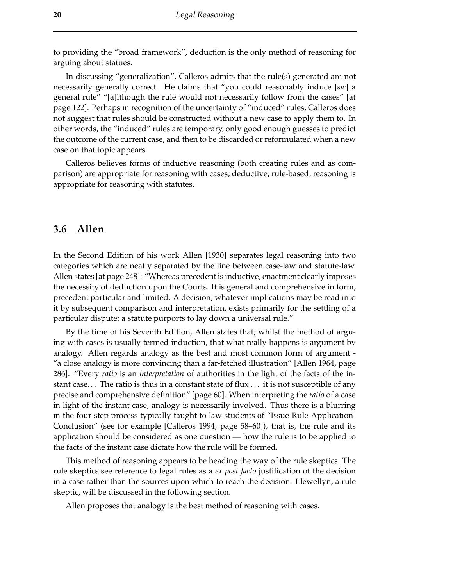to providing the "broad framework", deduction is the only method of reasoning for arguing about statues.

In discussing "generalization", Calleros admits that the rule(s) generated are not necessarily generally correct. He claims that "you could reasonably induce [*sic*] a general rule" "[a]lthough the rule would not necessarily follow from the cases" [at page 122]. Perhaps in recognition of the uncertainty of "induced" rules, Calleros does not suggest that rules should be constructed without a new case to apply them to. In other words, the "induced" rules are temporary, only good enough guesses to predict the outcome of the current case, and then to be discarded or reformulated when a new case on that topic appears.

Calleros believes forms of inductive reasoning (both creating rules and as comparison) are appropriate for reasoning with cases; deductive, rule-based, reasoning is appropriate for reasoning with statutes.

#### **3.6 Allen**

In the Second Edition of his work Allen [1930] separates legal reasoning into two categories which are neatly separated by the line between case-law and statute-law. Allen states [at page 248]: "Whereas precedent is inductive, enactment clearly imposes the necessity of deduction upon the Courts. It is general and comprehensive in form, precedent particular and limited. A decision, whatever implications may be read into it by subsequent comparison and interpretation, exists primarily for the settling of a particular dispute: a statute purports to lay down a universal rule."

By the time of his Seventh Edition, Allen states that, whilst the method of arguing with cases is usually termed induction, that what really happens is argument by analogy. Allen regards analogy as the best and most common form of argument "a close analogy is more convincing than a far-fetched illustration" [Allen 1964, page 286]. "Every *ratio* is an *interpretation* of authorities in the light of the facts of the instant case... The ratio is thus in a constant state of flux ... it is not susceptible of any precise and comprehensive definition" [page 60]. When interpreting the *ratio* of a case in light of the instant case, analogy is necessarily involved. Thus there is a blurring in the four step process typically taught to law students of "Issue-Rule-Application-Conclusion" (see for example [Calleros 1994, page 58–60]), that is, the rule and its application should be considered as one question — how the rule is to be applied to the facts of the instant case dictate how the rule will be formed.

This method of reasoning appears to be heading the way of the rule skeptics. The rule skeptics see reference to legal rules as a *ex post facto* justification of the decision in a case rather than the sources upon which to reach the decision. Llewellyn, a rule skeptic, will be discussed in the following section.

Allen proposes that analogy is the best method of reasoning with cases.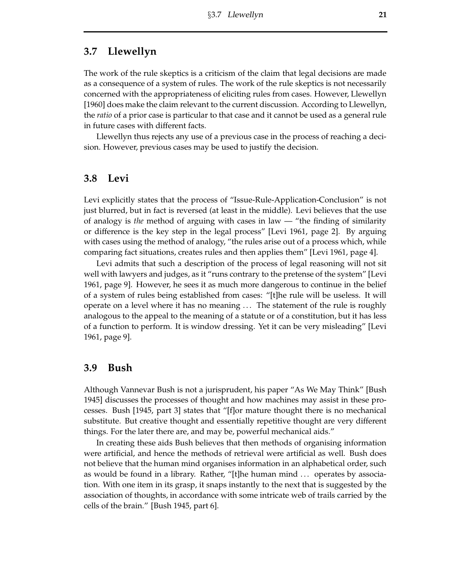### **3.7 Llewellyn**

The work of the rule skeptics is a criticism of the claim that legal decisions are made as a consequence of a system of rules. The work of the rule skeptics is not necessarily concerned with the appropriateness of eliciting rules from cases. However, Llewellyn [1960] does make the claim relevant to the current discussion. According to Llewellyn, the *ratio* of a prior case is particular to that case and it cannot be used as a general rule in future cases with different facts.

Llewellyn thus rejects any use of a previous case in the process of reaching a decision. However, previous cases may be used to justify the decision.

#### **3.8 Levi**

Levi explicitly states that the process of "Issue-Rule-Application-Conclusion" is not just blurred, but in fact is reversed (at least in the middle). Levi believes that the use of analogy is *the* method of arguing with cases in law — "the finding of similarity or difference is the key step in the legal process" [Levi 1961, page 2]. By arguing with cases using the method of analogy, "the rules arise out of a process which, while comparing fact situations, creates rules and then applies them" [Levi 1961, page 4].

Levi admits that such a description of the process of legal reasoning will not sit well with lawyers and judges, as it "runs contrary to the pretense of the system" [Levi 1961, page 9]. However, he sees it as much more dangerous to continue in the belief of a system of rules being established from cases: "[t]he rule will be useless. It will operate on a level where it has no meaning . . . The statement of the rule is roughly analogous to the appeal to the meaning of a statute or of a constitution, but it has less of a function to perform. It is window dressing. Yet it can be very misleading" [Levi 1961, page 9].

#### **3.9 Bush**

Although Vannevar Bush is not a jurisprudent, his paper "As We May Think" [Bush 1945] discusses the processes of thought and how machines may assist in these processes. Bush [1945, part 3] states that "[f]or mature thought there is no mechanical substitute. But creative thought and essentially repetitive thought are very different things. For the later there are, and may be, powerful mechanical aids."

In creating these aids Bush believes that then methods of organising information were artificial, and hence the methods of retrieval were artificial as well. Bush does not believe that the human mind organises information in an alphabetical order, such as would be found in a library. Rather, "[t]he human mind . . . operates by association. With one item in its grasp, it snaps instantly to the next that is suggested by the association of thoughts, in accordance with some intricate web of trails carried by the cells of the brain." [Bush 1945, part 6].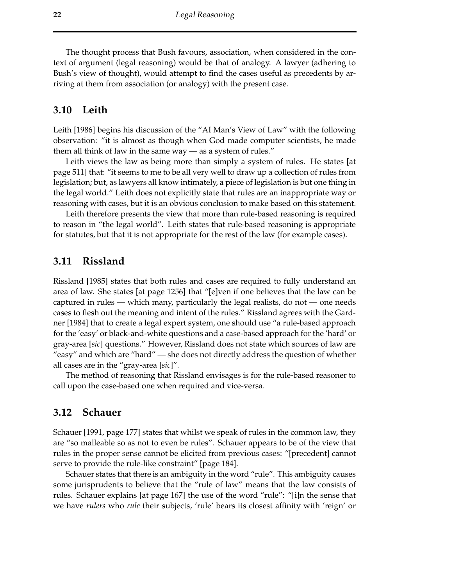The thought process that Bush favours, association, when considered in the context of argument (legal reasoning) would be that of analogy. A lawyer (adhering to Bush's view of thought), would attempt to find the cases useful as precedents by arriving at them from association (or analogy) with the present case.

#### **3.10 Leith**

Leith [1986] begins his discussion of the "AI Man's View of Law" with the following observation: "it is almost as though when God made computer scientists, he made them all think of law in the same way — as a system of rules."

Leith views the law as being more than simply a system of rules. He states [at page 511] that: "it seems to me to be all very well to draw up a collection of rules from legislation; but, as lawyers all know intimately, a piece of legislation is but one thing in the legal world." Leith does not explicitly state that rules are an inappropriate way or reasoning with cases, but it is an obvious conclusion to make based on this statement.

Leith therefore presents the view that more than rule-based reasoning is required to reason in "the legal world". Leith states that rule-based reasoning is appropriate for statutes, but that it is not appropriate for the rest of the law (for example cases).

#### **3.11 Rissland**

Rissland [1985] states that both rules and cases are required to fully understand an area of law. She states [at page 1256] that "[e]ven if one believes that the law can be captured in rules — which many, particularly the legal realists, do not — one needs cases to flesh out the meaning and intent of the rules." Rissland agrees with the Gardner [1984] that to create a legal expert system, one should use "a rule-based approach for the 'easy' or black-and-white questions and a case-based approach for the 'hard' or gray-area [*sic*] questions." However, Rissland does not state which sources of law are "easy" and which are "hard" — she does not directly address the question of whether all cases are in the "gray-area [*sic*]".

The method of reasoning that Rissland envisages is for the rule-based reasoner to call upon the case-based one when required and vice-versa.

#### **3.12 Schauer**

Schauer [1991, page 177] states that whilst we speak of rules in the common law, they are "so malleable so as not to even be rules". Schauer appears to be of the view that rules in the proper sense cannot be elicited from previous cases: "[precedent] cannot serve to provide the rule-like constraint" [page 184].

Schauer states that there is an ambiguity in the word "rule". This ambiguity causes some jurisprudents to believe that the "rule of law" means that the law consists of rules. Schauer explains [at page 167] the use of the word "rule": "[i]n the sense that we have *rulers* who *rule* their subjects, 'rule' bears its closest affinity with 'reign' or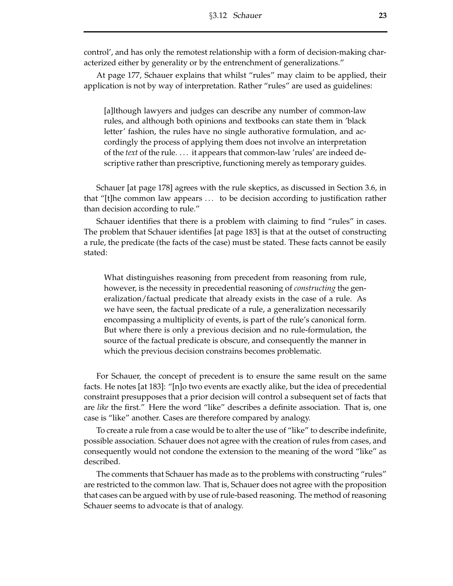control', and has only the remotest relationship with a form of decision-making characterized either by generality or by the entrenchment of generalizations."

At page 177, Schauer explains that whilst "rules" may claim to be applied, their application is not by way of interpretation. Rather "rules" are used as guidelines:

[a]lthough lawyers and judges can describe any number of common-law rules, and although both opinions and textbooks can state them in 'black letter' fashion, the rules have no single authorative formulation, and accordingly the process of applying them does not involve an interpretation of the *text* of the rule. . . . it appears that common-law 'rules' are indeed descriptive rather than prescriptive, functioning merely as temporary guides.

Schauer [at page 178] agrees with the rule skeptics, as discussed in Section 3.6, in that "[t]he common law appears . . . to be decision according to justification rather than decision according to rule."

Schauer identifies that there is a problem with claiming to find "rules" in cases. The problem that Schauer identifies [at page 183] is that at the outset of constructing a rule, the predicate (the facts of the case) must be stated. These facts cannot be easily stated:

What distinguishes reasoning from precedent from reasoning from rule, however, is the necessity in precedential reasoning of *constructing* the generalization/factual predicate that already exists in the case of a rule. As we have seen, the factual predicate of a rule, a generalization necessarily encompassing a multiplicity of events, is part of the rule's canonical form. But where there is only a previous decision and no rule-formulation, the source of the factual predicate is obscure, and consequently the manner in which the previous decision constrains becomes problematic.

For Schauer, the concept of precedent is to ensure the same result on the same facts. He notes [at 183]: "[n]o two events are exactly alike, but the idea of precedential constraint presupposes that a prior decision will control a subsequent set of facts that are *like* the first." Here the word "like" describes a definite association. That is, one case is "like" another. Cases are therefore compared by analogy.

To create a rule from a case would be to alter the use of "like" to describe indefinite, possible association. Schauer does not agree with the creation of rules from cases, and consequently would not condone the extension to the meaning of the word "like" as described.

The comments that Schauer has made as to the problems with constructing "rules" are restricted to the common law. That is, Schauer does not agree with the proposition that cases can be argued with by use of rule-based reasoning. The method ofreasoning Schauer seems to advocate is that of analogy.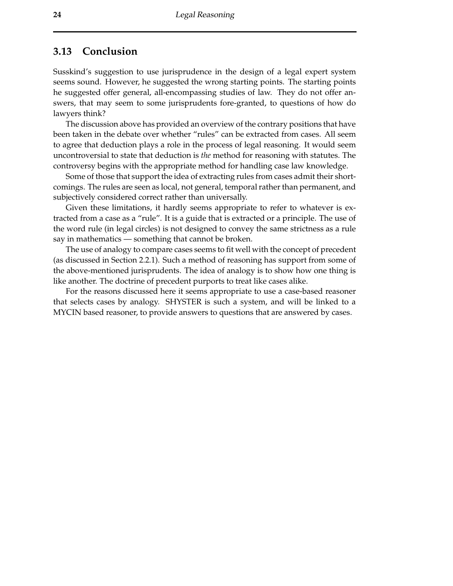## **3.13 Conclusion**

Susskind's suggestion to use jurisprudence in the design of a legal expert system seems sound. However, he suggested the wrong starting points. The starting points he suggested offer general, all-encompassing studies of law. They do not offer answers, that may seem to some jurisprudents fore-granted, to questions of how do lawyers think?

The discussion above has provided an overview of the contrary positions that have been taken in the debate over whether "rules" can be extracted from cases. All seem to agree that deduction plays a role in the process of legal reasoning. It would seem uncontroversial to state that deduction is *the* method for reasoning with statutes. The controversy begins with the appropriate method for handling case law knowledge.

Some of those that support the idea of extracting rules from cases admit their shortcomings. The rules are seen as local, not general, temporal rather than permanent, and subjectively considered correct rather than universally.

Given these limitations, it hardly seems appropriate to refer to whatever is extracted from a case as a "rule". It is a guide that is extracted or a principle. The use of the word rule (in legal circles) is not designed to convey the same strictness as a rule say in mathematics — something that cannot be broken.

The use of analogy to compare cases seems to fit well with the concept of precedent (as discussed in Section 2.2.1). Such a method of reasoning has support from some of the above-mentioned jurisprudents. The idea of analogy is to show how one thing is like another. The doctrine of precedent purports to treat like cases alike.

For the reasons discussed here it seems appropriate to use a case-based reasoner that selects cases by analogy. SHYSTER is such a system, and will be linked to a MYCIN based reasoner, to provide answers to questions that are answered by cases.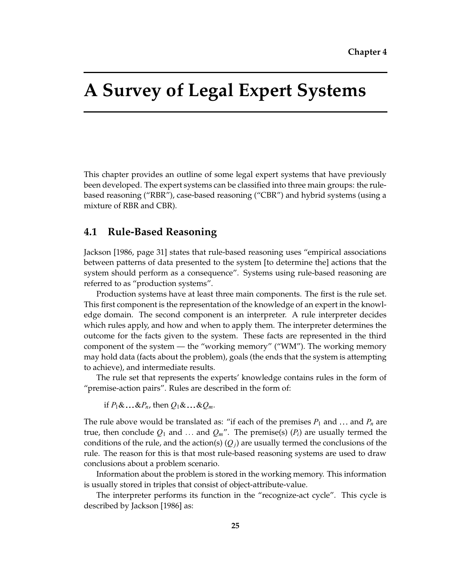## **A Survey of Legal Expert Systems**

This chapter provides an outline of some legal expert systems that have previously been developed. The expert systems can be classified into three main groups: the rulebased reasoning ("RBR"), case-based reasoning ("CBR") and hybrid systems (using a mixture of RBR and CBR).

## **4.1 Rule-Based Reasoning**

Jackson [1986, page 31] states that rule-based reasoning uses "empirical associations between patterns of data presented to the system [to determine the] actions that the system should perform as a consequence". Systems using rule-based reasoning are referred to as "production systems".

Production systems have at least three main components. The first is the rule set. This first component is the representation of the knowledge of an expert in the knowledge domain. The second component is an interpreter. A rule interpreter decides which rules apply, and how and when to apply them. The interpreter determines the outcome for the facts given to the system. These facts are represented in the third component of the system — the "working memory" ("WM"). The working memory may hold data (facts about the problem), goals (the ends that the system is attempting to achieve), and intermediate results.

The rule set that represents the experts' knowledge contains rules in the form of "premise-action pairs". Rules are described in the form of:

if  $P_1 \& \ldots \& P_n$ , then  $Q_1 \& \ldots \& Q_m$ .

The rule above would be translated as: "if each of the premises  $P_1$  and  $\ldots$  and  $P_n$  are true, then conclude  $Q_1$  and  $\ldots$  and  $Q_m$ ". The premise(s) ( $P_i$ ) are usually termed the conditions of the rule, and the action(s)  $(Q_i)$  are usually termed the conclusions of the rule. The reason for this is that most rule-based reasoning systems are used to draw conclusions about a problem scenario.

Information about the problem is stored in the working memory. This information is usually stored in triples that consist of object-attribute-value.

The interpreter performs its function in the "recognize-act cycle". This cycle is described by Jackson [1986] as: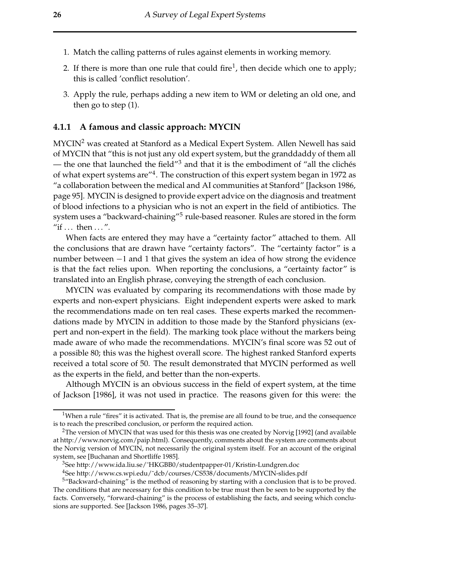- 1. Match the calling patterns of rules against elements in working memory.
- 2. If there is more than one rule that could fire<sup>1</sup>, then decide which one to apply; this is called 'conflict resolution'.
- 3. Apply the rule, perhaps adding a new item to WM or deleting an old one, and then go to step (1).

### **4.1.1 A famous and classic approach: MYCIN**

MYCIN<sup>2</sup> was created at Stanford as a Medical Expert System. Allen Newell has said of MYCIN that "this is not just any old expert system, but the granddaddy of them all — the one that launched the field"<sup>3</sup> and that it is the embodiment of "all the clichés" of what expert systems are"4. The construction of this expert system began in 1972 as "a collaboration between the medical and AI communities at Stanford" [Jackson 1986, page 95]. MYCIN is designed to provide expert advice on the diagnosis and treatment of blood infections to a physician who is not an expert in the field of antibiotics. The system uses a "backward-chaining"<sup>5</sup> rule-based reasoner. Rules are stored in the form "if  $\dots$  then  $\dots$ ".

When facts are entered they may have a "certainty factor" attached to them. All the conclusions that are drawn have "certainty factors". The "certainty factor" is a number between  $-1$  and 1 that gives the system an idea of how strong the evidence is that the fact relies upon. When reporting the conclusions, a "certainty factor" is translated into an English phrase, conveying the strength of each conclusion.

MYCIN was evaluated by comparing its recommendations with those made by experts and non-expert physicians. Eight independent experts were asked to mark the recommendations made on ten real cases. These experts marked the recommendations made by MYCIN in addition to those made by the Stanford physicians (expert and non-expert in the field). The marking took place without the markers being made aware of who made the recommendations. MYCIN's final score was 52 out of a possible 80; this was the highest overall score. The highest ranked Stanford experts received a total score of 50. The result demonstrated that MYCIN performed as well as the experts in the field, and better than the non-experts.

Although MYCIN is an obvious success in the field of expert system, at the time of Jackson [1986], it was not used in practice. The reasons given for this were: the

<sup>&</sup>lt;sup>1</sup>When a rule "fires" it is activated. That is, the premise are all found to be true, and the consequence is to reach the prescribed conclusion, or perform the required action.

<sup>&</sup>lt;sup>2</sup>The version of MYCIN that was used for this thesis was one created by Norvig [1992] (and available at [http://www.norvig.com/paip.html\)](http://www.norvig.com/paip.html). Consequently, comments about the system are comments about the Norvig version of MYCIN, not necessarily the original system itself. For an account of the original system, see [Buchanan and Shortliffe 1985].

<sup>&</sup>lt;sup>3</sup>See http://www.ida.liu.se/~HKGBB0/studentpapper-01/Kristin-Lundgren.doc

<sup>4</sup>See [http://www.cs.wpi.edu/˜dcb/courses/CS538/documents/MYCIN-slides.pdf](http://www.cs.wpi.edu/�dcb/courses/CS538/documents/MYCIN-slides.pdf)

 $5$ "Backward-chaining" is the method of reasoning by starting with a conclusion that is to be proved. The conditions that are necessary for this condition to be true must then be seen to be supported by the facts. Conversely, "forward-chaining" is the process of establishing the facts, and seeing which conclusions are supported. See [Jackson 1986, pages 35–37].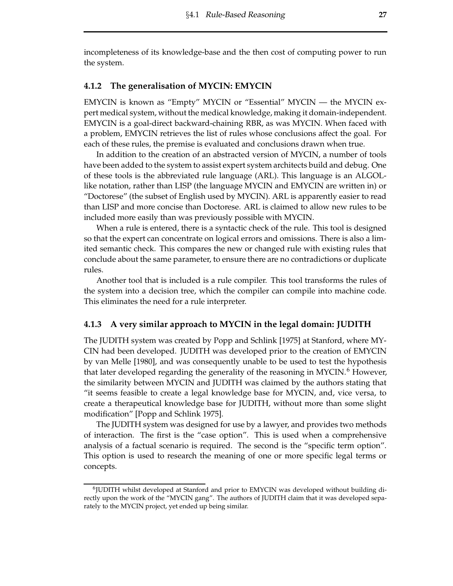incompleteness of its knowledge-base and the then cost of computing power to run the system.

### **4.1.2 The generalisation of MYCIN: EMYCIN**

EMYCIN is known as "Empty" MYCIN or "Essential" MYCIN — the MYCIN expert medical system, without the medical knowledge, making it domain-independent. EMYCIN is a goal-direct backward-chaining RBR, as was MYCIN. When faced with a problem, EMYCIN retrieves the list of rules whose conclusions affect the goal. For each of these rules, the premise is evaluated and conclusions drawn when true.

In addition to the creation of an abstracted version of MYCIN, a number of tools have been added to the system to assist expert system architects build and debug. One of these tools is the abbreviated rule language (ARL). This language is an ALGOLlike notation, rather than LISP (the language MYCIN and EMYCIN are written in) or "Doctorese" (the subset of English used by MYCIN). ARL is apparently easier to read than LISP and more concise than Doctorese. ARL is claimed to allow new rules to be included more easily than was previously possible with MYCIN.

When a rule is entered, there is a syntactic check of the rule. This tool is designed so that the expert can concentrate on logical errors and omissions. There is also a limited semantic check. This compares the new or changed rule with existing rules that conclude about the same parameter, to ensure there are no contradictions or duplicate rules.

Another tool that is included is a rule compiler. This tool transforms the rules of the system into a decision tree, which the compiler can compile into machine code. This eliminates the need for a rule interpreter.

### **4.1.3 A very similar approach to MYCIN in the legal domain: JUDITH**

The JUDITH system was created by Popp and Schlink [1975] at Stanford, where MY-CIN had been developed. JUDITH was developed prior to the creation of EMYCIN by van Melle [1980], and was consequently unable to be used to test the hypothesis that later developed regarding the generality of the reasoning in  $MYCIN<sup>6</sup>$  However, the similarity between MYCIN and JUDITH was claimed by the authors stating that "it seems feasible to create a legal knowledge base for MYCIN, and, vice versa, to create a therapeutical knowledge base for JUDITH, without more than some slight modification" [Popp and Schlink 1975].

The JUDITH system was designed for use by a lawyer, and provides two methods of interaction. The first is the "case option". This is used when a comprehensive analysis of a factual scenario is required. The second is the "specific term option". This option is used to research the meaning of one or more specific legal terms or concepts.

<sup>6</sup>JUDITH whilst developed at Stanford and prior to EMYCIN was developed without building directly upon the work of the "MYCIN gang". The authors of JUDITH claim that it was developed separately to the MYCIN project, yet ended up being similar.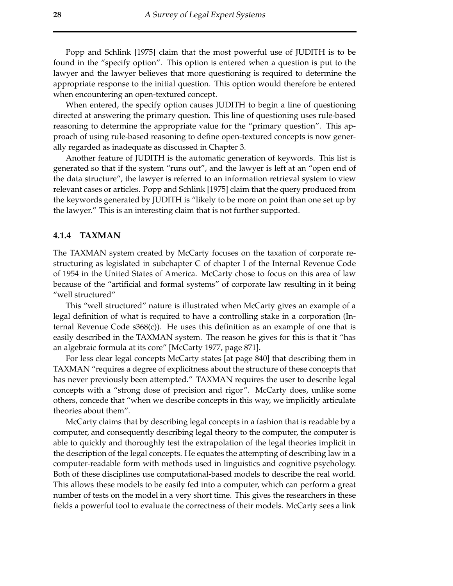Popp and Schlink [1975] claim that the most powerful use of JUDITH is to be found in the "specify option". This option is entered when a question is put to the lawyer and the lawyer believes that more questioning is required to determine the appropriate response to the initial question. This option would therefore be entered when encountering an open-textured concept.

When entered, the specify option causes JUDITH to begin a line of questioning directed at answering the primary question. This line of questioning uses rule-based reasoning to determine the appropriate value for the "primary question". This approach of using rule-based reasoning to define open-textured concepts is now generally regarded as inadequate as discussed in Chapter 3.

Another feature of JUDITH is the automatic generation of keywords. This list is generated so that if the system "runs out", and the lawyer is left at an "open end of the data structure", the lawyer is referred to an information retrieval system to view relevant cases or articles. Popp and Schlink [1975] claim that the query produced from the keywords generated by JUDITH is "likely to be more on point than one set up by the lawyer." This is an interesting claim that is not further supported.

### **4.1.4 TAXMAN**

The TAXMAN system created by McCarty focuses on the taxation of corporate restructuring as legislated in subchapter C of chapter I of the Internal Revenue Code of 1954 in the United States of America. McCarty chose to focus on this area of law because of the "artificial and formal systems" of corporate law resulting in it being "well structured"

This "well structured" nature is illustrated when McCarty gives an example of a legal definition of what is required to have a controlling stake in a corporation (Internal Revenue Code s368(c)). He uses this definition as an example of one that is easily described in the TAXMAN system. The reason he gives for this is that it "has an algebraic formula at its core" [McCarty 1977, page 871].

For less clear legal concepts McCarty states [at page 840] that describing them in TAXMAN "requires a degree of explicitness about the structure of these concepts that has never previously been attempted." TAXMAN requires the user to describe legal concepts with a "strong dose of precision and rigor". McCarty does, unlike some others, concede that "when we describe concepts in this way, we implicitly articulate theories about them".

McCarty claims that by describing legal concepts in a fashion that is readable by a computer, and consequently describing legal theory to the computer, the computer is able to quickly and thoroughly test the extrapolation of the legal theories implicit in the description of the legal concepts. He equates the attempting of describing law in a computer-readable form with methods used in linguistics and cognitive psychology. Both of these disciplines use computational-based models to describe the real world. This allows these models to be easily fed into a computer, which can perform a great number of tests on the model in a very short time. This gives the researchers in these fields a powerful tool to evaluate the correctness of their models. McCarty sees a link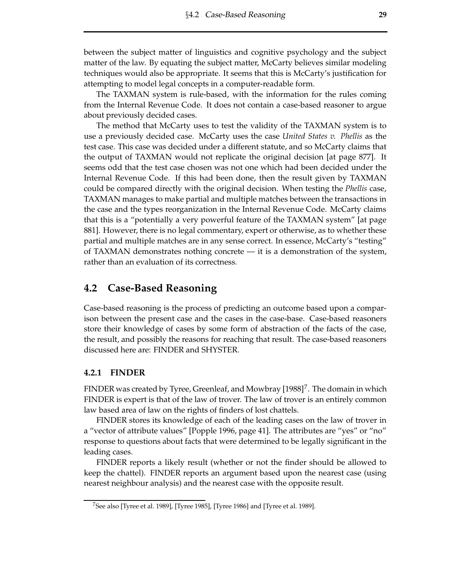between the subject matter of linguistics and cognitive psychology and the subject matter of the law. By equating the subject matter, McCarty believes similar modeling techniques would also be appropriate. It seems that this is McCarty's justification for attempting to model legal concepts in a computer-readable form.

The TAXMAN system is rule-based, with the information for the rules coming from the Internal Revenue Code. It does not contain a case-based reasoner to argue about previously decided cases.

The method that McCarty uses to test the validity of the TAXMAN system is to use a previously decided case. McCarty uses the case *United States v. Phellis* as the test case. This case was decided under a different statute, and so McCarty claims that the output of TAXMAN would not replicate the original decision [at page 877]. It seems odd that the test case chosen was not one which had been decided under the Internal Revenue Code. If this had been done, then the result given by TAXMAN could be compared directly with the original decision. When testing the *Phellis* case, TAXMAN manages to make partial and multiple matches between the transactions in the case and the types reorganization in the Internal Revenue Code. McCarty claims that this is a "potentially a very powerful feature of the TAXMAN system" [at page 881]. However, there is no legal commentary, expert or otherwise, as to whether these partial and multiple matches are in any sense correct. In essence, McCarty's "testing" of TAXMAN demonstrates nothing concrete — it is a demonstration of the system, rather than an evaluation of its correctness.

## **4.2 Case-Based Reasoning**

Case-based reasoning is the process of predicting an outcome based upon a comparison between the present case and the cases in the case-base. Case-based reasoners store their knowledge of cases by some form of abstraction of the facts of the case, the result, and possibly the reasons for reaching that result. The case-based reasoners discussed here are: FINDER and SHYSTER.

### **4.2.1 FINDER**

FINDER was created by Tyree, Greenleaf, and Mowbray  $[1988]^{7}$ . The domain in which FINDER is expert is that of the law of trover. The law of trover is an entirely common law based area of law on the rights of finders of lost chattels.

FINDER stores its knowledge of each of the leading cases on the law of trover in a "vector of attribute values" [Popple 1996, page 41]. The attributes are "yes" or "no" response to questions about facts that were determined to be legally significant in the leading cases.

FINDER reports a likely result (whether or not the finder should be allowed to keep the chattel). FINDER reports an argument based upon the nearest case (using nearest neighbour analysis) and the nearest case with the opposite result.

<sup>&</sup>lt;sup>7</sup>See also [Tyree et al. 1989], [Tyree 1985], [Tyree 1986] and [Tyree et al. 1989].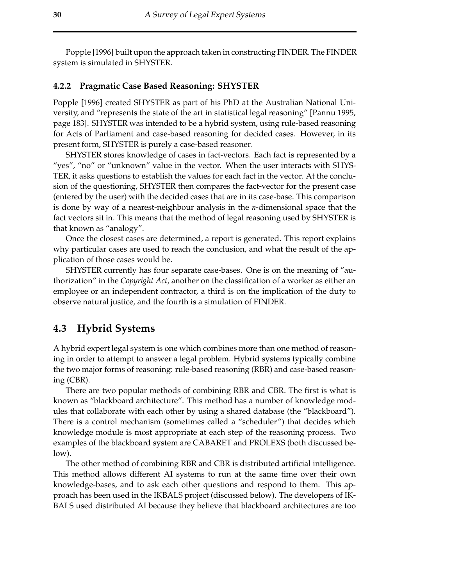Popple [1996] built upon the approach taken in constructing FINDER. The FINDER system is simulated in SHYSTER.

### **4.2.2 Pragmatic Case Based Reasoning: SHYSTER**

Popple [1996] created SHYSTER as part of his PhD at the Australian National University, and "represents the state of the art in statistical legal reasoning" [Pannu 1995, page 183]. SHYSTER was intended to be a hybrid system, using rule-based reasoning for Acts of Parliament and case-based reasoning for decided cases. However, in its present form, SHYSTER is purely a case-based reasoner.

SHYSTER stores knowledge of cases in fact-vectors. Each fact is represented by a "yes", "no" or "unknown" value in the vector. When the user interacts with SHYS-TER, it asks questions to establish the values for each fact in the vector. At the conclusion of the questioning, SHYSTER then compares the fact-vector for the present case (entered by the user) with the decided cases that are in its case-base. This comparison is done by way of a nearest-neighbour analysis in the *n*-dimensional space that the fact vectors sit in. This means that the method of legal reasoning used by SHYSTER is that known as "analogy".

Once the closest cases are determined, a report is generated. This report explains why particular cases are used to reach the conclusion, and what the result of the application of those cases would be.

SHYSTER currently has four separate case-bases. One is on the meaning of "authorization" in the *Copyright Act*, another on the classification of a worker as either an employee or an independent contractor, a third is on the implication of the duty to observe natural justice, and the fourth is a simulation of FINDER.

### **4.3 Hybrid Systems**

A hybrid expert legal system is one which combines more than one method of reasoning in order to attempt to answer a legal problem. Hybrid systems typically combine the two major forms of reasoning: rule-based reasoning (RBR) and case-based reasoning (CBR).

There are two popular methods of combining RBR and CBR. The first is what is known as "blackboard architecture". This method has a number of knowledge modules that collaborate with each other by using a shared database (the "blackboard"). There is a control mechanism (sometimes called a "scheduler") that decides which knowledge module is most appropriate at each step of the reasoning process. Two examples of the blackboard system are CABARET and PROLEXS (both discussed below).

The other method of combining RBR and CBR is distributed artificial intelligence. This method allows different AI systems to run at the same time over their own knowledge-bases, and to ask each other questions and respond to them. This approach has been used in the IKBALS project (discussed below). The developers of IK-BALS used distributed AI because they believe that blackboard architectures are too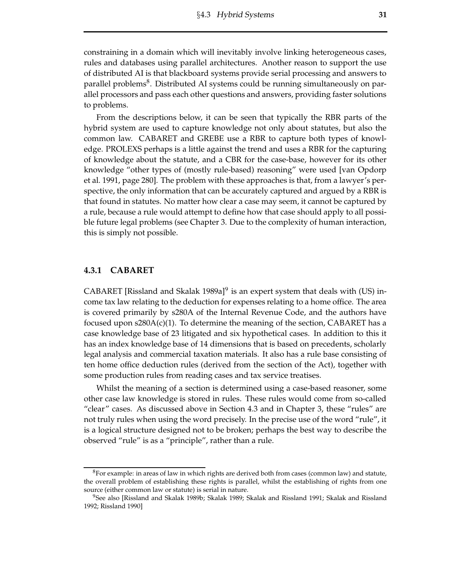constraining in a domain which will inevitably involve linking heterogeneous cases, rules and databases using parallel architectures. Another reason to support the use of distributed AI is that blackboard systems provide serial processing and answers to parallel problems<sup>8</sup>. Distributed AI systems could be running simultaneously on parallel processors and pass each other questions and answers, providing faster solutions to problems.

From the descriptions below, it can be seen that typically the RBR parts of the hybrid system are used to capture knowledge not only about statutes, but also the common law. CABARET and GREBE use a RBR to capture both types of knowledge. PROLEXS perhaps is a little against the trend and uses a RBR for the capturing of knowledge about the statute, and a CBR for the case-base, however for its other knowledge "other types of (mostly rule-based) reasoning" were used [van Opdorp et al. 1991, page 280]. The problem with these approaches is that, from a lawyer's perspective, the only information that can be accurately captured and argued by a RBR is that found in statutes. No matter how clear a case may seem, it cannot be captured by a rule, because a rule would attempt to define how that case should apply to all possible future legal problems (see Chapter 3. Due to the complexity of human interaction, this is simply not possible.

#### **4.3.1 CABARET**

CABARET [Rissland and Skalak 1989a]<sup>9</sup> is an expert system that deals with (US) income tax law relating to the deduction for expenses relating to a home office. The area is covered primarily by s280A of the Internal Revenue Code, and the authors have focused upon  $s280A(c)(1)$ . To determine the meaning of the section, CABARET has a case knowledge base of 23 litigated and six hypothetical cases. In addition to this it has an index knowledge base of 14 dimensions that is based on precedents, scholarly legal analysis and commercial taxation materials. It also has a rule base consisting of ten home office deduction rules (derived from the section of the Act), together with some production rules from reading cases and tax service treatises.

Whilst the meaning of a section is determined using a case-based reasoner, some other case law knowledge is stored in rules. These rules would come from so-called "clear" cases. As discussed above in Section 4.3 and in Chapter 3, these "rules" are not truly rules when using the word precisely. In the precise use of the word "rule", it is a logical structure designed not to be broken; perhaps the best way to describe the observed "rule" is as a "principle", rather than a rule.

 ${}^{8}$ For example: in areas of law in which rights are derived both from cases (common law) and statute, the overall problem of establishing these rights is parallel, whilst the establishing of rights from one source (either common law or statute) is serial in nature.

<sup>9</sup>See also [Rissland and Skalak 1989b; Skalak 1989; Skalak and Rissland 1991; Skalak and Rissland 1992; Rissland 1990]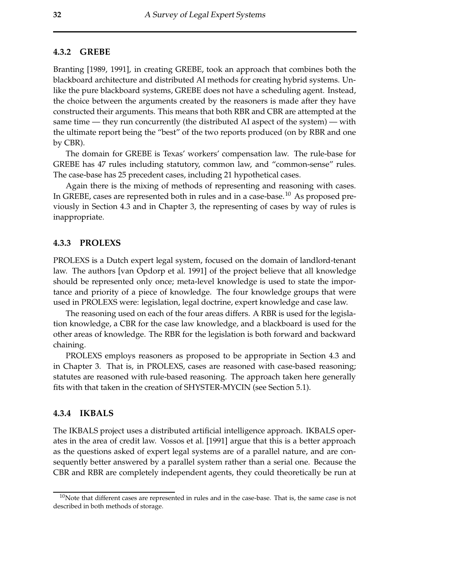#### **4.3.2 GREBE**

Branting [1989, 1991], in creating GREBE, took an approach that combines both the blackboard architecture and distributed AI methods for creating hybrid systems. Unlike the pure blackboard systems, GREBE does not have a scheduling agent. Instead, the choice between the arguments created by the reasoners is made after they have constructed their arguments. This means that both RBR and CBR are attempted at the same time — they run concurrently (the distributed AI aspect of the system) — with the ultimate report being the "best" of the two reports produced (on by RBR and one by CBR).

The domain for GREBE is Texas' workers' compensation law. The rule-base for GREBE has 47 rules including statutory, common law, and "common-sense" rules. The case-base has 25 precedent cases, including 21 hypothetical cases.

Again there is the mixing of methods of representing and reasoning with cases. In GREBE, cases are represented both in rules and in a case-base.<sup>10</sup> As proposed previously in Section 4.3 and in Chapter 3, the representing of cases by way of rules is inappropriate.

### **4.3.3 PROLEXS**

PROLEXS is a Dutch expert legal system, focused on the domain of landlord-tenant law. The authors [van Opdorp et al. 1991] of the project believe that all knowledge should be represented only once; meta-level knowledge is used to state the importance and priority of a piece of knowledge. The four knowledge groups that were used in PROLEXS were: legislation, legal doctrine, expert knowledge and case law.

The reasoning used on each of the four areas differs. A RBR is used for the legislation knowledge, a CBR for the case law knowledge, and a blackboard is used for the other areas of knowledge. The RBR for the legislation is both forward and backward chaining.

PROLEXS employs reasoners as proposed to be appropriate in Section 4.3 and in Chapter 3. That is, in PROLEXS, cases are reasoned with case-based reasoning; statutes are reasoned with rule-based reasoning. The approach taken here generally fits with that taken in the creation of SHYSTER-MYCIN (see Section 5.1).

### **4.3.4 IKBALS**

The IKBALS project uses a distributed artificial intelligence approach. IKBALS operates in the area of credit law. Vossos et al. [1991] argue that this is a better approach as the questions asked of expert legal systems are of a parallel nature, and are consequently better answered by a parallel system rather than a serial one. Because the CBR and RBR are completely independent agents, they could theoretically be run at

 $10$ Note that different cases are represented in rules and in the case-base. That is, the same case is not described in both methods of storage.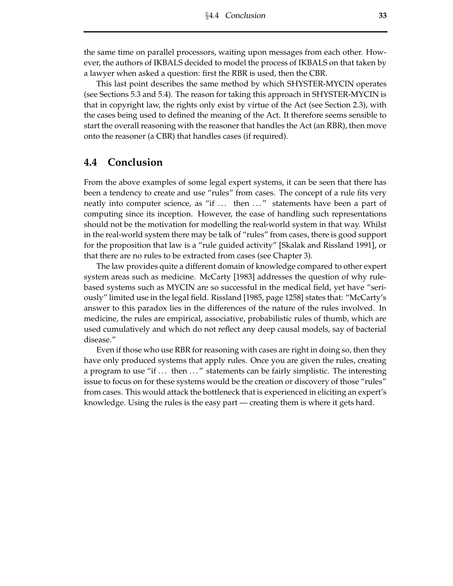the same time on parallel processors, waiting upon messages from each other. However, the authors of IKBALS decided to model the process of IKBALS on that taken by a lawyer when asked a question: first the RBR is used, then the CBR.

This last point describes the same method by which SHYSTER-MYCIN operates (see Sections 5.3 and 5.4). The reason for taking this approach in SHYSTER-MYCIN is that in copyright law, the rights only exist by virtue of the Act (see Section 2.3), with the cases being used to defined the meaning of the Act. It therefore seems sensible to start the overall reasoning with the reasoner that handles the Act (an RBR), then move onto the reasoner (a CBR) that handles cases (if required).

## **4.4 Conclusion**

From the above examples of some legal expert systems, it can be seen that there has been a tendency to create and use "rules" from cases. The concept of a rule fits very neatly into computer science, as "if ... then ..." statements have been a part of computing since its inception. However, the ease of handling such representations should not be the motivation for modelling the real-world system in that way. Whilst in the real-world system there may be talk of "rules" from cases, there is good support for the proposition that law is a "rule guided activity" [Skalak and Rissland 1991], or that there are no rules to be extracted from cases (see Chapter 3).

The law provides quite a different domain of knowledge compared to other expert system areas such as medicine. McCarty [1983] addresses the question of why rulebased systems such as MYCIN are so successful in the medical field, yet have "seriously" limited use in the legal field. Rissland [1985, page 1258] states that: "McCarty's answer to this paradox lies in the differences of the nature of the rules involved. In medicine, the rules are empirical, associative, probabilistic rules of thumb, which are used cumulatively and which do not reflect any deep causal models, say of bacterial disease."

Even if those who use RBR for reasoning with cases are right in doing so, then they have only produced systems that apply rules. Once you are given the rules, creating a program to use "if ... then ..." statements can be fairly simplistic. The interesting issue to focus on for these systems would be the creation or discovery of those "rules" from cases. This would attack the bottleneck that is experienced in eliciting an expert's knowledge. Using the rules is the easy part — creating them is where it gets hard.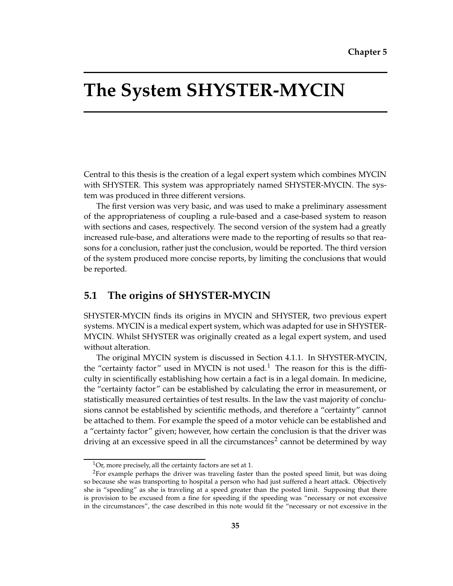## **The System SHYSTER-MYCIN**

Central to this thesis is the creation of a legal expert system which combines MYCIN with SHYSTER. This system was appropriately named SHYSTER-MYCIN. The system was produced in three different versions.

The first version was very basic, and was used to make a preliminary assessment of the appropriateness of coupling a rule-based and a case-based system to reason with sections and cases, respectively. The second version of the system had a greatly increased rule-base, and alterations were made to the reporting of results so that reasons for a conclusion, rather just the conclusion, would be reported. The third version of the system produced more concise reports, by limiting the conclusions that would be reported.

## **5.1 The origins of SHYSTER-MYCIN**

SHYSTER-MYCIN finds its origins in MYCIN and SHYSTER, two previous expert systems. MYCIN is a medical expert system, which was adapted for use in SHYSTER-MYCIN. Whilst SHYSTER was originally created as a legal expert system, and used without alteration.

The original MYCIN system is discussed in Section 4.1.1. In SHYSTER-MYCIN, the "certainty factor" used in MYCIN is not used.<sup>1</sup> The reason for this is the difficulty in scientifically establishing how certain a fact is in a legal domain. In medicine, the "certainty factor" can be established by calculating the error in measurement, or statistically measured certainties of test results. In the law the vast majority of conclusions cannot be established by scientific methods, and therefore a "certainty" cannot be attached to them. For example the speed of a motor vehicle can be established and a "certainty factor" given; however, how certain the conclusion is that the driver was driving at an excessive speed in all the circumstances<sup>2</sup> cannot be determined by way

 $1$ Or, more precisely, all the certainty factors are set at 1.

 ${}^{2}$ For example perhaps the driver was traveling faster than the posted speed limit, but was doing so because she was transporting to hospital a person who had just suffered a heart attack. Objectively she is "speeding" as she is traveling at a speed greater than the posted limit. Supposing that there is provision to be excused from a fine for speeding if the speeding was "necessary or not excessive in the circumstances", the case described in this note would fit the "necessary or not excessive in the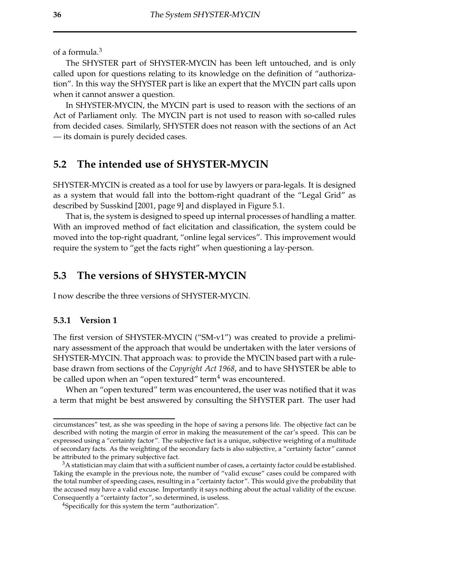of a formula.<sup>3</sup>

The SHYSTER part of SHYSTER-MYCIN has been left untouched, and is only called upon for questions relating to its knowledge on the definition of "authorization". In this way the SHYSTER part is like an expert that the MYCIN part calls upon when it cannot answer a question.

In SHYSTER-MYCIN, the MYCIN part is used to reason with the sections of an Act of Parliament only. The MYCIN part is not used to reason with so-called rules from decided cases. Similarly, SHYSTER does not reason with the sections of an Act — its domain is purely decided cases.

## **5.2 The intended use of SHYSTER-MYCIN**

SHYSTER-MYCIN is created as a tool for use by lawyers or para-legals. It is designed as a system that would fall into the bottom-right quadrant of the "Legal Grid" as described by Susskind [2001, page 9] and displayed in Figure 5.1.

That is, the system is designed to speed up internal processes of handling a matter. With an improved method of fact elicitation and classification, the system could be moved into the top-right quadrant, "online legal services". This improvement would require the system to "get the facts right" when questioning a lay-person.

## **5.3 The versions of SHYSTER-MYCIN**

I now describe the three versions of SHYSTER-MYCIN.

### **5.3.1 Version 1**

The first version of SHYSTER-MYCIN ("SM-v1") was created to provide a preliminary assessment of the approach that would be undertaken with the later versions of SHYSTER-MYCIN. That approach was: to provide the MYCIN based part with a rulebase drawn from sections of the *Copyright Act 1968*, and to have SHYSTER be able to be called upon when an "open textured" term<sup>4</sup> was encountered.

When an "open textured" term was encountered, the user was notified that it was a term that might be best answered by consulting the SHYSTER part. The user had

circumstances" test, as she was speeding in the hope of saving a persons life. The objective fact can be described with noting the margin of error in making the measurement of the car's speed. This can be expressed using a "certainty factor". The subjective fact is a unique, subjective weighting of a multitude of secondary facts. As the weighting of the secondary facts is also subjective, a "certainty factor" cannot be attributed to the primary subjective fact.

<sup>&</sup>lt;sup>3</sup>A statistician may claim that with a sufficient number of cases, a certainty factor could be established. Taking the example in the previous note, the number of "valid excuse" cases could be compared with the total number of speeding cases, resulting in a "certainty factor". This would give the probability that the accused *may* have a valid excuse. Importantly it says nothing about the actual validity of the excuse. Consequently a "certainty factor", so determined, is useless.

<sup>4</sup>Specifically for this system the term "authorization".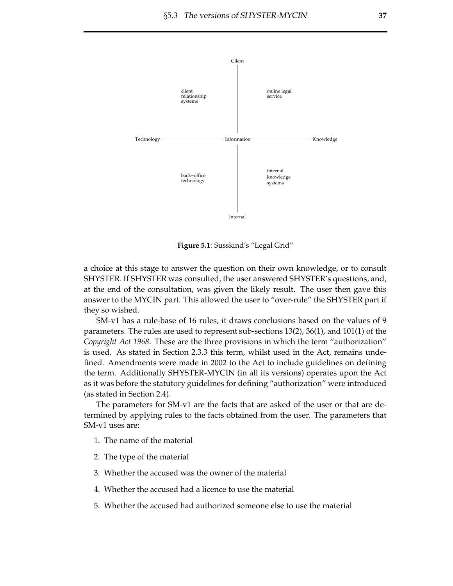

**Figure 5.1**: Susskind's "Legal Grid"

a choice at this stage to answer the question on their own knowledge, or to consult SHYSTER. If SHYSTER was consulted, the user answered SHYSTER's questions, and, at the end of the consultation, was given the likely result. The user then gave this answer to the MYCIN part. This allowed the user to "over-rule" the SHYSTER part if they so wished.

SM-v1 has a rule-base of 16 rules, it draws conclusions based on the values of 9 parameters. The rules are used to represent sub-sections 13(2), 36(1), and 101(1) of the *Copyright Act 1968*. These are the three provisions in which the term "authorization" is used. As stated in Section 2.3.3 this term, whilst used in the Act, remains undefined. Amendments were made in 2002 to the Act to include guidelines on defining the term. Additionally SHYSTER-MYCIN (in all its versions) operates upon the Act as it was before the statutory guidelines for defining "authorization" were introduced (as stated in Section 2.4).

The parameters for SM-v1 are the facts that are asked of the user or that are determined by applying rules to the facts obtained from the user. The parameters that SM-v1 uses are:

- 1. The name of the material
- 2. The type of the material
- 3. Whether the accused was the owner of the material
- 4. Whether the accused had a licence to use the material
- 5. Whether the accused had authorized someone else to use the material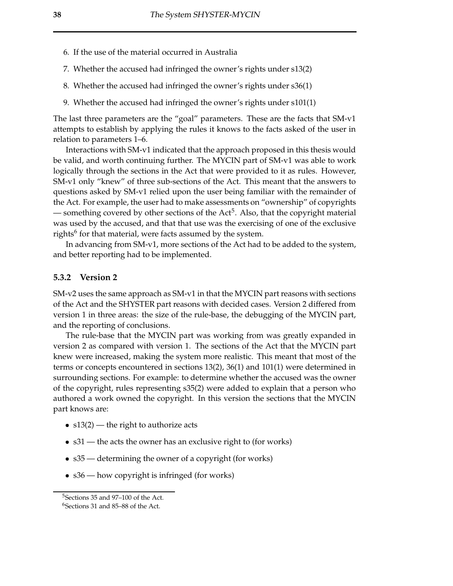- 6. If the use of the material occurred in Australia
- 7. Whether the accused had infringed the owner's rights under s13(2)
- 8. Whether the accused had infringed the owner's rights under s36(1)
- 9. Whether the accused had infringed the owner's rights under s101(1)

The last three parameters are the "goal" parameters. These are the facts that SM-v1 attempts to establish by applying the rules it knows to the facts asked of the user in relation to parameters 1–6.

Interactions with SM-v1 indicated that the approach proposed in this thesis would be valid, and worth continuing further. The MYCIN part of SM-v1 was able to work logically through the sections in the Act that were provided to it as rules. However, SM-v1 only "knew" of three sub-sections of the Act. This meant that the answers to questions asked by SM-v1 relied upon the user being familiar with the remainder of the Act. For example, the user had to make assessments on "ownership" of copyrights — something covered by other sections of the Act<sup>5</sup>. Also, that the copyright material was used by the accused, and that that use was the exercising of one of the exclusive rights<sup>6</sup> for that material, were facts assumed by the system.

In advancing from SM-v1, more sections of the Act had to be added to the system, and better reporting had to be implemented.

### **5.3.2 Version 2**

SM-v2 uses the same approach as SM-v1 in that the MYCIN part reasons with sections of the Act and the SHYSTER part reasons with decided cases. Version 2 differed from version 1 in three areas: the size of the rule-base, the debugging of the MYCIN part, and the reporting of conclusions.

The rule-base that the MYCIN part was working from was greatly expanded in version 2 as compared with version 1. The sections of the Act that the MYCIN part knew were increased, making the system more realistic. This meant that most of the terms or concepts encountered in sections 13(2), 36(1) and 101(1) were determined in surrounding sections. For example: to determine whether the accused was the owner of the copyright, rules representing s35(2) were added to explain that a person who authored a work owned the copyright. In this version the sections that the MYCIN part knows are:

- s13(2) the right to authorize acts
- s31 the acts the owner has an exclusive right to (for works)
- s35 determining the owner of a copyright (for works)
- s36 how copyright is infringed (for works)

<sup>5</sup>Sections 35 and 97–100 of the Act.

 $6$ Sections 31 and 85–88 of the Act.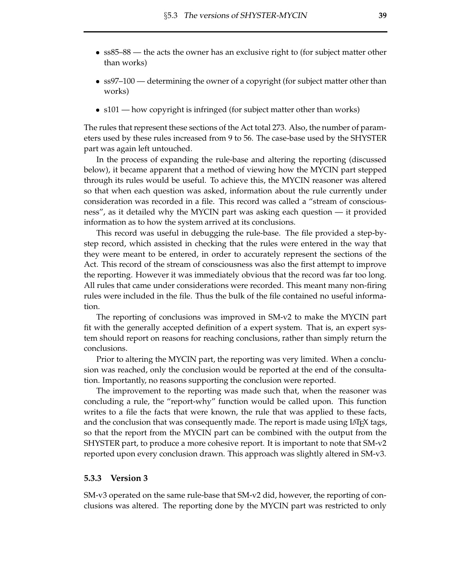- ss85–88 the acts the owner has an exclusive right to (for subject matter other than works)
- ss97–100 determining the owner of a copyright (for subject matter other than works)
- s101 how copyright is infringed (for subject matter other than works)

The rules that represent these sections of the Act total 273. Also, the number of parameters used by these rules increased from 9 to 56. The case-base used by the SHYSTER part was again left untouched.

In the process of expanding the rule-base and altering the reporting (discussed below), it became apparent that a method of viewing how the MYCIN part stepped through its rules would be useful. To achieve this, the MYCIN reasoner was altered so that when each question was asked, information about the rule currently under consideration was recorded in a file. This record was called a "stream of consciousness", as it detailed why the MYCIN part was asking each question — it provided information as to how the system arrived at its conclusions.

This record was useful in debugging the rule-base. The file provided a step-bystep record, which assisted in checking that the rules were entered in the way that they were meant to be entered, in order to accurately represent the sections of the Act. This record of the stream of consciousness was also the first attempt to improve the reporting. However it was immediately obvious that the record was far too long. All rules that came under considerations were recorded. This meant many non-firing rules were included in the file. Thus the bulk of the file contained no useful information.

The reporting of conclusions was improved in SM-v2 to make the MYCIN part fit with the generally accepted definition of a expert system. That is, an expert system should report on reasons for reaching conclusions, rather than simply return the conclusions.

Prior to altering the MYCIN part, the reporting was very limited. When a conclusion was reached, only the conclusion would be reported at the end of the consultation. Importantly, no reasons supporting the conclusion were reported.

The improvement to the reporting was made such that, when the reasoner was concluding a rule, the "report-why" function would be called upon. This function writes to a file the facts that were known, the rule that was applied to these facts, and the conclusion that was consequently made. The report is made using LAT<sub>E</sub>X tags, so that the report from the MYCIN part can be combined with the output from the SHYSTER part, to produce a more cohesive report. It is important to note that SM-v2 reported upon every conclusion drawn. This approach was slightly altered in SM-v3.

### **5.3.3 Version 3**

SM-v3 operated on the same rule-base that SM-v2 did, however, the reporting of conclusions was altered. The reporting done by the MYCIN part was restricted to only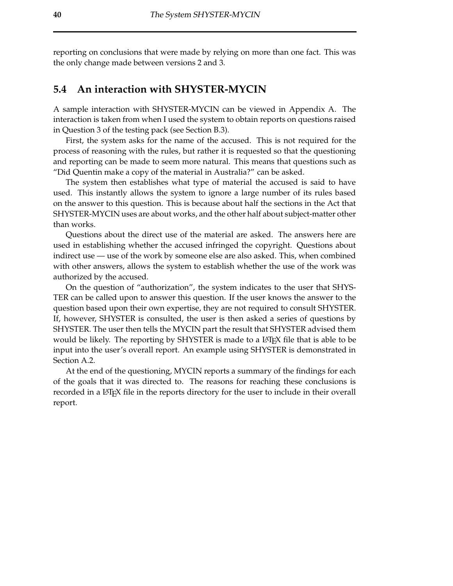reporting on conclusions that were made by relying on more than one fact. This was the only change made between versions 2 and 3.

## **5.4 An interaction with SHYSTER-MYCIN**

A sample interaction with SHYSTER-MYCIN can be viewed in Appendix A. The interaction is taken from when I used the system to obtain reports on questions raised in Question 3 of the testing pack (see Section B.3).

First, the system asks for the name of the accused. This is not required for the process of reasoning with the rules, but rather it is requested so that the questioning and reporting can be made to seem more natural. This means that questions such as "Did Quentin make a copy of the material in Australia?" can be asked.

The system then establishes what type of material the accused is said to have used. This instantly allows the system to ignore a large number of its rules based on the answer to this question. This is because about half the sections in the Act that SHYSTER-MYCIN uses are about works, and the other half about subject-matter other than works.

Questions about the direct use of the material are asked. The answers here are used in establishing whether the accused infringed the copyright. Questions about indirect use — use of the work by someone else are also asked. This, when combined with other answers, allows the system to establish whether the use of the work was authorized by the accused.

On the question of "authorization", the system indicates to the user that SHYS-TER can be called upon to answer this question. If the user knows the answer to the question based upon their own expertise, they are not required to consult SHYSTER. If, however, SHYSTER is consulted, the user is then asked a series of questions by SHYSTER. The user then tells the MYCIN part the result that SHYSTER advised them would be likely. The reporting by SHYSTER is made to a L<sup>AT</sup>EX file that is able to be input into the user's overall report. An example using SHYSTER is demonstrated in Section A.2.

At the end of the questioning, MYCIN reports a summary of the findings for each of the goals that it was directed to. The reasons for reaching these conclusions is recorded in a LATEX file in the reports directory for the user to include in their overall report.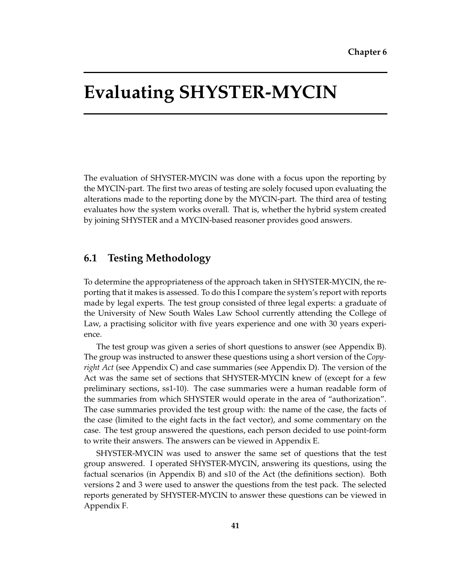## **Evaluating SHYSTER-MYCIN**

The evaluation of SHYSTER-MYCIN was done with a focus upon the reporting by the MYCIN-part. The first two areas of testing are solely focused upon evaluating the alterations made to the reporting done by the MYCIN-part. The third area of testing evaluates how the system works overall. That is, whether the hybrid system created by joining SHYSTER and a MYCIN-based reasoner provides good answers.

## **6.1 Testing Methodology**

To determine the appropriateness of the approach taken in SHYSTER-MYCIN, the reporting that it makes is assessed. To do this I compare the system's report with reports made by legal experts. The test group consisted of three legal experts: a graduate of the University of New South Wales Law School currently attending the College of Law, a practising solicitor with five years experience and one with 30 years experience.

The test group was given a series of short questions to answer (see Appendix B). The group was instructed to answer these questions using a short version of the *Copyright Act* (see Appendix C) and case summaries (see Appendix D). The version of the Act was the same set of sections that SHYSTER-MYCIN knew of (except for a few preliminary sections, ss1-10). The case summaries were a human readable form of the summaries from which SHYSTER would operate in the area of "authorization". The case summaries provided the test group with: the name of the case, the facts of the case (limited to the eight facts in the fact vector), and some commentary on the case. The test group answered the questions, each person decided to use point-form to write their answers. The answers can be viewed in Appendix E.

SHYSTER-MYCIN was used to answer the same set of questions that the test group answered. I operated SHYSTER-MYCIN, answering its questions, using the factual scenarios (in Appendix B) and s10 of the Act (the definitions section). Both versions 2 and 3 were used to answer the questions from the test pack. The selected reports generated by SHYSTER-MYCIN to answer these questions can be viewed in Appendix F.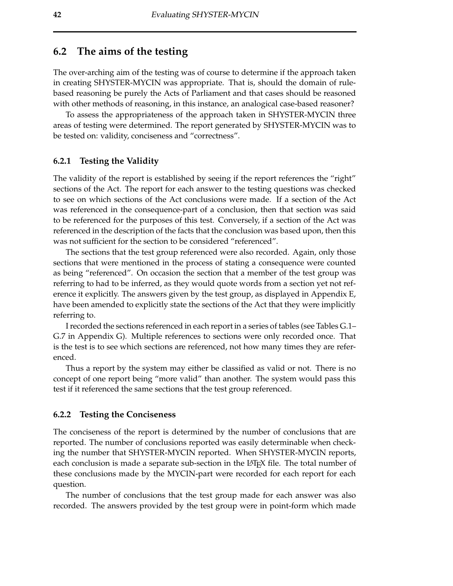## **6.2 The aims of the testing**

The over-arching aim of the testing was of course to determine if the approach taken in creating SHYSTER-MYCIN was appropriate. That is, should the domain of rulebased reasoning be purely the Acts of Parliament and that cases should be reasoned with other methods of reasoning, in this instance, an analogical case-based reasoner?

To assess the appropriateness of the approach taken in SHYSTER-MYCIN three areas of testing were determined. The report generated by SHYSTER-MYCIN was to be tested on: validity, conciseness and "correctness".

### **6.2.1 Testing the Validity**

The validity of the report is established by seeing if the report references the "right" sections of the Act. The report for each answer to the testing questions was checked to see on which sections of the Act conclusions were made. If a section of the Act was referenced in the consequence-part of a conclusion, then that section was said to be referenced for the purposes of this test. Conversely, if a section of the Act was referenced in the description of the facts that the conclusion was based upon, then this was not sufficient for the section to be considered "referenced".

The sections that the test group referenced were also recorded. Again, only those sections that were mentioned in the process of stating a consequence were counted as being "referenced". On occasion the section that a member of the test group was referring to had to be inferred, as they would quote words from a section yet not reference it explicitly. The answers given by the test group, as displayed in Appendix E, have been amended to explicitly state the sections of the Act that they were implicitly referring to.

Irecorded the sections referenced in each report in a series of tables (see Tables G.1– G.7 in Appendix G). Multiple references to sections were only recorded once. That is the test is to see which sections are referenced, not how many times they are referenced.

Thus a report by the system may either be classified as valid or not. There is no concept of one report being "more valid" than another. The system would pass this test if it referenced the same sections that the test group referenced.

#### **6.2.2 Testing the Conciseness**

The conciseness of the report is determined by the number of conclusions that are reported. The number of conclusions reported was easily determinable when checking the number that SHYSTER-MYCIN reported. When SHYSTER-MYCIN reports, each conclusion is made a separate sub-section in the LAT<sub>E</sub>X file. The total number of these conclusions made by the MYCIN-part were recorded for each report for each question.

The number of conclusions that the test group made for each answer was also recorded. The answers provided by the test group were in point-form which made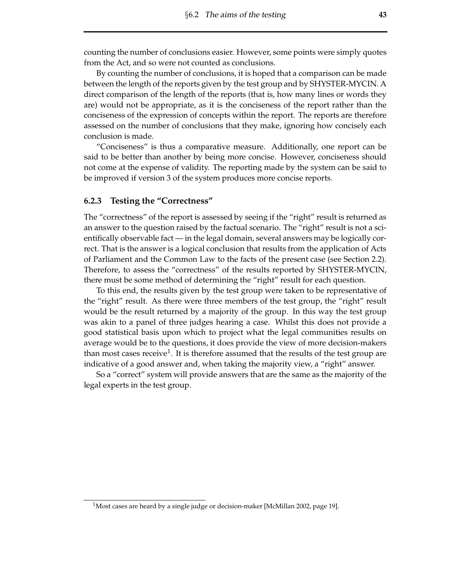counting the number of conclusions easier. However, some points were simply quotes from the Act, and so were not counted as conclusions.

By counting the number of conclusions, it is hoped that a comparison can be made between the length of the reports given by the test group and by SHYSTER-MYCIN. A direct comparison of the length of the reports (that is, how many lines or words they are) would not be appropriate, as it is the conciseness of the report rather than the conciseness of the expression of concepts within the report. The reports are therefore assessed on the number of conclusions that they make, ignoring how concisely each conclusion is made.

"Conciseness" is thus a comparative measure. Additionally, one report can be said to be better than another by being more concise. However, conciseness should not come at the expense of validity. The reporting made by the system can be said to be improved if version 3 of the system produces more concise reports.

#### **6.2.3 Testing the "Correctness"**

The "correctness" of the report is assessed by seeing if the "right" result is returned as an answer to the question raised by the factual scenario. The "right" result is not a scientifically observable fact — in the legal domain, several answers may be logically correct. That is the answer is a logical conclusion that results from the application of Acts of Parliament and the Common Law to the facts of the present case (see Section 2.2). Therefore, to assess the "correctness" of the results reported by SHYSTER-MYCIN, there must be some method of determining the "right" result for each question.

To this end, the results given by the test group were taken to be representative of the "right" result. As there were three members of the test group, the "right" result would be the result returned by a majority of the group. In this way the test group was akin to a panel of three judges hearing a case. Whilst this does not provide a good statistical basis upon which to project what the legal communities results on average would be to the questions, it does provide the view of more decision-makers than most cases receive<sup>1</sup>. It is therefore assumed that the results of the test group are indicative of a good answer and, when taking the majority view, a "right" answer.

So a "correct" system will provide answers that are the same as the majority of the legal experts in the test group.

<sup>&</sup>lt;sup>1</sup>Most cases are heard by a single judge or decision-maker [McMillan 2002, page 19].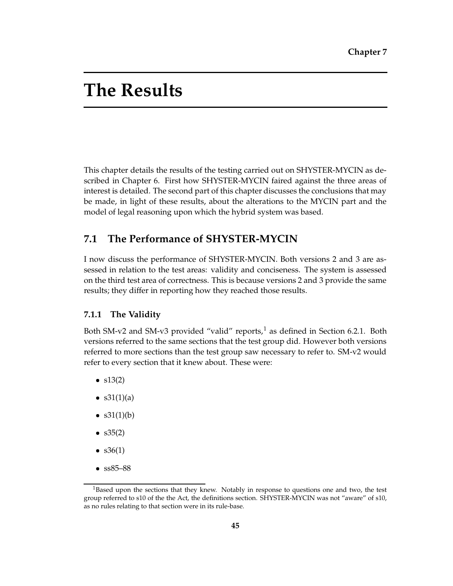## **The Results**

This chapter details the results of the testing carried out on SHYSTER-MYCIN as described in Chapter 6. First how SHYSTER-MYCIN faired against the three areas of interest is detailed. The second part of this chapter discusses the conclusions that may be made, in light of these results, about the alterations to the MYCIN part and the model of legal reasoning upon which the hybrid system was based.

## **7.1 The Performance of SHYSTER-MYCIN**

I now discuss the performance of SHYSTER-MYCIN. Both versions 2 and 3 are assessed in relation to the test areas: validity and conciseness. The system is assessed on the third test area of correctness. This is because versions 2 and 3 provide the same results; they differ in reporting how they reached those results.

### **7.1.1 The Validity**

Both SM-v2 and SM-v3 provided "valid" reports,<sup>1</sup> as defined in Section 6.2.1. Both versions referred to the same sections that the test group did. However both versions referred to more sections than the test group saw necessary to refer to. SM-v2 would refer to every section that it knew about. These were:

- $\bullet$  s13(2)
- $s31(1)(a)$
- $s31(1)(b)$
- $\bullet$  s35(2)
- $s36(1)$
- � ss85–88

<sup>&</sup>lt;sup>1</sup>Based upon the sections that they knew. Notably in response to questions one and two, the test group referred to s10 of the the Act, the definitions section. SHYSTER-MYCIN was not "aware" of s10, as no rules relating to that section were in its rule-base.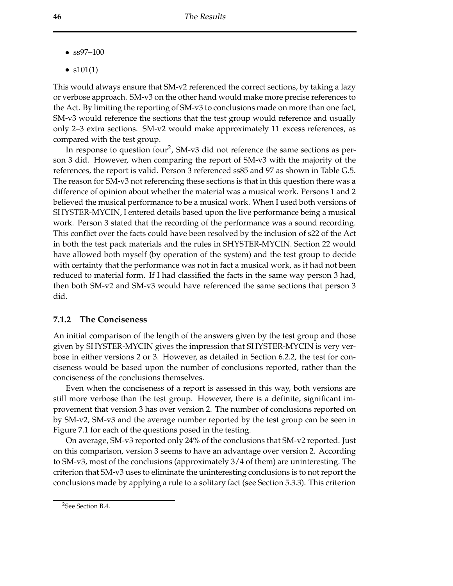- � ss97–100
- $s101(1)$

This would always ensure that SM-v2 referenced the correct sections, by taking a lazy or verbose approach. SM-v3 on the other hand would make more precise references to the Act. By limiting the reporting of SM-v3 to conclusions made on more than one fact, SM-v3 would reference the sections that the test group would reference and usually only 2–3 extra sections. SM-v2 would make approximately 11 excess references, as compared with the test group.

In response to question four<sup>2</sup>, SM-v3 did not reference the same sections as person 3 did. However, when comparing the report of SM-v3 with the majority of the references, the report is valid. Person 3 referenced ss85 and 97 as shown in Table G.5. The reason for SM-v3 not referencing these sections is that in this question there was a difference of opinion about whether the material was a musical work. Persons 1 and 2 believed the musical performance to be a musical work. When I used both versions of SHYSTER-MYCIN, I entered details based upon the live performance being a musical work. Person 3 stated that the recording of the performance was a sound recording. This conflict over the facts could have been resolved by the inclusion of s22 of the Act in both the test pack materials and the rules in SHYSTER-MYCIN. Section 22 would have allowed both myself (by operation of the system) and the test group to decide with certainty that the performance was not in fact a musical work, as it had not been reduced to material form. If I had classified the facts in the same way person 3 had, then both SM-v2 and SM-v3 would have referenced the same sections that person 3 did.

### **7.1.2 The Conciseness**

An initial comparison of the length of the answers given by the test group and those given by SHYSTER-MYCIN gives the impression that SHYSTER-MYCIN is very verbose in either versions 2 or 3. However, as detailed in Section 6.2.2, the test for conciseness would be based upon the number of conclusions reported, rather than the conciseness of the conclusions themselves.

Even when the conciseness of a report is assessed in this way, both versions are still more verbose than the test group. However, there is a definite, significant improvement that version 3 has over version 2. The number of conclusions reported on by SM-v2, SM-v3 and the average number reported by the test group can be seen in Figure 7.1 for each of the questions posed in the testing.

On average, SM-v3 reported only 24% of the conclusions that SM-v2 reported. Just on this comparison, version 3 seems to have an advantage over version 2. According to SM-v3, most of the conclusions (approximately 3/4 of them) are uninteresting. The criterion that SM-v3 uses to eliminate the uninteresting conclusions is to not report the conclusions made by applying a rule to a solitary fact (see Section 5.3.3). This criterion

<sup>&</sup>lt;sup>2</sup>See Section B.4.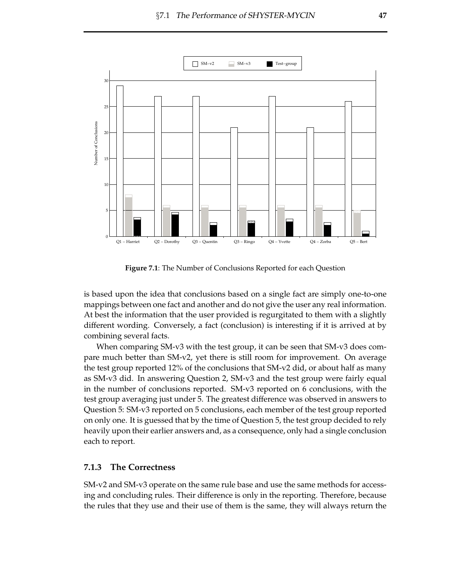

Figure 7.1: The Number of Conclusions Reported for each Question

is based upon the idea that conclusions based on a single fact are simply one-to-one mappings between one fact and another and do not give the user any real information. At best the information that the user provided is regurgitated to them with a slightly different wording. Conversely, a fact (conclusion) is interesting if it is arrived at by combining several facts.

When comparing SM-v3 with the test group, it can be seen that SM-v3 does compare much better than SM-v2, yet there is still room for improvement. On average the test group reported 12% of the conclusions that SM-v2 did, or about half as many as SM-v3 did. In answering Question 2, SM-v3 and the test group were fairly equal in the number of conclusions reported. SM-v3 reported on 6 conclusions, with the test group averaging just under 5. The greatest difference was observed in answers to Question 5: SM-v3 reported on 5 conclusions, each member of the test group reported on only one. It is guessed that by the time of Question 5, the test group decided to rely heavily upon their earlier answers and, as a consequence, only had a single conclusion each to report.

#### **The Correctness** 7.1.3

SM-v2 and SM-v3 operate on the same rule base and use the same methods for accessing and concluding rules. Their difference is only in the reporting. Therefore, because the rules that they use and their use of them is the same, they will always return the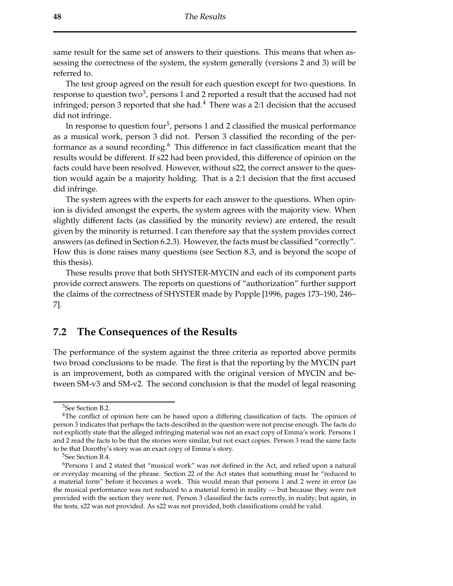same result for the same set of answers to their questions. This means that when assessing the correctness of the system, the system generally (versions 2 and 3) will be referred to.

The test group agreed on the result for each question except for two questions. In response to question two<sup>3</sup>, persons 1 and 2 reported a result that the accused had not infringed; person 3 reported that she had. $4$  There was a 2:1 decision that the accused did not infringe.

In response to question four<sup>5</sup>, persons 1 and 2 classified the musical performance as a musical work, person 3 did not. Person 3 classified the recording of the performance as a sound recording.<sup>6</sup> This difference in fact classification meant that the results would be different. If s22 had been provided, this difference of opinion on the facts could have been resolved. However, without s22, the correct answer to the question would again be a majority holding. That is a 2:1 decision that the first accused did infringe.

The system agrees with the experts for each answer to the questions. When opinion is divided amongst the experts, the system agrees with the majority view. When slightly different facts (as classified by the minority review) are entered, the result given by the minority is returned. I can therefore say that the system provides correct answers (as defined in Section 6.2.3). However, the facts must be classified "correctly". How this is done raises many questions (see Section 8.3, and is beyond the scope of this thesis).

These results prove that both SHYSTER-MYCIN and each of its component parts provide correct answers. The reports on questions of "authorization" further support the claims of the correctness of SHYSTER made by Popple [1996, pages 173–190, 246– 7].

## **7.2 The Consequences of the Results**

The performance of the system against the three criteria as reported above permits two broad conclusions to be made. The first is that the reporting by the MYCIN part is an improvement, both as compared with the original version of MYCIN and between SM-v3 and SM-v2. The second conclusion is that the model of legal reasoning

<sup>&</sup>lt;sup>3</sup>See Section B.2.

<sup>4</sup>The conflict of opinion here can be based upon a differing classification of facts. The opinion of person 3 indicates that perhaps the facts described in the question were not precise enough. The facts do not explicitly state that the alleged infringing material was not an exact copy of Emma's work. Persons 1 and 2 read the facts to be that the stories were similar, but not exact copies. Person 3 read the same facts to be that Dorothy's story was an exact copy of Emma's story.

<sup>5</sup>See Section B.4.

<sup>6</sup>Persons 1 and 2 stated that "musical work" was not defined in the Act, and relied upon a natural or everyday meaning of the phrase. Section 22 of the Act states that something must be "reduced to a material form" before it becomes a work. This would mean that persons 1 and 2 were in error (as the musical performance was not reduced to a material form) in reality — but because they were not provided with the section they were not. Person 3 classified the facts correctly, in reality; but again, in the tests, s22 was not provided. As s22 was not provided, both classifications could be valid.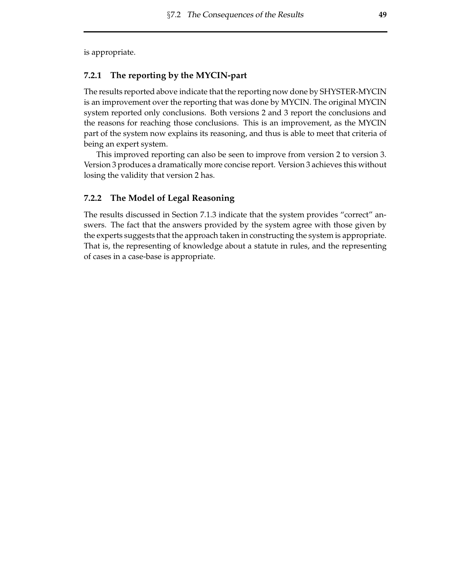is appropriate.

### **7.2.1 The reporting by the MYCIN-part**

The results reported above indicate that the reporting now done by SHYSTER-MYCIN is an improvement over the reporting that was done by MYCIN. The original MYCIN system reported only conclusions. Both versions 2 and 3 report the conclusions and the reasons for reaching those conclusions. This is an improvement, as the MYCIN part of the system now explains its reasoning, and thus is able to meet that criteria of being an expert system.

This improved reporting can also be seen to improve from version 2 to version 3. Version 3 produces a dramatically more concise report. Version 3 achieves this without losing the validity that version 2 has.

### **7.2.2 The Model of Legal Reasoning**

The results discussed in Section 7.1.3 indicate that the system provides "correct" answers. The fact that the answers provided by the system agree with those given by the experts suggests that the approach taken in constructing the system is appropriate. That is, the representing of knowledge about a statute in rules, and the representing of cases in a case-base is appropriate.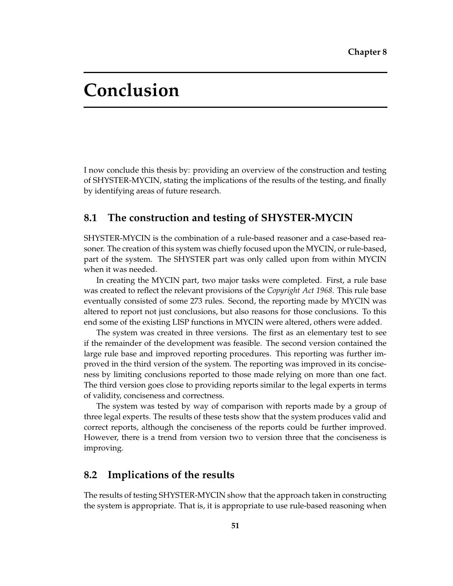## **Conclusion**

I now conclude this thesis by: providing an overview of the construction and testing of SHYSTER-MYCIN, stating the implications of the results of the testing, and finally by identifying areas of future research.

## **8.1 The construction and testing of SHYSTER-MYCIN**

SHYSTER-MYCIN is the combination of a rule-based reasoner and a case-based reasoner. The creation of this system was chiefly focused upon the MYCIN, orrule-based, part of the system. The SHYSTER part was only called upon from within MYCIN when it was needed.

In creating the MYCIN part, two major tasks were completed. First, a rule base was created to reflect the relevant provisions of the *Copyright Act 1968*. This rule base eventually consisted of some 273 rules. Second, the reporting made by MYCIN was altered to report not just conclusions, but also reasons for those conclusions. To this end some of the existing LISP functions in MYCIN were altered, others were added.

The system was created in three versions. The first as an elementary test to see if the remainder of the development was feasible. The second version contained the large rule base and improved reporting procedures. This reporting was further improved in the third version of the system. The reporting was improved in its conciseness by limiting conclusions reported to those made relying on more than one fact. The third version goes close to providing reports similar to the legal experts in terms of validity, conciseness and correctness.

The system was tested by way of comparison with reports made by a group of three legal experts. The results of these tests show that the system produces valid and correct reports, although the conciseness of the reports could be further improved. However, there is a trend from version two to version three that the conciseness is improving.

## **8.2 Implications of the results**

The results of testing SHYSTER-MYCIN show that the approach taken in constructing the system is appropriate. That is, it is appropriate to use rule-based reasoning when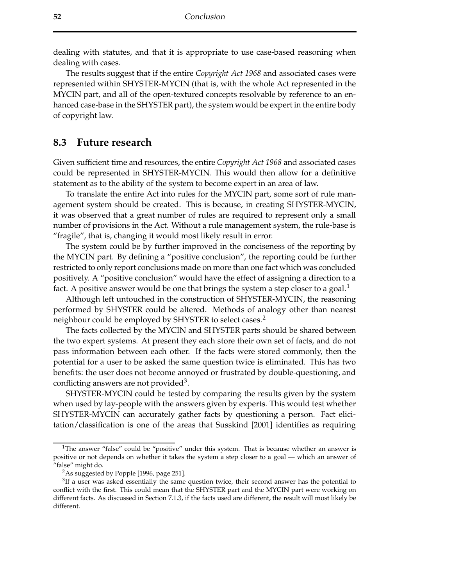dealing with statutes, and that it is appropriate to use case-based reasoning when dealing with cases.

The results suggest that if the entire *Copyright Act 1968* and associated cases were represented within SHYSTER-MYCIN (that is, with the whole Act represented in the MYCIN part, and all of the open-textured concepts resolvable by reference to an enhanced case-base in the SHYSTER part), the system would be expert in the entire body of copyright law.

### **8.3 Future research**

Given sufficient time and resources, the entire *Copyright Act 1968* and associated cases could be represented in SHYSTER-MYCIN. This would then allow for a definitive statement as to the ability of the system to become expert in an area of law.

To translate the entire Act into rules for the MYCIN part, some sort of rule management system should be created. This is because, in creating SHYSTER-MYCIN, it was observed that a great number of rules are required to represent only a small number of provisions in the Act. Without a rule management system, the rule-base is "fragile", that is, changing it would most likely result in error.

The system could be by further improved in the conciseness of the reporting by the MYCIN part. By defining a "positive conclusion", the reporting could be further restricted to only report conclusions made on more than one fact which was concluded positively. A "positive conclusion" would have the effect of assigning a direction to a fact. A positive answer would be one that brings the system a step closer to a goal. $<sup>1</sup>$ </sup>

Although left untouched in the construction of SHYSTER-MYCIN, the reasoning performed by SHYSTER could be altered. Methods of analogy other than nearest neighbour could be employed by SHYSTER to select cases.<sup>2</sup>

The facts collected by the MYCIN and SHYSTER parts should be shared between the two expert systems. At present they each store their own set of facts, and do not pass information between each other. If the facts were stored commonly, then the potential for a user to be asked the same question twice is eliminated. This has two benefits: the user does not become annoyed or frustrated by double-questioning, and conflicting answers are not provided<sup>3</sup>.

SHYSTER-MYCIN could be tested by comparing the results given by the system when used by lay-people with the answers given by experts. This would test whether SHYSTER-MYCIN can accurately gather facts by questioning a person. Fact elicitation/classification is one of the areas that Susskind [2001] identifies as requiring

<sup>&</sup>lt;sup>1</sup>The answer "false" could be "positive" under this system. That is because whether an answer is positive or not depends on whether it takes the system a step closer to a goal — which an answer of "false" might do.

<sup>&</sup>lt;sup>2</sup>As suggested by Popple [1996, page 251].

 $3$ If a user was asked essentially the same question twice, their second answer has the potential to conflict with the first. This could mean that the SHYSTER part and the MYCIN part were working on different facts. As discussed in Section 7.1.3, if the facts used are different, the result will most likely be different.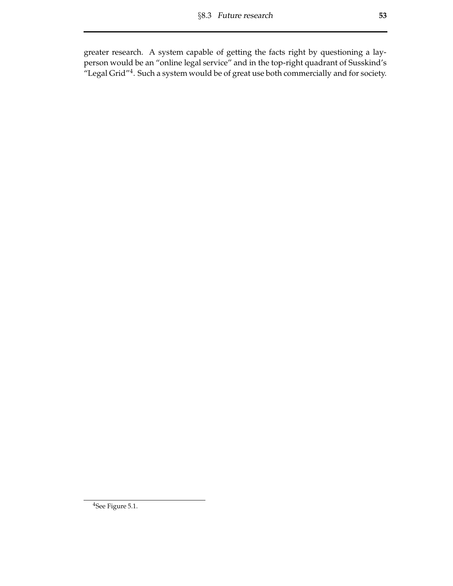greater research. A system capable of getting the facts right by questioning a layperson would be an "online legal service" and in the top-right quadrant of Susskind's "Legal Grid"4. Such a system would be of great use both commercially and for society.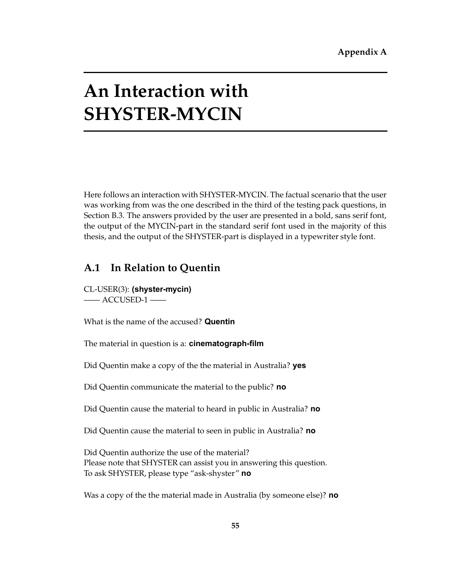# **An Interaction with SHYSTER-MYCIN**

Here follows an interaction with SHYSTER-MYCIN. The factual scenario that the user was working from was the one described in the third of the testing pack questions, in Section B.3. The answers provided by the user are presented in a bold, sans serif font, the output of the MYCIN-part in the standard serif font used in the majority of this thesis, and the output of the SHYSTER-part is displayed in a typewriter style font.

## **A.1 In Relation to Quentin**

CL-USER(3): **(shyster-mycin)**  —— ACCUSED-1 ——

What is the name of the accused? **Quentin** 

The material in question is a: **cinematograph-film** 

Did Quentin make a copy of the the material in Australia? **yes** 

Did Quentin communicate the material to the public? **no** 

Did Quentin cause the material to heard in public in Australia? **no** 

Did Quentin cause the material to seen in public in Australia? **no** 

Did Quentin authorize the use of the material? Please note that SHYSTER can assist you in answering this question. To ask SHYSTER, please type "ask-shyster" **no** 

Was a copy of the the material made in Australia (by someone else)? **no**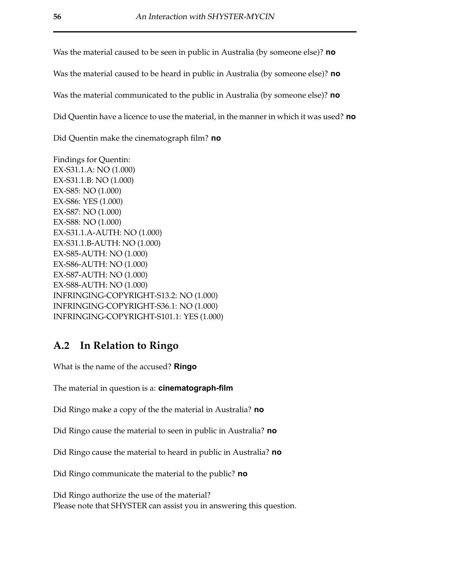Was the material caused to be seen in public in Australia (by someone else)? **no** 

Was the material caused to be heard in public in Australia (by someone else)? **no** 

Was the material communicated to the public in Australia (by someone else)? **no** 

Did Quentin have a licence to use the material, in the manner in which it was used? **no** 

Did Quentin make the cinematograph film? **no** 

Findings for Quentin: EX-S31.1.A: NO (1.000) EX-S31.1.B: NO (1.000) EX-S85: NO (1.000) EX-S86: YES (1.000) EX-S87: NO (1.000) EX-S88: NO (1.000) EX-S31.1.A-AUTH: NO (1.000) EX-S31.1.B-AUTH: NO (1.000) EX-S85-AUTH: NO (1.000) EX-S86-AUTH: NO (1.000) EX-S87-AUTH: NO (1.000) EX-S88-AUTH: NO (1.000) INFRINGING-COPYRIGHT-S13.2: NO (1.000) INFRINGING-COPYRIGHT-S36.1: NO (1.000) INFRINGING-COPYRIGHT-S101.1: YES (1.000)

## **A.2 In Relation to Ringo**

What is the name of the accused? **Ringo** 

The material in question is a: **cinematograph-film** 

Did Ringo make a copy of the the material in Australia? **no** 

Did Ringo cause the material to seen in public in Australia? **no** 

Did Ringo cause the material to heard in public in Australia? **no** 

Did Ringo communicate the material to the public? **no** 

Did Ringo authorize the use of the material? Please note that SHYSTER can assist you in answering this question.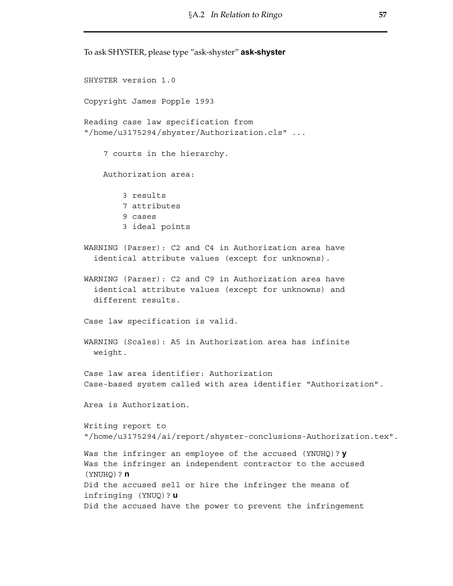To ask SHYSTER, please type "ask-shyster" **ask-shyster**  SHYSTER version 1.0 Copyright James Popple 1993 Reading case law specification from "/home/u3175294/shyster/Authorization.cls" ... 7 courts in the hierarchy. Authorization area: 3 results 7 attributes 9 cases 3 ideal points WARNING (Parser): C2 and C4 in Authorization area have identical attribute values (except for unknowns). WARNING (Parser): C2 and C9 in Authorization area have identical attribute values (except for unknowns) and different results. Case law specification is valid. WARNING (Scales): A5 in Authorization area has infinite weight. Case law area identifier: Authorization Case-based system called with area identifier "Authorization". Area is Authorization. Writing report to "/home/u3175294/ai/report/shyster-conclusions-Authorization.tex". Was the infringer an employee of the accused (YNUHQ)? **y**  Was the infringer an independent contractor to the accused (YNUHQ)? **n**  Did the accused sell or hire the infringer the means of infringing (YNUQ)? **u**  Did the accused have the power to prevent the infringement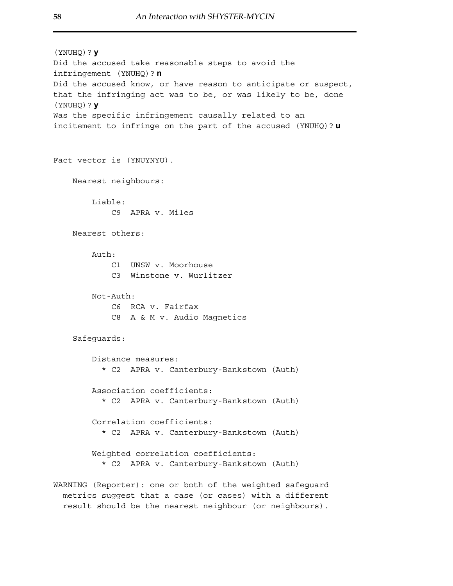```
(YNUHQ)? y 
Did the accused take reasonable steps to avoid the 
infringement (YNUHQ)? n 
Did the accused know, or have reason to anticipate or suspect, 
that the infringing act was to be, or was likely to be, done 
(YNUHQ)? y 
Was the specific infringement causally related to an 
incitement to infringe on the part of the accused (YNUHQ)? u 
Fact vector is (YNUYNYU). 
    Nearest neighbours: 
        Liable: 
            C9 APRA v. Miles 
    Nearest others: 
        Auth\cdotC1 UNSW v. Moorhouse 
            C3 Winstone v. Wurlitzer 
        Not-Auth: 
            C6 RCA v. Fairfax 
            C8 A & M v. Audio Magnetics 
    Safeguards: 
        Distance measures: 
          * C2 APRA v. Canterbury-Bankstown (Auth) 
        Association coefficients: 
          * C2 APRA v. Canterbury-Bankstown (Auth) 
        Correlation coefficients: 
          * C2 APRA v. Canterbury-Bankstown (Auth) 
        Weighted correlation coefficients: 
          * C2 APRA v. Canterbury-Bankstown (Auth) 
WARNING (Reporter): one or both of the weighted safeguard
```
metrics suggest that a case (or cases) with a different result should be the nearest neighbour (or neighbours).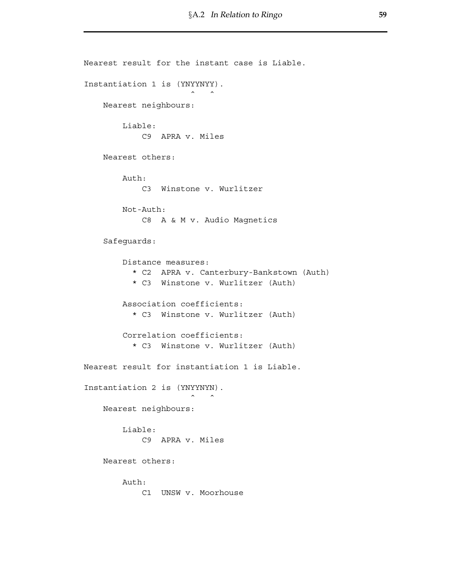```
Nearest result for the instant case is Liable. 
Instantiation 1 is (YNYYNYY). 
                        \hat{\phantom{a}}Nearest neighbours: 
        Liable: 
             C9 APRA v. Miles 
    Nearest others: 
        Auth: 
            C3 Winstone v. Wurlitzer 
        Not-Auth: 
            C8 A & M v. Audio Magnetics 
    Safeguards: 
        Distance measures: 
          * C2 APRA v. Canterbury-Bankstown (Auth) 
          * C3 Winstone v. Wurlitzer (Auth) 
        Association coefficients: 
           * C3 Winstone v. Wurlitzer (Auth) 
        Correlation coefficients: 
           * C3 Winstone v. Wurlitzer (Auth) 
Nearest result for instantiation 1 is Liable. 
Instantiation 2 is (YNYYNYN). 
                        \hat{\phantom{a}}Nearest neighbours: 
        Liable: 
            C9 APRA v. Miles 
    Nearest others: 
        Auth: 
            C1 UNSW v. Moorhouse
```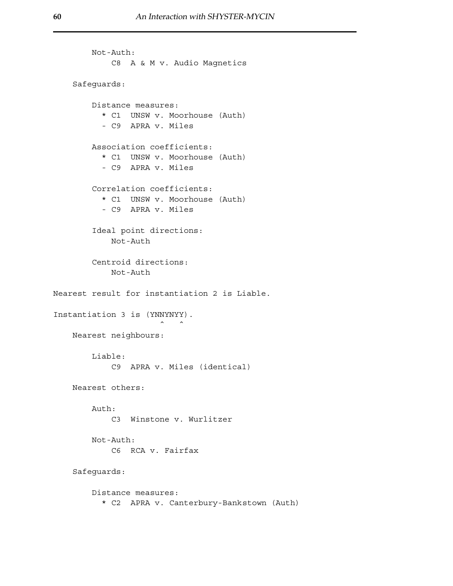```
Not-Auth: 
             C8 A & M v. Audio Magnetics 
    Safeguards: 
        Distance measures: 
           * C1 UNSW v. Moorhouse (Auth) 
           - C9 APRA v. Miles 
        Association coefficients: 
           * C1 UNSW v. Moorhouse (Auth) 
           - C9 APRA v. Miles 
        Correlation coefficients: 
           * C1 UNSW v. Moorhouse (Auth) 
           - C9 APRA v. Miles 
         Ideal point directions: 
             Not-Auth 
         Centroid directions: 
             Not-Auth 
Nearest result for instantiation 2 is Liable. 
Instantiation 3 is (YNNYNYY). 
                        \hat{\hspace{1cm}} \hat{\hspace{1cm}}Nearest neighbours: 
        Liable: 
             C9 APRA v. Miles (identical) 
    Nearest others: 
        Auth: 
             C3 Winstone v. Wurlitzer 
        Not-Auth: 
             C6 RCA v. Fairfax 
    Safeguards: 
        Distance measures: 
           * C2 APRA v. Canterbury-Bankstown (Auth)
```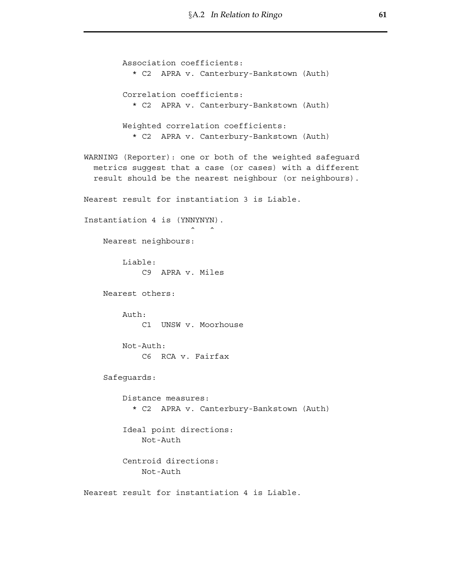Association coefficients: \* C2 APRA v. Canterbury-Bankstown (Auth) Correlation coefficients: \* C2 APRA v. Canterbury-Bankstown (Auth) Weighted correlation coefficients: \* C2 APRA v. Canterbury-Bankstown (Auth) WARNING (Reporter): one or both of the weighted safeguard metrics suggest that a case (or cases) with a different result should be the nearest neighbour (or neighbours). Nearest result for instantiation 3 is Liable. Instantiation 4 is (YNNYNYN).  $\hat{\hspace{1cm}}$   $\hat{\hspace{1cm}}$ Nearest neighbours: Liable: C9 APRA v. Miles Nearest others: Auth: C1 UNSW v. Moorhouse Not-Auth: C6 RCA v. Fairfax Safeguards: Distance measures: \* C2 APRA v. Canterbury-Bankstown (Auth) Ideal point directions: Not-Auth Centroid directions: Not-Auth Nearest result for instantiation 4 is Liable.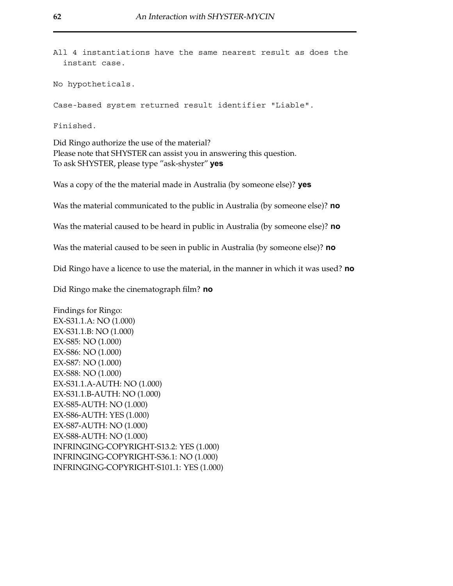All 4 instantiations have the same nearest result as does the instant case.

No hypotheticals.

Case-based system returned result identifier "Liable".

Finished.

Did Ringo authorize the use of the material? Please note that SHYSTER can assist you in answering this question. To ask SHYSTER, please type "ask-shyster" **yes** 

Was a copy of the the material made in Australia (by someone else)? **yes** 

Was the material communicated to the public in Australia (by someone else)? **no** 

Was the material caused to be heard in public in Australia (by someone else)? **no** 

Was the material caused to be seen in public in Australia (by someone else)? **no** 

Did Ringo have a licence to use the material, in the manner in which it was used? **no** 

Did Ringo make the cinematograph film? **no** 

Findings for Ringo: EX-S31.1.A: NO (1.000) EX-S31.1.B: NO (1.000) EX-S85: NO (1.000) EX-S86: NO (1.000) EX-S87: NO (1.000) EX-S88: NO (1.000) EX-S31.1.A-AUTH: NO (1.000) EX-S31.1.B-AUTH: NO (1.000) EX-S85-AUTH: NO (1.000) EX-S86-AUTH: YES (1.000) EX-S87-AUTH: NO (1.000) EX-S88-AUTH: NO (1.000) INFRINGING-COPYRIGHT-S13.2: YES (1.000) INFRINGING-COPYRIGHT-S36.1: NO (1.000) INFRINGING-COPYRIGHT-S101.1: YES (1.000)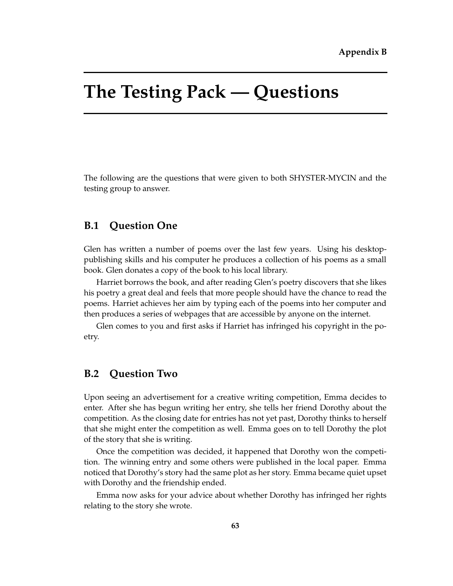# **The Testing Pack — Questions**

The following are the questions that were given to both SHYSTER-MYCIN and the testing group to answer.

# **B.1 Question One**

Glen has written a number of poems over the last few years. Using his desktoppublishing skills and his computer he produces a collection of his poems as a small book. Glen donates a copy of the book to his local library.

Harriet borrows the book, and after reading Glen's poetry discovers that she likes his poetry a great deal and feels that more people should have the chance to read the poems. Harriet achieves her aim by typing each of the poems into her computer and then produces a series of webpages that are accessible by anyone on the internet.

Glen comes to you and first asks if Harriet has infringed his copyright in the poetry.

# **B.2 Question Two**

Upon seeing an advertisement for a creative writing competition, Emma decides to enter. After she has begun writing her entry, she tells her friend Dorothy about the competition. As the closing date for entries has not yet past, Dorothy thinks to herself that she might enter the competition as well. Emma goes on to tell Dorothy the plot of the story that she is writing.

Once the competition was decided, it happened that Dorothy won the competition. The winning entry and some others were published in the local paper. Emma noticed that Dorothy's story had the same plot as her story. Emma became quiet upset with Dorothy and the friendship ended.

Emma now asks for your advice about whether Dorothy has infringed her rights relating to the story she wrote.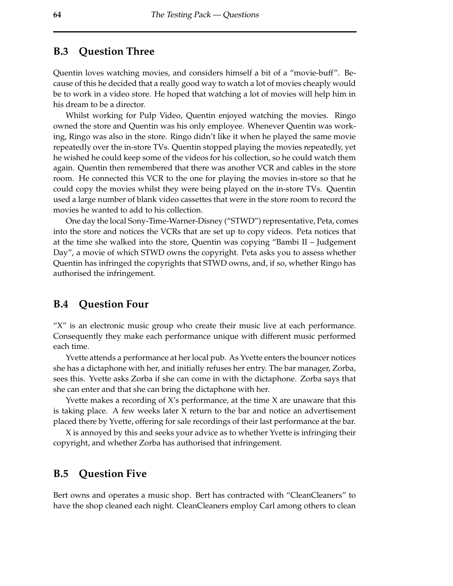# **B.3 Question Three**

Quentin loves watching movies, and considers himself a bit of a "movie-buff". Because of this he decided that a really good way to watch a lot of movies cheaply would be to work in a video store. He hoped that watching a lot of movies will help him in his dream to be a director.

Whilst working for Pulp Video, Quentin enjoyed watching the movies. Ringo owned the store and Quentin was his only employee. Whenever Quentin was working, Ringo was also in the store. Ringo didn't like it when he played the same movie repeatedly over the in-store TVs. Quentin stopped playing the movies repeatedly, yet he wished he could keep some of the videos for his collection, so he could watch them again. Quentin then remembered that there was another VCR and cables in the store room. He connected this VCR to the one for playing the movies in-store so that he could copy the movies whilst they were being played on the in-store TVs. Quentin used a large number of blank video cassettes that were in the store room to record the movies he wanted to add to his collection.

One day the local Sony-Time-Warner-Disney ("STWD") representative, Peta, comes into the store and notices the VCRs that are set up to copy videos. Peta notices that at the time she walked into the store, Quentin was copying "Bambi II – Judgement Day", a movie of which STWD owns the copyright. Peta asks you to assess whether Quentin has infringed the copyrights that STWD owns, and, if so, whether Ringo has authorised the infringement.

## **B.4 Question Four**

"X" is an electronic music group who create their music live at each performance. Consequently they make each performance unique with different music performed each time.

Yvette attends a performance at her local pub. As Yvette enters the bouncer notices she has a dictaphone with her, and initially refuses her entry. The bar manager, Zorba, sees this. Yvette asks Zorba if she can come in with the dictaphone. Zorba says that she can enter and that she can bring the dictaphone with her.

Yvette makes a recording of X's performance, at the time X are unaware that this is taking place. A few weeks later X return to the bar and notice an advertisement placed there by Yvette, offering for sale recordings of their last performance at the bar.

X is annoyed by this and seeks your advice as to whether Yvette is infringing their copyright, and whether Zorba has authorised that infringement.

## **B.5 Question Five**

Bert owns and operates a music shop. Bert has contracted with "CleanCleaners" to have the shop cleaned each night. CleanCleaners employ Carl among others to clean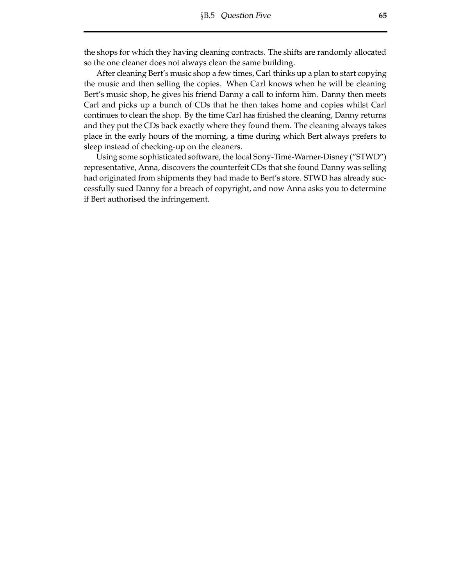the shops for which they having cleaning contracts. The shifts are randomly allocated so the one cleaner does not always clean the same building.

After cleaning Bert's music shop a few times, Carl thinks up a plan to start copying the music and then selling the copies. When Carl knows when he will be cleaning Bert's music shop, he gives his friend Danny a call to inform him. Danny then meets Carl and picks up a bunch of CDs that he then takes home and copies whilst Carl continues to clean the shop. By the time Carl has finished the cleaning, Danny returns and they put the CDs back exactly where they found them. The cleaning always takes place in the early hours of the morning, a time during which Bert always prefers to sleep instead of checking-up on the cleaners.

Using some sophisticated software, the local Sony-Time-Warner-Disney ("STWD") representative, Anna, discovers the counterfeit CDs that she found Danny was selling had originated from shipments they had made to Bert's store. STWD has already successfully sued Danny for a breach of copyright, and now Anna asks you to determine if Bert authorised the infringement.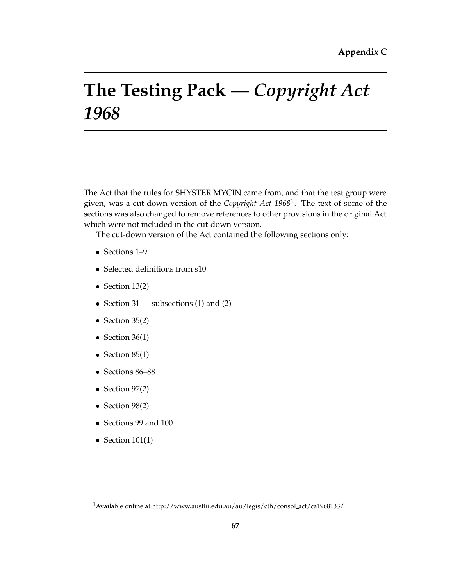# **The Testing Pack —** *Copyright Act 1968*

The Act that the rules for SHYSTER MYCIN came from, and that the test group were given, was a cut-down version of the *Copyright Act 1968*1. The text of some of the sections was also changed to remove references to other provisions in the original Act which were not included in the cut-down version.

The cut-down version of the Act contained the following sections only:

- � Sections 1–9
- Selected definitions from s10
- $\bullet$  Section 13(2)
- Section 31 subsections (1) and (2)
- $\bullet$  Section 35(2)
- Section  $36(1)$
- $\bullet$  Section 85(1)
- � Sections 86–88
- � Section 97(2)
- � Section 98(2)
- � Sections 99 and 100
- Section  $101(1)$

<sup>1</sup>Available online at [http://www.austlii.edu.au/au/legis/cth/consol](http://www.austlii.edu.au/au/legis/cth/consol act/ca1968133/) act/ca1968133/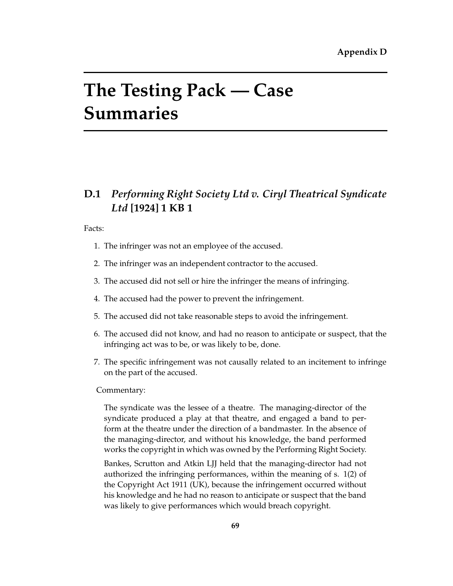# **The Testing Pack — Case Summaries**

# **D.1** *Performing Right Society Ltd v. Ciryl Theatrical Syndicate Ltd* **[1924] 1 KB 1**

Facts:

- 1. The infringer was not an employee of the accused.
- 2. The infringer was an independent contractor to the accused.
- 3. The accused did not sell or hire the infringer the means of infringing.
- 4. The accused had the power to prevent the infringement.
- 5. The accused did not take reasonable steps to avoid the infringement.
- 6. The accused did not know, and had no reason to anticipate or suspect, that the infringing act was to be, or was likely to be, done.
- 7. The specific infringement was not causally related to an incitement to infringe on the part of the accused.

## Commentary:

The syndicate was the lessee of a theatre. The managing-director of the syndicate produced a play at that theatre, and engaged a band to perform at the theatre under the direction of a bandmaster. In the absence of the managing-director, and without his knowledge, the band performed works the copyright in which was owned by the Performing Right Society.

Bankes, Scrutton and Atkin LJJ held that the managing-director had not authorized the infringing performances, within the meaning of s. 1(2) of the Copyright Act 1911 (UK), because the infringement occurred without his knowledge and he had no reason to anticipate or suspect that the band was likely to give performances which would breach copyright.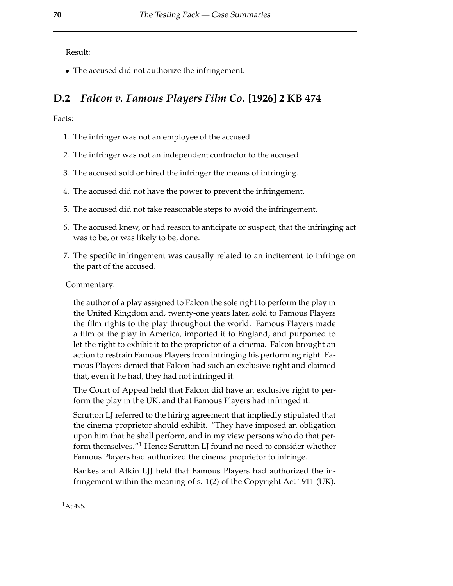Result:

• The accused did not authorize the infringement.

# **D.2** *Falcon v. Famous Players Film Co.* **[1926] 2 KB 474**

Facts:

- 1. The infringer was not an employee of the accused.
- 2. The infringer was not an independent contractor to the accused.
- 3. The accused sold or hired the infringer the means of infringing.
- 4. The accused did not have the power to prevent the infringement.
- 5. The accused did not take reasonable steps to avoid the infringement.
- 6. The accused knew, or had reason to anticipate or suspect, that the infringing act was to be, or was likely to be, done.
- 7. The specific infringement was causally related to an incitement to infringe on the part of the accused.

## Commentary:

the author of a play assigned to Falcon the sole right to perform the play in the United Kingdom and, twenty-one years later, sold to Famous Players the film rights to the play throughout the world. Famous Players made a film of the play in America, imported it to England, and purported to let the right to exhibit it to the proprietor of a cinema. Falcon brought an action to restrain Famous Players from infringing his performing right. Famous Players denied that Falcon had such an exclusive right and claimed that, even if he had, they had not infringed it.

The Court of Appeal held that Falcon did have an exclusive right to perform the play in the UK, and that Famous Players had infringed it.

Scrutton LJ referred to the hiring agreement that impliedly stipulated that the cinema proprietor should exhibit. "They have imposed an obligation upon him that he shall perform, and in my view persons who do that perform themselves."<sup>1</sup> Hence Scrutton LJ found no need to consider whether Famous Players had authorized the cinema proprietor to infringe.

Bankes and Atkin LJJ held that Famous Players had authorized the infringement within the meaning of s. 1(2) of the Copyright Act 1911 (UK).

 $1$ At 495.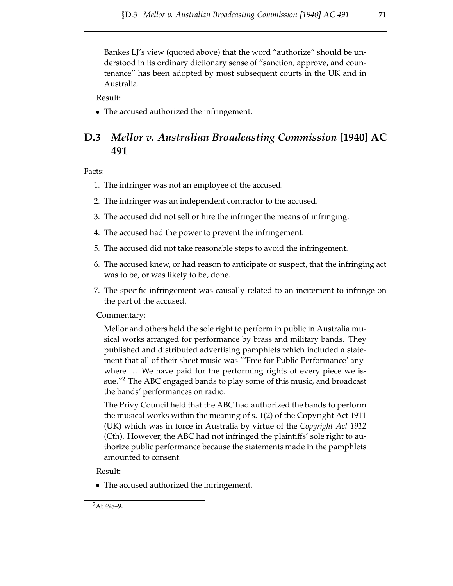Bankes LJ's view (quoted above) that the word "authorize" should be understood in its ordinary dictionary sense of "sanction, approve, and countenance" has been adopted by most subsequent courts in the UK and in Australia.

Result:

• The accused authorized the infringement.

# **D.3** *Mellor v. Australian Broadcasting Commission* **[1940] AC 491**

Facts:

- 1. The infringer was not an employee of the accused.
- 2. The infringer was an independent contractor to the accused.
- 3. The accused did not sell or hire the infringer the means of infringing.
- 4. The accused had the power to prevent the infringement.
- 5. The accused did not take reasonable steps to avoid the infringement.
- 6. The accused knew, or had reason to anticipate or suspect, that the infringing act was to be, or was likely to be, done.
- 7. The specific infringement was causally related to an incitement to infringe on the part of the accused.

## Commentary:

Mellor and others held the sole right to perform in public in Australia musical works arranged for performance by brass and military bands. They published and distributed advertising pamphlets which included a statement that all of their sheet music was "'Free for Public Performance' anywhere ... We have paid for the performing rights of every piece we issue."<sup>2</sup> The ABC engaged bands to play some of this music, and broadcast the bands' performances on radio.

The Privy Council held that the ABC had authorized the bands to perform the musical works within the meaning of s. 1(2) of the Copyright Act 1911 (UK) which was in force in Australia by virtue of the *Copyright Act 1912* (Cth). However, the ABC had not infringed the plaintiffs' sole right to authorize public performance because the statements made in the pamphlets amounted to consent.

Result:

• The accused authorized the infringement.

<sup>2</sup>At 498–9.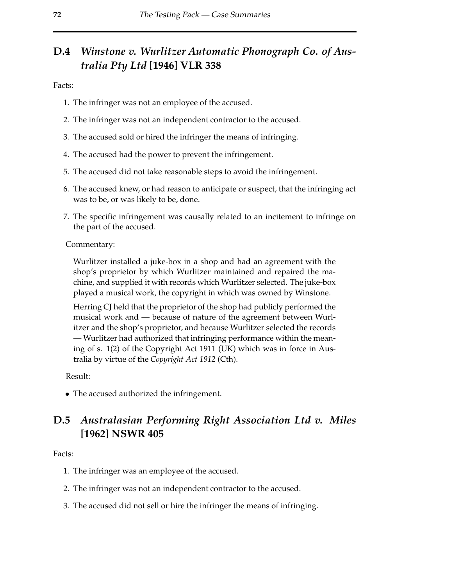# **D.4** *Winstone v. Wurlitzer Automatic Phonograph Co. of Australia Pty Ltd* **[1946] VLR 338**

Facts:

- 1. The infringer was not an employee of the accused.
- 2. The infringer was not an independent contractor to the accused.
- 3. The accused sold or hired the infringer the means of infringing.
- 4. The accused had the power to prevent the infringement.
- 5. The accused did not take reasonable steps to avoid the infringement.
- 6. The accused knew, or had reason to anticipate or suspect, that the infringing act was to be, or was likely to be, done.
- 7. The specific infringement was causally related to an incitement to infringe on the part of the accused.

Commentary:

Wurlitzer installed a juke-box in a shop and had an agreement with the shop's proprietor by which Wurlitzer maintained and repaired the machine, and supplied it with records which Wurlitzer selected. The juke-box played a musical work, the copyright in which was owned by Winstone.

Herring CJ held that the proprietor of the shop had publicly performed the musical work and — because of nature of the agreement between Wurlitzer and the shop's proprietor, and because Wurlitzer selected the records — Wurlitzer had authorized that infringing performance within the meaning of s. 1(2) of the Copyright Act 1911 (UK) which was in force in Australia by virtue of the *Copyright Act 1912* (Cth).

Result:

• The accused authorized the infringement.

# **D.5** *Australasian Performing Right Association Ltd v. Miles* **[1962] NSWR 405**

Facts:

- 1. The infringer was an employee of the accused.
- 2. The infringer was not an independent contractor to the accused.
- 3. The accused did not sell or hire the infringer the means of infringing.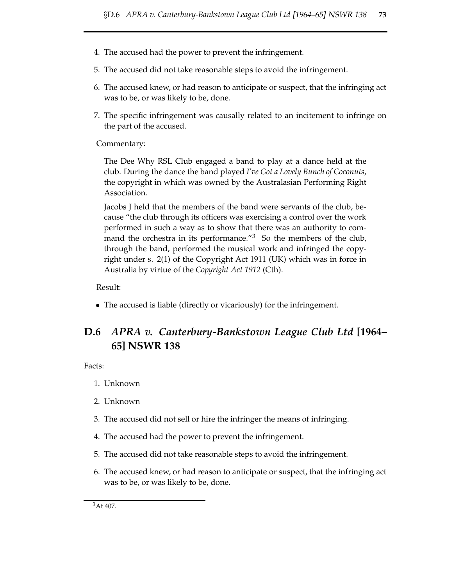- 4. The accused had the power to prevent the infringement.
- 5. The accused did not take reasonable steps to avoid the infringement.
- 6. The accused knew, or had reason to anticipate or suspect, that the infringing act was to be, or was likely to be, done.
- 7. The specific infringement was causally related to an incitement to infringe on the part of the accused.

Commentary:

The Dee Why RSL Club engaged a band to play at a dance held at the club. During the dance the band played *I've Got a Lovely Bunch of Coconuts*, the copyright in which was owned by the Australasian Performing Right Association.

Jacobs J held that the members of the band were servants of the club, because "the club through its officers was exercising a control over the work performed in such a way as to show that there was an authority to command the orchestra in its performance.<sup>"3</sup> So the members of the club, through the band, performed the musical work and infringed the copyright under s. 2(1) of the Copyright Act 1911 (UK) which was in force in Australia by virtue of the *Copyright Act 1912* (Cth).

Result:

• The accused is liable (directly or vicariously) for the infringement.

# **D.6** *APRA v. Canterbury-Bankstown League Club Ltd* **[1964– 65] NSWR 138**

Facts:

- 1. Unknown
- 2. Unknown
- 3. The accused did not sell or hire the infringer the means of infringing.
- 4. The accused had the power to prevent the infringement.
- 5. The accused did not take reasonable steps to avoid the infringement.
- 6. The accused knew, or had reason to anticipate or suspect, that the infringing act was to be, or was likely to be, done.

<sup>3</sup>At 407.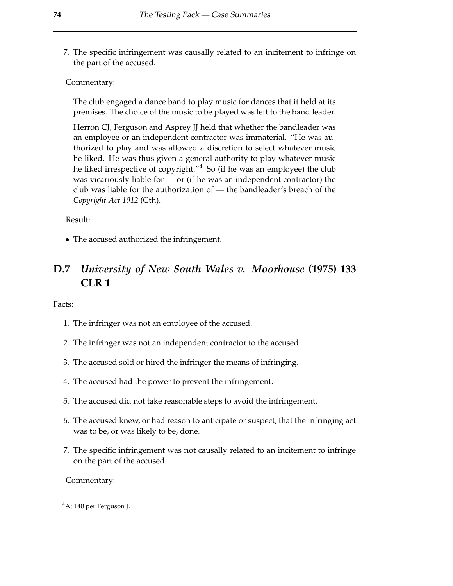7. The specific infringement was causally related to an incitement to infringe on the part of the accused.

Commentary:

The club engaged a dance band to play music for dances that it held at its premises. The choice of the music to be played was left to the band leader.

Herron CJ, Ferguson and Asprey JJ held that whether the bandleader was an employee or an independent contractor was immaterial. "He was authorized to play and was allowed a discretion to select whatever music he liked. He was thus given a general authority to play whatever music he liked irrespective of copyright."<sup>4</sup> So (if he was an employee) the club was vicariously liable for — or (if he was an independent contractor) the club was liable for the authorization of — the bandleader's breach of the *Copyright Act 1912* (Cth).

Result:

• The accused authorized the infringement.

# **D.7** *University of New South Wales v. Moorhouse* **(1975) 133 CLR 1**

Facts:

- 1. The infringer was not an employee of the accused.
- 2. The infringer was not an independent contractor to the accused.
- 3. The accused sold or hired the infringer the means of infringing.
- 4. The accused had the power to prevent the infringement.
- 5. The accused did not take reasonable steps to avoid the infringement.
- 6. The accused knew, or had reason to anticipate or suspect, that the infringing act was to be, or was likely to be, done.
- 7. The specific infringement was not causally related to an incitement to infringe on the part of the accused.

Commentary:

<sup>4</sup>At 140 per Ferguson J.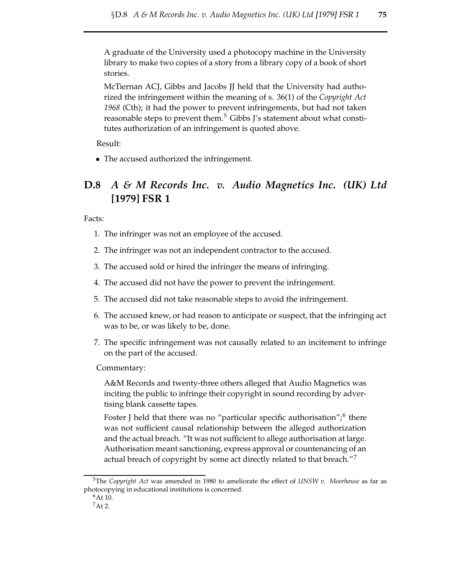A graduate of the University used a photocopy machine in the University library to make two copies of a story from a library copy of a book of short stories.

McTiernan ACJ, Gibbs and Jacobs JJ held that the University had authorized the infringement within the meaning of s. 36(1) of the *Copyright Act 1968* (Cth); it had the power to prevent infringements, but had not taken reasonable steps to prevent them.<sup>5</sup> Gibbs J's statement about what constitutes authorization of an infringement is quoted above.

Result:

• The accused authorized the infringement.

# **D.8** *A & M Records Inc. v. Audio Magnetics Inc. (UK) Ltd* **[1979] FSR 1**

Facts:

- 1. The infringer was not an employee of the accused.
- 2. The infringer was not an independent contractor to the accused.
- 3. The accused sold or hired the infringer the means of infringing.
- 4. The accused did not have the power to prevent the infringement.
- 5. The accused did not take reasonable steps to avoid the infringement.
- 6. The accused knew, or had reason to anticipate or suspect, that the infringing act was to be, or was likely to be, done.
- 7. The specific infringement was not causally related to an incitement to infringe on the part of the accused.

Commentary:

A&M Records and twenty-three others alleged that Audio Magnetics was inciting the public to infringe their copyright in sound recording by advertising blank cassette tapes.

Foster J held that there was no "particular specific authorisation";<sup>6</sup> there was not sufficient causal relationship between the alleged authorization and the actual breach. "It was not sufficient to allege authorisation at large. Authorisation meant sanctioning, express approval or countenancing of an actual breach of copyright by some act directly related to that breach."<sup>7</sup>

<sup>5</sup>The *Copyright Act* was amended in 1980 to ameliorate the effect of *UNSW v. Moorhouse* as far as photocopying in educational institutions is concerned.

<sup>6</sup>At 10.

<sup>7</sup>At 2.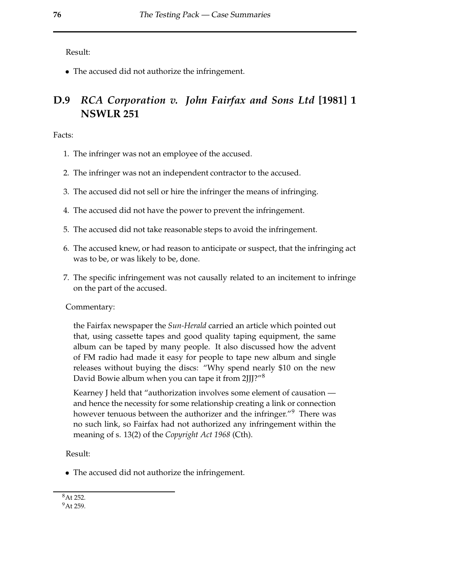Result:

� The accused did not authorize the infringement.

# **D.9** *RCA Corporation v. John Fairfax and Sons Ltd* **[1981] 1 NSWLR 251**

Facts:

- 1. The infringer was not an employee of the accused.
- 2. The infringer was not an independent contractor to the accused.
- 3. The accused did not sell or hire the infringer the means of infringing.
- 4. The accused did not have the power to prevent the infringement.
- 5. The accused did not take reasonable steps to avoid the infringement.
- 6. The accused knew, or had reason to anticipate or suspect, that the infringing act was to be, or was likely to be, done.
- 7. The specific infringement was not causally related to an incitement to infringe on the part of the accused.

Commentary:

the Fairfax newspaper the *Sun-Herald* carried an article which pointed out that, using cassette tapes and good quality taping equipment, the same album can be taped by many people. It also discussed how the advent of FM radio had made it easy for people to tape new album and single releases without buying the discs: "Why spend nearly \$10 on the new David Bowie album when you can tape it from 2JJJ?"<sup>8</sup>

Kearney J held that "authorization involves some element of causation and hence the necessity for some relationship creating a link or connection however tenuous between the authorizer and the infringer."<sup>9</sup> There was no such link, so Fairfax had not authorized any infringement within the meaning of s. 13(2) of the *Copyright Act 1968* (Cth).

Result:

� The accused did not authorize the infringement.

<sup>8</sup>At 252.

<sup>9</sup>At 259.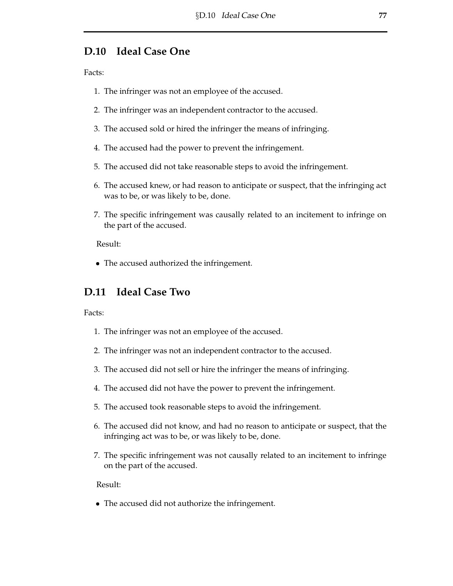# **D.10 Ideal Case One**

Facts:

- 1. The infringer was not an employee of the accused.
- 2. The infringer was an independent contractor to the accused.
- 3. The accused sold or hired the infringer the means of infringing.
- 4. The accused had the power to prevent the infringement.
- 5. The accused did not take reasonable steps to avoid the infringement.
- 6. The accused knew, or had reason to anticipate or suspect, that the infringing act was to be, or was likely to be, done.
- 7. The specific infringement was causally related to an incitement to infringe on the part of the accused.

Result:

• The accused authorized the infringement.

# **D.11 Ideal Case Two**

Facts:

- 1. The infringer was not an employee of the accused.
- 2. The infringer was not an independent contractor to the accused.
- 3. The accused did not sell or hire the infringer the means of infringing.
- 4. The accused did not have the power to prevent the infringement.
- 5. The accused took reasonable steps to avoid the infringement.
- 6. The accused did not know, and had no reason to anticipate or suspect, that the infringing act was to be, or was likely to be, done.
- 7. The specific infringement was not causally related to an incitement to infringe on the part of the accused.

Result:

� The accused did not authorize the infringement.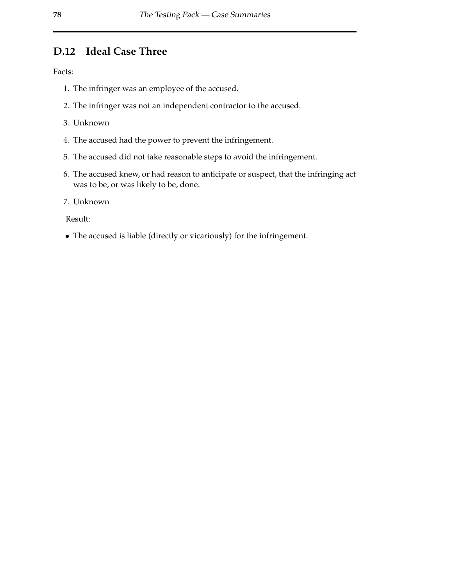# **D.12 Ideal Case Three**

Facts:

- 1. The infringer was an employee of the accused.
- 2. The infringer was not an independent contractor to the accused.
- 3. Unknown
- 4. The accused had the power to prevent the infringement.
- 5. The accused did not take reasonable steps to avoid the infringement.
- 6. The accused knew, or had reason to anticipate or suspect, that the infringing act was to be, or was likely to be, done.
- 7. Unknown

Result:

• The accused is liable (directly or vicariously) for the infringement.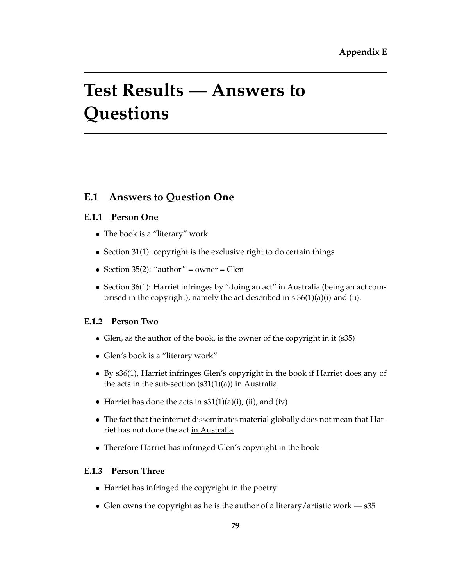# **Test Results — Answers to Questions**

# **E.1 Answers to Question One**

## **E.1.1 Person One**

- � The book is a "literary" work
- Section 31(1): copyright is the exclusive right to do certain things
- � Section 35(2): "author" = owner = Glen
- Section 36(1): Harriet infringes by "doing an act" in Australia (being an act comprised in the copyright), namely the act described in s 36(1)(a)(i) and (ii).

# **E.1.2 Person Two**

- Glen, as the author of the book, is the owner of the copyright in it (s35)
- � Glen's book is a "literary work"
- � By s36(1), Harriet infringes Glen's copyright in the book if Harriet does any of the acts in the sub-section  $(s31(1)(a))$  in Australia
- Harriet has done the acts in  $s31(1)(a)(i)$ , (ii), and (iv)
- � The fact that the internet disseminates material globally does not mean that Harriet has not done the act in Australia
- Therefore Harriet has infringed Glen's copyright in the book

# **E.1.3 Person Three**

- Harriet has infringed the copyright in the poetry
- Glen owns the copyright as he is the author of a literary/artistic work  $-$  s35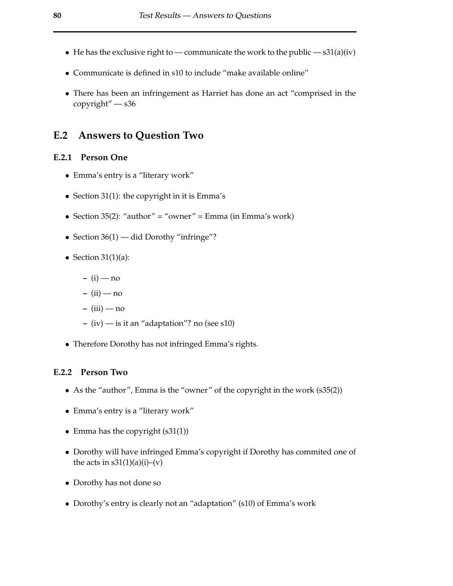- He has the exclusive right to communicate the work to the public  $s31(a)(iv)$
- � Communicate is defined in s10 to include "make available online"
- � There has been an infringement as Harriet has done an act "comprised in the copyright" — s36

## **E.2 Answers to Question Two**

#### **E.2.1 Person One**

- � Emma's entry is a "literary work"
- � Section 31(1): the copyright in it is Emma's
- � Section 35(2): "author" = "owner" = Emma (in Emma's work)
- Section 36(1) did Dorothy "infringe"?
- Section  $31(1)(a)$ :
	- **–** (i) no
	- **–** (ii) no
	- **–** (iii) no
	- **–** (iv) is it an "adaptation"? no (see s10)
- Therefore Dorothy has not infringed Emma's rights.

#### **E.2.2 Person Two**

- As the "author", Emma is the "owner" of the copyright in the work (s35(2))
- � Emma's entry is a "literary work"
- Emma has the copyright (s31(1))
- Dorothy will have infringed Emma's copyright if Dorothy has commited one of the acts in  $s31(1)(a)(i)-(v)$
- � Dorothy has not done so
- � Dorothy's entry is clearly not an "adaptation" (s10) of Emma's work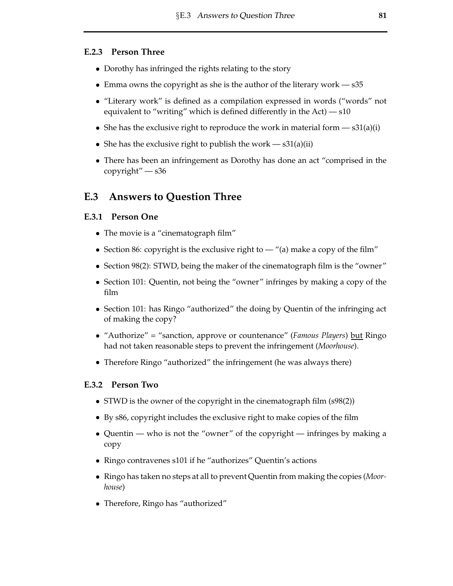#### **E.2.3 Person Three**

- Dorothy has infringed the rights relating to the story
- Emma owns the copyright as she is the author of the literary work  $s35$
- � "Literary work" is defined as a compilation expressed in words ("words" not equivalent to "writing" which is defined differently in the  $Act$ )  $- s10$
- She has the exclusive right to reproduce the work in material form  $s31(a)(i)$
- She has the exclusive right to publish the work  $s31(a)(ii)$
- There has been an infringement as Dorothy has done an act "comprised in the copyright" — s36

# **E.3 Answers to Question Three**

#### **E.3.1 Person One**

- The movie is a "cinematograph film"
- Section 86: copyright is the exclusive right to  $-$  "(a) make a copy of the film"
- Section 98(2): STWD, being the maker of the cinematograph film is the "owner"
- � Section 101: Quentin, not being the "owner" infringes by making a copy of the film
- Section 101: has Ringo "authorized" the doing by Quentin of the infringing act of making the copy?
- "Authorize" = "sanction, approve or countenance" (*Famous Players*) but Ringo had not taken reasonable steps to prevent the infringement (*Moorhouse*).
- Therefore Ringo "authorized" the infringement (he was always there)

## **E.3.2 Person Two**

- STWD is the owner of the copyright in the cinematograph film (s98(2))
- � By s86, copyright includes the exclusive right to make copies of the film
- Quentin who is not the "owner" of the copyright infringes by making a copy
- � Ringo contravenes s101 if he "authorizes" Quentin's actions
- � Ringo has taken no steps at all to prevent Quentin from making the copies (*Moorhouse*)
- � Therefore, Ringo has "authorized"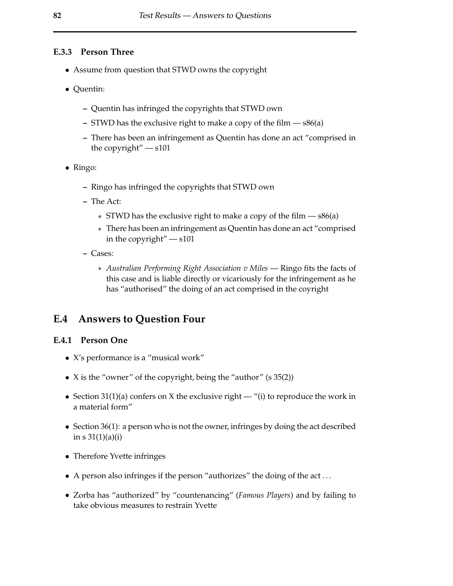#### **E.3.3 Person Three**

- � Assume from question that STWD owns the copyright
- � Quentin:
	- **–** Quentin has infringed the copyrights that STWD own
	- **–** STWD has the exclusive right to make a copy of the film s86(a)
	- **–** There has been an infringement as Quentin has done an act "comprised in the copyright" — s101
- � Ringo:
	- **–** Ringo has infringed the copyrights that STWD own
	- **–** The Act:
		- $*$  STWD has the exclusive right to make a copy of the film  $s86(a)$
		- � There has been an infringement as Quentin has done an act "comprised in the copyright" — s101
	- **–** Cases:
		- � *Australian Performing Right Association v Miles* Ringo fits the facts of this case and is liable directly or vicariously for the infringement as he has "authorised" the doing of an act comprised in the coyright

## **E.4 Answers to Question Four**

#### **E.4.1 Person One**

- � X's performance is a "musical work"
- X is the "owner" of the copyright, being the "author" (s 35(2))
- Section 31(1)(a) confers on X the exclusive right "(i) to reproduce the work in a material form"
- Section 36(1): a person who is not the owner, infringes by doing the act described in  $s \frac{31(1)}{a(i)}$
- Therefore Yvette infringes
- A person also infringes if the person "authorizes" the doing of the act ...
- � Zorba has "authorized" by "countenancing" (*Famous Players*) and by failing to take obvious measures to restrain Yvette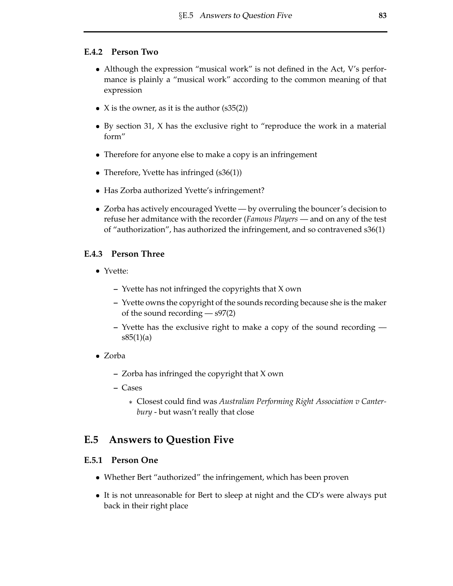#### **E.4.2 Person Two**

- Although the expression "musical work" is not defined in the Act, V's performance is plainly a "musical work" according to the common meaning of that expression
- X is the owner, as it is the author  $(s35(2))$
- � By section 31, X has the exclusive right to "reproduce the work in a material form"
- Therefore for anyone else to make a copy is an infringement
- Therefore, Yvette has infringed (s36(1))
- � Has Zorba authorized Yvette's infringement?
- � Zorba has actively encouraged Yvette by overruling the bouncer's decision to refuse her admitance with the recorder (*Famous Players* — and on any of the test of "authorization", has authorized the infringement, and so contravened s36(1)

#### **E.4.3 Person Three**

- � Yvette:
	- **–** Yvette has not infringed the copyrights that X own
	- **–** Yvette owns the copyright of the sounds recording because she is the maker of the sound recording — s97(2)
	- **–** Yvette has the exclusive right to make a copy of the sound recording  $s85(1)(a)$
- � Zorba
	- **–** Zorba has infringed the copyright that X own
	- **–** Cases
		- � Closest could find was *Australian Performing Right Association v Canterbury* - but wasn't really that close

# **E.5 Answers to Question Five**

#### **E.5.1 Person One**

- Whether Bert "authorized" the infringement, which has been proven
- � It is not unreasonable for Bert to sleep at night and the CD's were always put back in their right place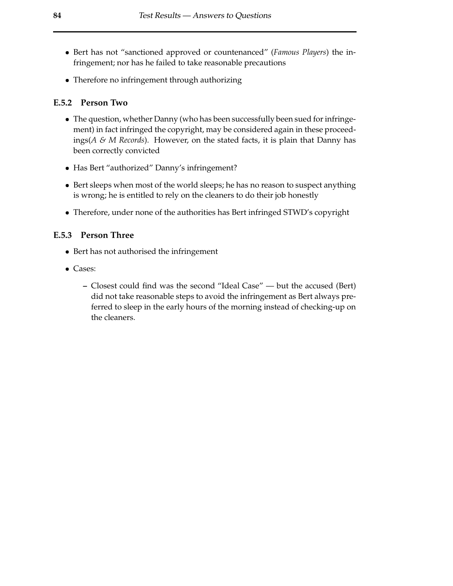- � Bert has not "sanctioned approved or countenanced" (*Famous Players*) the infringement; nor has he failed to take reasonable precautions
- Therefore no infringement through authorizing

#### **E.5.2 Person Two**

- � The question, whether Danny (who has been successfully been sued forinfringement) in fact infringed the copyright, may be considered again in these proceedings(*A & M Records*). However, on the stated facts, it is plain that Danny has been correctly convicted
- � Has Bert "authorized" Danny's infringement?
- � Bert sleeps when most of the world sleeps; he has no reason to suspect anything is wrong; he is entitled to rely on the cleaners to do their job honestly
- � Therefore, under none of the authorities has Bert infringed STWD's copyright

#### **E.5.3 Person Three**

- � Bert has not authorised the infringement
- � Cases:
	- **–** Closest could find was the second "Ideal Case" but the accused (Bert) did not take reasonable steps to avoid the infringement as Bert always preferred to sleep in the early hours of the morning instead of checking-up on the cleaners.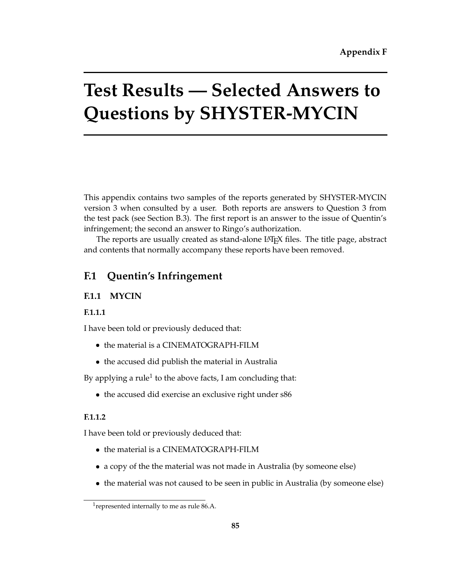# **Test Results — Selected Answers to Questions by SHYSTER-MYCIN**

This appendix contains two samples of the reports generated by SHYSTER-MYCIN version 3 when consulted by a user. Both reports are answers to Question 3 from the test pack (see Section B.3). The first report is an answer to the issue of Quentin's infringement; the second an answer to Ringo's authorization.

The reports are usually created as stand-alone LATEX files. The title page, abstract and contents that normally accompany these reports have been removed.

# **F.1 Quentin's Infringement**

# **F.1.1 MYCIN**

# **F.1.1.1**

I have been told or previously deduced that:

- � the material is a CINEMATOGRAPH-FILM
- � the accused did publish the material in Australia

By applying a rule<sup>1</sup> to the above facts, I am concluding that:

• the accused did exercise an exclusive right under s86

# **F.1.1.2**

I have been told or previously deduced that:

- � the material is a CINEMATOGRAPH-FILM
- � a copy of the the material was not made in Australia (by someone else)
- � the material was not caused to be seen in public in Australia (by someone else)

<sup>&</sup>lt;sup>1</sup> represented internally to me as rule  $86.A$ .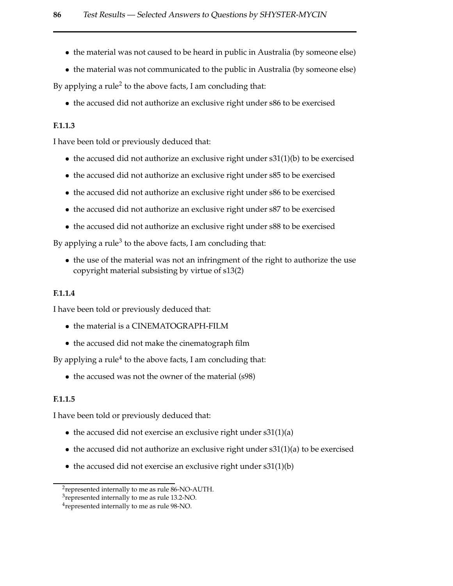- � the material was not caused to be heard in public in Australia (by someone else)
- � the material was not communicated to the public in Australia (by someone else)

By applying a rule<sup>2</sup> to the above facts, I am concluding that:

� the accused did not authorize an exclusive right under s86 to be exercised

#### **F.1.1.3**

I have been told or previously deduced that:

- � the accused did not authorize an exclusive right under s31(1)(b) to be exercised
- � the accused did not authorize an exclusive right under s85 to be exercised
- � the accused did not authorize an exclusive right under s86 to be exercised
- � the accused did not authorize an exclusive right under s87 to be exercised
- � the accused did not authorize an exclusive right under s88 to be exercised

By applying a rule<sup>3</sup> to the above facts, I am concluding that:

• the use of the material was not an infringment of the right to authorize the use copyright material subsisting by virtue of s13(2)

#### **F.1.1.4**

I have been told or previously deduced that:

- � the material is a CINEMATOGRAPH-FILM
- � the accused did not make the cinematograph film

By applying a rule<sup>4</sup> to the above facts, I am concluding that:

� the accused was not the owner of the material (s98)

#### **F.1.1.5**

I have been told or previously deduced that:

- the accused did not exercise an exclusive right under s31(1)(a)
- � the accused did not authorize an exclusive right under s31(1)(a) to be exercised
- � the accused did not exercise an exclusive right under s31(1)(b)

<sup>2</sup>represented internally to me as rule 86-NO-AUTH.

<sup>&</sup>lt;sup>3</sup>represented internally to me as rule 13.2-NO.

<sup>&</sup>lt;sup>4</sup> represented internally to me as rule 98-NO.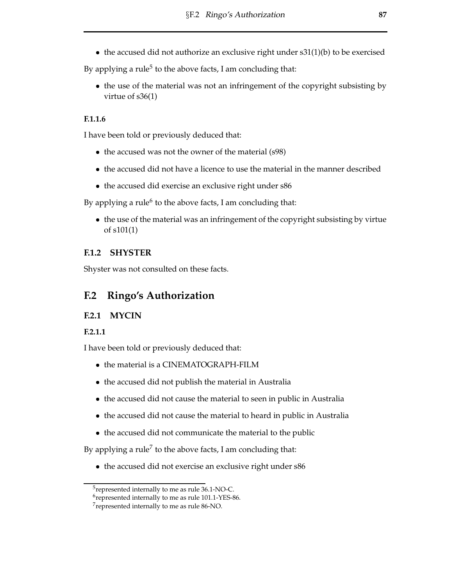• the accused did not authorize an exclusive right under s31(1)(b) to be exercised

By applying a rule<sup>5</sup> to the above facts, I am concluding that:

� the use of the material was not an infringement of the copyright subsisting by virtue of s36(1)

## **F.1.1.6**

I have been told or previously deduced that:

- the accused was not the owner of the material (s98)
- � the accused did not have a licence to use the material in the manner described
- the accused did exercise an exclusive right under s86

By applying a rule<sup>6</sup> to the above facts, I am concluding that:

� the use of the material was an infringement of the copyright subsisting by virtue of s101(1)

# **F.1.2 SHYSTER**

Shyster was not consulted on these facts.

# **F.2 Ringo's Authorization**

# **F.2.1 MYCIN**

# **F.2.1.1**

I have been told or previously deduced that:

- � the material is a CINEMATOGRAPH-FILM
- � the accused did not publish the material in Australia
- � the accused did not cause the material to seen in public in Australia
- � the accused did not cause the material to heard in public in Australia
- � the accused did not communicate the material to the public

By applying a rule<sup>7</sup> to the above facts, I am concluding that:

• the accused did not exercise an exclusive right under s86

<sup>&</sup>lt;sup>5</sup> represented internally to me as rule 36.1-NO-C.

<sup>6</sup>represented internally to me as rule 101.1-YES-86.

<sup>7</sup>represented internally to me as rule 86-NO.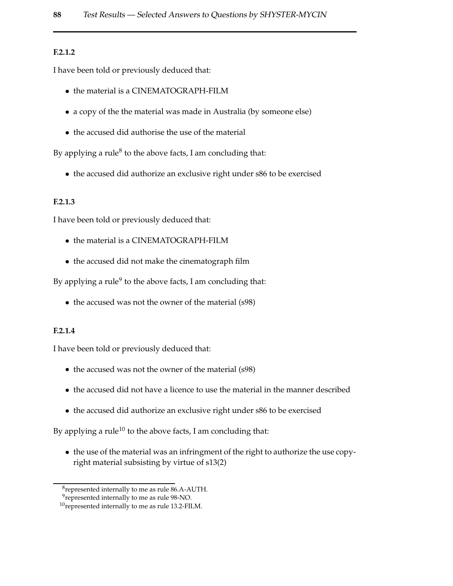#### **F.2.1.2**

I have been told or previously deduced that:

- � the material is a CINEMATOGRAPH-FILM
- � a copy of the the material was made in Australia (by someone else)
- � the accused did authorise the use of the material

By applying a rule<sup>8</sup> to the above facts, I am concluding that:

� the accused did authorize an exclusive right under s86 to be exercised

#### **F.2.1.3**

I have been told or previously deduced that:

- � the material is a CINEMATOGRAPH-FILM
- � the accused did not make the cinematograph film

By applying a rule<sup>9</sup> to the above facts, I am concluding that:

• the accused was not the owner of the material (s98)

#### **F.2.1.4**

I have been told or previously deduced that:

- the accused was not the owner of the material (s98)
- � the accused did not have a licence to use the material in the manner described
- � the accused did authorize an exclusive right under s86 to be exercised

By applying a rule<sup>10</sup> to the above facts, I am concluding that:

• the use of the material was an infringment of the right to authorize the use copyright material subsisting by virtue of s13(2)

<sup>8</sup>represented internally to me as rule 86.A-AUTH.

<sup>&</sup>lt;sup>9</sup>represented internally to me as rule 98-NO.

 $10$ represented internally to me as rule 13.2-FILM.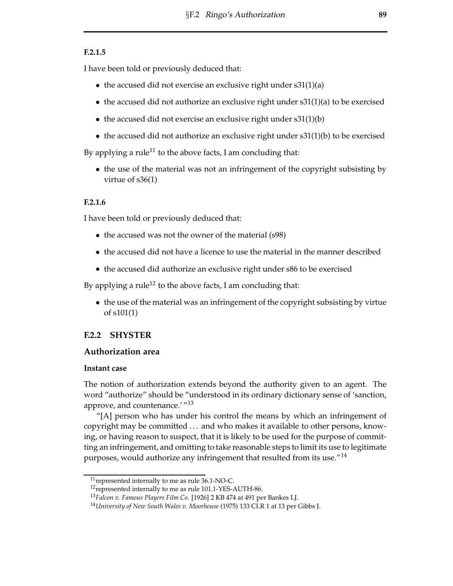#### **F.2.1.5**

I have been told or previously deduced that:

- the accused did not exercise an exclusive right under s31(1)(a)
- � the accused did not authorize an exclusive right under s31(1)(a) to be exercised
- the accused did not exercise an exclusive right under s31(1)(b)
- � the accused did not authorize an exclusive right under s31(1)(b) to be exercised

By applying a rule<sup>11</sup> to the above facts, I am concluding that:

� the use of the material was not an infringement of the copyright subsisting by virtue of s36(1)

#### **F.2.1.6**

I have been told or previously deduced that:

- the accused was not the owner of the material (s98)
- � the accused did not have a licence to use the material in the manner described
- � the accused did authorize an exclusive right under s86 to be exercised

By applying a rule<sup>12</sup> to the above facts, I am concluding that:

� the use of the material was an infringement of the copyright subsisting by virtue of s101(1)

#### **F.2.2 SHYSTER**

#### **Authorization area**

#### **Instant case**

The notion of authorization extends beyond the authority given to an agent. The word "authorize" should be "understood in its ordinary dictionary sense of 'sanction, approve, and countenance.' "<sup>13</sup>

"[A] person who has under his control the means by which an infringement of copyright may be committed . . . and who makes it available to other persons, knowing, or having reason to suspect, that it is likely to be used for the purpose of committing an infringement, and omitting to take reasonable steps to limit its use to legitimate purposes, would authorize any infringement that resulted from its use."<sup>14</sup>

<sup>11</sup>represented internally to me as rule 36.1-NO-C.

<sup>&</sup>lt;sup>12</sup> represented internally to me as rule 101.1-YES-AUTH-86.

<sup>13</sup>*Falcon v. Famous Players Film Co.* [1926] 2 KB 474 at 491 per Bankes LJ.

<sup>14</sup>*University of New South Wales v. Moorhouse* (1975) 133 CLR 1 at 13 per Gibbs J.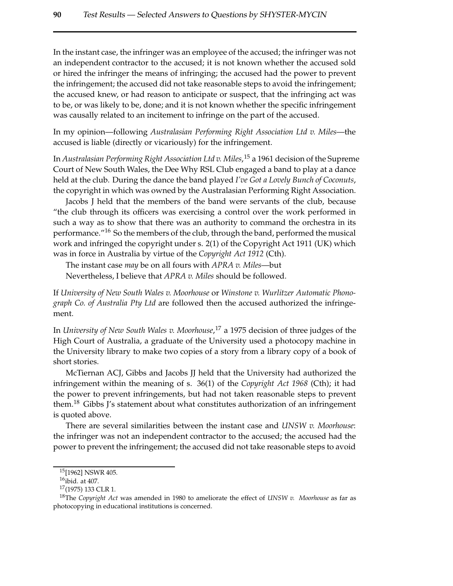In the instant case, the infringer was an employee of the accused; the infringer was not an independent contractor to the accused; it is not known whether the accused sold or hired the infringer the means of infringing; the accused had the power to prevent the infringement; the accused did not take reasonable steps to avoid the infringement; the accused knew, or had reason to anticipate or suspect, that the infringing act was to be, or was likely to be, done; and it is not known whether the specific infringement was causally related to an incitement to infringe on the part of the accused.

In my opinion—following *Australasian Performing Right Association Ltd v. Miles*—the accused is liable (directly or vicariously) for the infringement.

In *Australasian Performing Right Association Ltd v. Miles*, <sup>15</sup> a 1961 decision of the Supreme Court of New South Wales, the Dee Why RSL Club engaged a band to play at a dance held at the club. During the dance the band played *I've Got a Lovely Bunch of Coconuts*, the copyright in which was owned by the Australasian Performing Right Association.

Jacobs J held that the members of the band were servants of the club, because "the club through its officers was exercising a control over the work performed in such a way as to show that there was an authority to command the orchestra in its performance."<sup>16</sup> So the members of the club, through the band, performed the musical work and infringed the copyright under s. 2(1) of the Copyright Act 1911 (UK) which was in force in Australia by virtue of the *Copyright Act 1912* (Cth).

The instant case *may* be on all fours with *APRA v. Miles*—but Nevertheless, I believe that *APRA v. Miles* should be followed.

If *University of New South Wales v. Moorhouse* or *Winstone v. Wurlitzer Automatic Phonograph Co. of Australia Pty Ltd* are followed then the accused authorized the infringement.

In *University of New South Wales v. Moorhouse*, <sup>17</sup> a 1975 decision of three judges of the High Court of Australia, a graduate of the University used a photocopy machine in the University library to make two copies of a story from a library copy of a book of short stories.

McTiernan ACJ, Gibbs and Jacobs JJ held that the University had authorized the infringement within the meaning of s. 36(1) of the *Copyright Act 1968* (Cth); it had the power to prevent infringements, but had not taken reasonable steps to prevent them.<sup>18</sup> Gibbs J's statement about what constitutes authorization of an infringement is quoted above.

There are several similarities between the instant case and *UNSW v. Moorhouse*: the infringer was not an independent contractor to the accused; the accused had the power to prevent the infringement; the accused did not take reasonable steps to avoid

<sup>15</sup>[1962] NSWR 405.

<sup>16</sup>ibid. at 407.

 $17(1975)$  133 CLR 1.

<sup>18</sup>The *Copyright Act* was amended in 1980 to ameliorate the effect of *UNSW v. Moorhouse* as far as photocopying in educational institutions is concerned.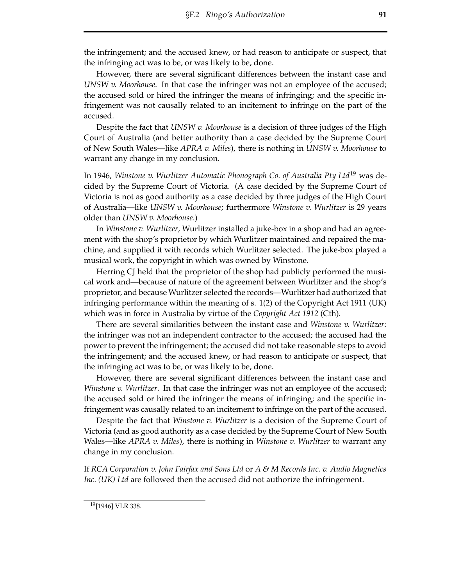the infringement; and the accused knew, or had reason to anticipate or suspect, that the infringing act was to be, or was likely to be, done.

However, there are several significant differences between the instant case and *UNSW v. Moorhouse*. In that case the infringer was not an employee of the accused; the accused sold or hired the infringer the means of infringing; and the specific infringement was not causally related to an incitement to infringe on the part of the accused.

Despite the fact that *UNSW v. Moorhouse* is a decision of three judges of the High Court of Australia (and better authority than a case decided by the Supreme Court of New South Wales—like *APRA v. Miles*), there is nothing in *UNSW v. Moorhouse* to warrant any change in my conclusion.

In 1946, *Winstone v. Wurlitzer Automatic Phonograph Co. of Australia Pty Ltd*<sup>19</sup> was decided by the Supreme Court of Victoria. (A case decided by the Supreme Court of Victoria is not as good authority as a case decided by three judges of the High Court of Australia—like *UNSW v. Moorhouse*; furthermore *Winstone v. Wurlitzer* is 29 years older than *UNSW v. Moorhouse*.)

In *Winstone v. Wurlitzer*, Wurlitzer installed a juke-box in a shop and had an agreement with the shop's proprietor by which Wurlitzer maintained and repaired the machine, and supplied it with records which Wurlitzer selected. The juke-box played a musical work, the copyright in which was owned by Winstone.

Herring CJ held that the proprietor of the shop had publicly performed the musical work and—because of nature of the agreement between Wurlitzer and the shop's proprietor, and because Wurlitzer selected the records—Wurlitzer had authorized that infringing performance within the meaning of s. 1(2) of the Copyright Act 1911 (UK) which was in force in Australia by virtue of the *Copyright Act 1912* (Cth).

There are several similarities between the instant case and *Winstone v. Wurlitzer*: the infringer was not an independent contractor to the accused; the accused had the power to prevent the infringement; the accused did not take reasonable steps to avoid the infringement; and the accused knew, or had reason to anticipate or suspect, that the infringing act was to be, or was likely to be, done.

However, there are several significant differences between the instant case and *Winstone v. Wurlitzer*. In that case the infringer was not an employee of the accused; the accused sold or hired the infringer the means of infringing; and the specific infringement was causally related to an incitement to infringe on the part of the accused.

Despite the fact that *Winstone v. Wurlitzer* is a decision of the Supreme Court of Victoria (and as good authority as a case decided by the Supreme Court of New South Wales—like *APRA v. Miles*), there is nothing in *Winstone v. Wurlitzer* to warrant any change in my conclusion.

If *RCA Corporation v. John Fairfax and Sons Ltd* or *A & M Records Inc. v. Audio Magnetics Inc. (UK) Ltd* are followed then the accused did not authorize the infringement.

<sup>&</sup>lt;sup>19</sup>[1946] VLR 338.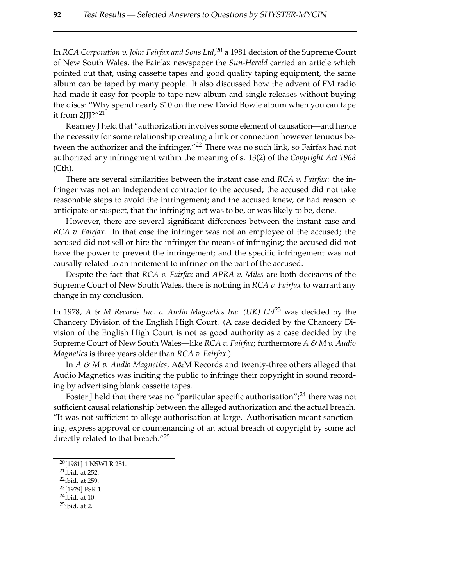In *RCA Corporation v. John Fairfax and Sons Ltd*, <sup>20</sup> a 1981 decision of the Supreme Court of New South Wales, the Fairfax newspaper the *Sun-Herald* carried an article which pointed out that, using cassette tapes and good quality taping equipment, the same album can be taped by many people. It also discussed how the advent of FM radio had made it easy for people to tape new album and single releases without buying the discs: "Why spend nearly \$10 on the new David Bowie album when you can tape it from 2JJJ?"<sup>21</sup>

Kearney J held that "authorization involves some element of causation—and hence the necessity for some relationship creating a link or connection however tenuous between the authorizer and the infringer."<sup>22</sup> There was no such link, so Fairfax had not authorized any infringement within the meaning of s. 13(2) of the *Copyright Act 1968* (Cth).

There are several similarities between the instant case and *RCA v. Fairfax*: the infringer was not an independent contractor to the accused; the accused did not take reasonable steps to avoid the infringement; and the accused knew, or had reason to anticipate or suspect, that the infringing act was to be, or was likely to be, done.

However, there are several significant differences between the instant case and *RCA v. Fairfax*. In that case the infringer was not an employee of the accused; the accused did not sell or hire the infringer the means of infringing; the accused did not have the power to prevent the infringement; and the specific infringement was not causally related to an incitement to infringe on the part of the accused.

Despite the fact that *RCA v. Fairfax* and *APRA v. Miles* are both decisions of the Supreme Court of New South Wales, there is nothing in *RCA v. Fairfax* to warrant any change in my conclusion.

In 1978, *A & M Records Inc. v. Audio Magnetics Inc. (UK) Ltd*<sup>23</sup> was decided by the Chancery Division of the English High Court. (A case decided by the Chancery Division of the English High Court is not as good authority as a case decided by the Supreme Court of New South Wales—like *RCA v. Fairfax*; furthermore *A & M v. Audio Magnetics* is three years older than *RCA v. Fairfax*.)

In *A & M v. Audio Magnetics*, A&M Records and twenty-three others alleged that Audio Magnetics was inciting the public to infringe their copyright in sound recording by advertising blank cassette tapes.

Foster J held that there was no "particular specific authorisation";  $^{24}$  there was not sufficient causal relationship between the alleged authorization and the actual breach. "It was not sufficient to allege authorisation at large. Authorisation meant sanctioning, express approval or countenancing of an actual breach of copyright by some act directly related to that breach."<sup>25</sup>

- $21$ ibid. at 252.
- $22$ ibid. at 259.
- <sup>23</sup>[1979] FSR 1. <sup>24</sup>ibid. at 10.
- 
- $25$ ibid. at 2.

<sup>20</sup>[1981] 1 NSWLR 251.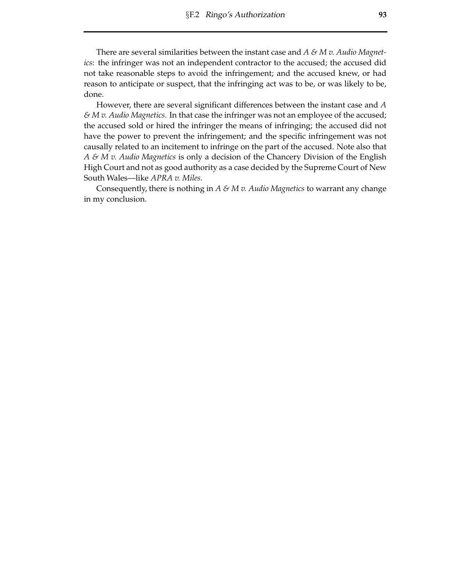There are several similarities between the instant case and *A & M v. Audio Magnetics*: the infringer was not an independent contractor to the accused; the accused did not take reasonable steps to avoid the infringement; and the accused knew, or had reason to anticipate or suspect, that the infringing act was to be, or was likely to be, done.

However, there are several significant differences between the instant case and *A & M v. Audio Magnetics*. In that case the infringer was not an employee of the accused; the accused sold or hired the infringer the means of infringing; the accused did not have the power to prevent the infringement; and the specific infringement was not causally related to an incitement to infringe on the part of the accused. Note also that *A & M v. Audio Magnetics* is only a decision of the Chancery Division of the English High Court and not as good authority as a case decided by the Supreme Court of New South Wales—like *APRA v. Miles*.

Consequently, there is nothing in *A & M v. Audio Magnetics* to warrant any change in my conclusion.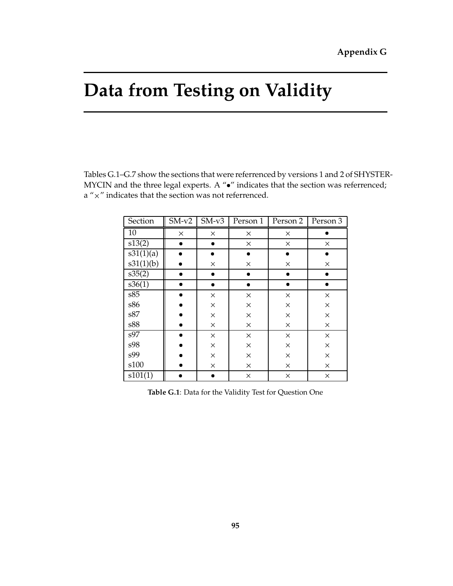## Data from Testing on Validity

Tables G.1-G.7 show the sections that were referrenced by versions 1 and 2 of SHYSTER-MYCIN and the three legal experts. A " $\bullet$ " indicates that the section was referrenced;  $a'' \times''$  indicates that the section was not referrenced.

| Section             | $SM-v2$   | $\overline{\text{SM-v3}}$ | Person 1  |           | Person 2   Person 3 |
|---------------------|-----------|---------------------------|-----------|-----------|---------------------|
| 10                  | $\times$  | $\times$                  | $\times$  | X         |                     |
| $\overline{s13(2)}$ | $\bullet$ | $\bullet$                 | X         | $\times$  | $\times$            |
| s31(1)(a)           |           | n                         |           |           |                     |
| s31(1)(b)           |           | $\times$                  | $\times$  | X         | $\times$            |
| s35(2)              |           | $\bullet$                 | $\bullet$ | $\bullet$ | ●                   |
| s36(1)              |           | ۰                         | $\bullet$ | ●         |                     |
| s85                 |           | $\times$                  | $\times$  | X         | $\times$            |
| s86                 |           | $\times$                  | $\times$  | $\times$  | ×                   |
| s87                 |           | $\times$                  | ×         | X         | $\times$            |
| s88                 |           | X                         | X         | X         | ×                   |
| s97                 |           | $\times$                  | $\times$  | $\times$  | $\times$            |
| s98                 |           | $\times$                  | $\times$  | $\times$  | $\times$            |
| s99                 |           | $\times$                  | $\times$  | $\times$  | $\times$            |
| s100                |           | $\times$                  | $\times$  | $\times$  | $\times$            |
| s101(1)             |           | D                         | $\times$  | X         | $\times$            |

Table G.1: Data for the Validity Test for Question One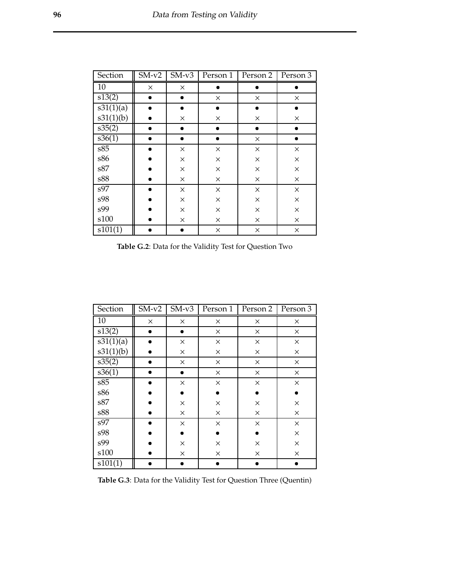| Section   | $\overline{\text{SM}}$ -v2 | $SM-v3$   | Person 1  | Person 2  | Person 3  |
|-----------|----------------------------|-----------|-----------|-----------|-----------|
| 10        | X                          | X         |           |           |           |
| s13(2)    |                            | ۰         | $\times$  | X         | $\times$  |
| s31(1)(a) |                            | ۰         | ۰         |           |           |
| s31(1)(b) |                            | $\times$  | $\times$  | $\times$  | $\times$  |
| s35(2)    |                            | $\bullet$ | $\bullet$ | $\bullet$ | $\bullet$ |
| s36(1)    |                            |           | ۰         | $\times$  | $\bullet$ |
| s85       |                            | $\times$  | $\times$  | $\times$  | $\times$  |
| s86       |                            | $\times$  | $\times$  | ×         | $\times$  |
| s87       |                            | $\times$  | $\times$  | $\times$  | $\times$  |
| s88       |                            | $\times$  | $\times$  | $\times$  | $\times$  |
| s97       |                            | $\times$  | $\times$  | $\times$  | $\times$  |
| s98       |                            | $\times$  | $\times$  | $\times$  | $\times$  |
| s99       |                            | $\times$  | $\times$  | $\times$  | $\times$  |
| s100      |                            | X         | X         | X         | $\times$  |
| s101(1)   |                            |           | $\times$  | $\times$  | $\times$  |

Table G.2: Data for the Validity Test for Question Two

| Section   | $\overline{\text{SM-v2}}$ | $\overline{\text{SM-v3}}$ | Person 1 | Person 2 | Person 3 |
|-----------|---------------------------|---------------------------|----------|----------|----------|
| 10        | X                         | $\times$                  | ×        | X        | X        |
| s13(2)    |                           | ۰                         | $\times$ | X        | $\times$ |
| s31(1)(a) |                           | $\times$                  | $\times$ | X        | $\times$ |
| s31(1)(b) |                           | $\times$                  | $\times$ | $\times$ | $\times$ |
| s35(2)    | $\bullet$                 | $\times$                  | X        | $\times$ | $\times$ |
| s36(1)    |                           | $\bullet$                 | $\times$ | X        | $\times$ |
| s85       |                           | $\times$                  | $\times$ | $\times$ | $\times$ |
| s86       |                           |                           |          |          |          |
| s87       |                           | $\times$                  | ×        | $\times$ | $\times$ |
| s88       |                           | $\times$                  | $\times$ | $\times$ | $\times$ |
| s97       |                           | $\times$                  | $\times$ | $\times$ | $\times$ |
| s98       |                           |                           |          |          | $\times$ |
| s99       |                           | $\times$                  | $\times$ | $\times$ | $\times$ |
| s100      |                           | X                         | ×        | X        | $\times$ |
| s101(1)   |                           |                           |          |          |          |

Table G.3: Data for the Validity Test for Question Three (Quentin)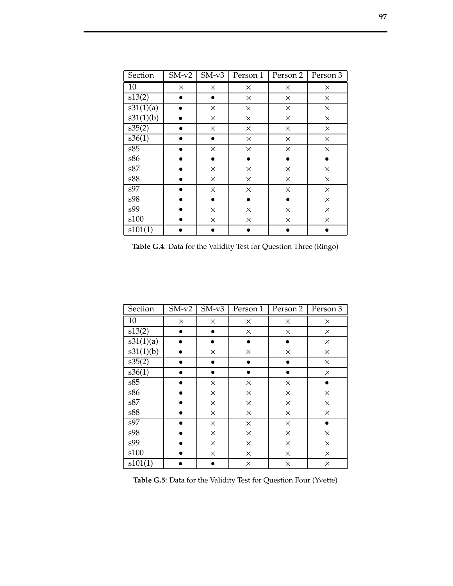| Section   | $SM-v2$  | $SM-v3$   | Person 1<br>Person 2 |          | Person 3 |
|-----------|----------|-----------|----------------------|----------|----------|
| 10        | $\times$ | X         | X                    | ×        | X        |
| s13(2)    |          | $\bullet$ | $\times$             | $\times$ | ×        |
| s31(1)(a) |          | $\times$  | ×                    | $\times$ | ×        |
| s31(1)(b) |          | $\times$  | $\times$             | $\times$ | ×        |
| s35(2)    |          | X         | X                    | X        | X        |
| s36(1)    |          | ۰         | ×                    | X        | ×        |
| s85       |          | ×         | $\times$             | $\times$ | ×        |
| s86       |          |           |                      |          |          |
| s87       |          | $\times$  | ×                    | $\times$ | $\times$ |
| s88       |          | $\times$  | ×                    | $\times$ | ×        |
| s97       |          | ×         | $\times$             | X        | ×        |
| s98       |          |           |                      |          | ×        |
| s99       |          | $\times$  | ×                    | X        | ×        |
| s100      |          | $\times$  | ×                    | $\times$ | $\times$ |
| s101(1)   |          |           |                      |          |          |

Table G.4: Data for the Validity Test for Question Three (Ringo)

| Section   | $SM-v2$  | $\overline{\text{SM}}$ -v3 | Person 1  | Person 2 | Person 3 |
|-----------|----------|----------------------------|-----------|----------|----------|
| 10        | $\times$ | X                          | $\times$  | X        | X        |
| s13(2)    |          |                            | $\times$  | $\times$ | $\times$ |
| s31(1)(a) |          |                            | $\bullet$ |          | $\times$ |
| s31(1)(b) |          | $\times$                   | $\times$  | X        | $\times$ |
| s35(2)    |          |                            | $\bullet$ |          | $\times$ |
| s36(1)    |          |                            | $\bullet$ |          | $\times$ |
| s85       |          | $\times$                   | $\times$  | $\times$ |          |
| s86       |          | $\times$                   | $\times$  | $\times$ | $\times$ |
| s87       |          | $\times$                   | $\times$  | $\times$ | $\times$ |
| s88       |          | $\times$                   | $\times$  | $\times$ | $\times$ |
| s97       |          | $\times$                   | $\times$  | $\times$ |          |
| s98       |          | $\times$                   | $\times$  | $\times$ | $\times$ |
| s99       |          | $\times$                   | $\times$  | $\times$ | $\times$ |
| s100      |          | $\times$                   | $\times$  | $\times$ | $\times$ |
| s101(1)   |          |                            | $\times$  | $\times$ | $\times$ |

Table G.5: Data for the Validity Test for Question Four (Yvette)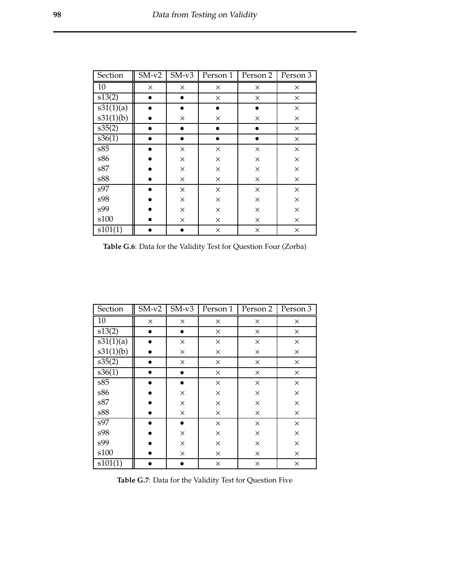| Section   | $\overline{\text{SM}}$ -v2 | $\overline{\text{SM}}$ -v3 | Person 1  | Person 2  | Person 3 |
|-----------|----------------------------|----------------------------|-----------|-----------|----------|
| 10        | $\times$                   | $\times$                   | $\times$  | X         | X        |
| s13(2)    |                            | $\bullet$                  | $\times$  | $\times$  | $\times$ |
| s31(1)(a) |                            | ۰                          | $\bullet$ |           | $\times$ |
| s31(1)(b) |                            | $\times$                   | $\times$  | X         | $\times$ |
| s35(2)    |                            | $\bullet$                  | $\bullet$ | $\bullet$ | $\times$ |
| s36(1)    |                            |                            | ٠         | $\bullet$ | $\times$ |
| s85       |                            | $\times$                   | $\times$  | $\times$  | $\times$ |
| s86       |                            | $\times$                   | $\times$  | ×         | $\times$ |
| s87       |                            | $\times$                   | $\times$  | $\times$  | $\times$ |
| s88       |                            | $\times$                   | X         | $\times$  | $\times$ |
| s97       |                            | $\times$                   | $\times$  | $\times$  | $\times$ |
| s98       |                            | $\times$                   | $\times$  | ×         | $\times$ |
| s99       |                            | $\times$                   | $\times$  | $\times$  | $\times$ |
| s100      |                            | X                          | X         | X         | $\times$ |
| s101(1)   |                            |                            | $\times$  | $\times$  | $\times$ |

Table G.6: Data for the Validity Test for Question Four (Zorba)

| Section   | $\overline{\text{SM-v2}}$ | $SM-v3$   | Person 1 | Person 2 | Person 3 |
|-----------|---------------------------|-----------|----------|----------|----------|
| 10        | X                         | $\times$  | $\times$ | X        | ×        |
| s13(2)    |                           | $\bullet$ | $\times$ | $\times$ | $\times$ |
| s31(1)(a) |                           | ×         | $\times$ | ×        | $\times$ |
| s31(1)(b) |                           | $\times$  | $\times$ | X        | $\times$ |
| s35(2)    | ●                         | $\times$  | $\times$ | $\times$ | $\times$ |
| s36(1)    |                           | ٠         | $\times$ | $\times$ | $\times$ |
| s85       |                           |           | $\times$ | $\times$ | $\times$ |
| s86       |                           | $\times$  | $\times$ | ×        | $\times$ |
| s87       |                           | $\times$  | $\times$ | $\times$ | $\times$ |
| s88       |                           | $\times$  | $\times$ | $\times$ | $\times$ |
| s97       |                           |           | $\times$ | $\times$ | $\times$ |
| s98       |                           | $\times$  | $\times$ | ×        | $\times$ |
| s99       |                           | $\times$  | $\times$ | $\times$ | $\times$ |
| s100      |                           | X         | X        | X        | $\times$ |
| s101(1)   |                           |           | $\times$ | $\times$ | $\times$ |

Table G.7: Data for the Validity Test for Question Five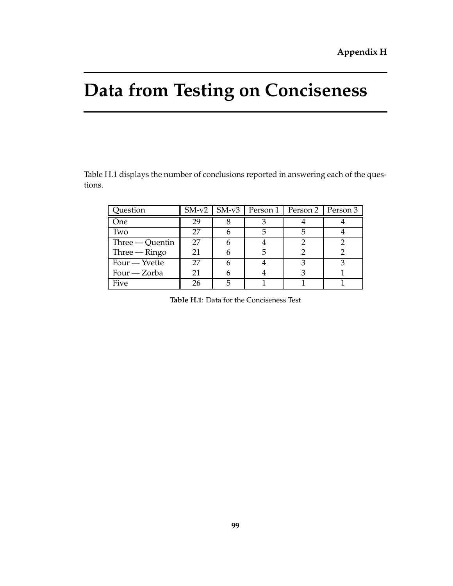## **Data from Testing on Conciseness**

Table H.1 displays the number of conclusions reported in answering each of the questions.

| Question          |    | $SM-v2$   $SM-v3$   Person 1   Person 2   Person 3 |  |
|-------------------|----|----------------------------------------------------|--|
| One               | 29 |                                                    |  |
| Two               | 27 |                                                    |  |
| $Three - Quentin$ | 27 |                                                    |  |
| $Three - Ringo$   | 21 |                                                    |  |
| $Four - Yvette$   | 27 |                                                    |  |
| Four — Zorba      | 21 |                                                    |  |
| Five              | 26 |                                                    |  |

**Table H.1**: Data for the Conciseness Test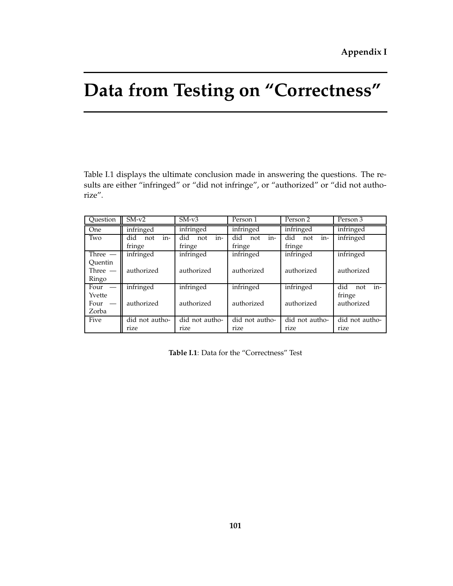## **Data from Testing on "Correctness"**

Table I.1 displays the ultimate conclusion made in answering the questions. The results are either "infringed" or "did not infringe", or "authorized" or "did not authorize".

| Question                                   | $SM-v2$                     | $SM-v3$<br>Person 1         |                             | Person 2                    | Person 3                                  |
|--------------------------------------------|-----------------------------|-----------------------------|-----------------------------|-----------------------------|-------------------------------------------|
| One                                        | infringed                   | infringed                   | infringed                   | infringed                   | infringed                                 |
| Two                                        | in-<br>did<br>not<br>fringe | in-<br>did<br>not<br>fringe | in-<br>did<br>not<br>fringe | in-<br>did<br>not<br>fringe | infringed                                 |
| Three $-$<br>Ouentin<br>Three $-$<br>Ringo | infringed<br>authorized     | infringed<br>authorized     | infringed<br>authorized     | infringed<br>authorized     | infringed<br>authorized                   |
| Four<br>Yvette<br>Four<br>Zorba            | infringed<br>authorized     | infringed<br>authorized     | infringed<br>authorized     | infringed<br>authorized     | in-<br>did<br>not<br>fringe<br>authorized |
| Five                                       | did not autho-<br>rize      | did not autho-<br>rize      | did not autho-<br>rize      | did not autho-<br>rize      | did not autho-<br>rize                    |

**Table I.1**: Data for the "Correctness" Test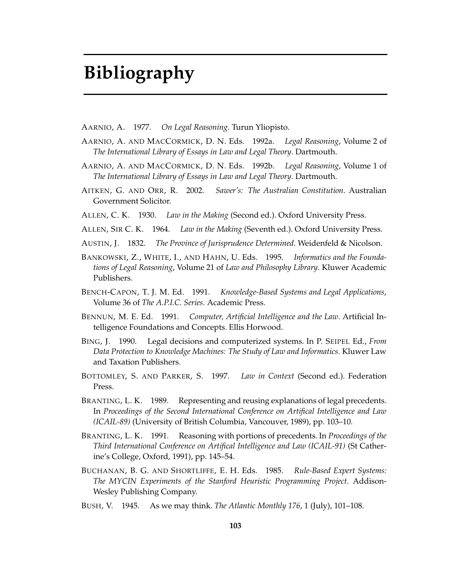## **Bibliography**

- AARNIO, A. 1977. *On Legal Reasoning*. Turun Yliopisto.
- AARNIO, A. AND MACCORMICK, D. N. Eds. 1992a. *Legal Reasoning*, Volume 2 of *The International Library of Essays in Law and Legal Theory*. Dartmouth.
- AARNIO, A. AND MACCORMICK, D. N. Eds. 1992b. *Legal Reasoning*, Volume 1 of *The International Library of Essays in Law and Legal Theory*. Dartmouth.
- AITKEN, G. AND ORR, R. 2002. *Sawer's: The Australian Constitution*. Australian Government Solicitor.
- ALLEN, C. K. 1930. *Law in the Making* (Second ed.). Oxford University Press.
- ALLEN, SIR C. K. 1964. *Law in the Making* (Seventh ed.). Oxford University Press.
- AUSTIN, J. 1832. *The Province of Jurisprudence Determined*. Weidenfeld & Nicolson.
- BANKOWSKI, Z., WHITE, I., AND HAHN, U. Eds. 1995. *Informatics and the Foundations of Legal Reasoning*, Volume 21 of *Law and Philosophy Library*. Kluwer Academic Publishers.
- BENCH-CAPON, T. J. M. Ed. 1991. *Knowledge-Based Systems and Legal Applications*, Volume 36 of *The A.P.I.C. Series*. Academic Press.
- BENNUN, M. E. Ed. 1991. *Computer, Artificial Intelligence and the Law*. Artificial Intelligence Foundations and Concepts. Ellis Horwood.
- BING, J. 1990. Legal decisions and computerized systems. In P. SEIPEL Ed., *From Data Protection to Knowledge Machines: The Study of Law and Informatics*. Kluwer Law and Taxation Publishers.
- BOTTOMLEY, S. AND PARKER, S. 1997. *Law in Context* (Second ed.). Federation Press.
- BRANTING, L. K. 1989. Representing and reusing explanations of legal precedents. In *Proceedings of the Second International Conference on Artifical Intelligence and Law (ICAIL-89)* (University of British Columbia, Vancouver, 1989), pp. 103–10.
- BRANTING, L. K. 1991. Reasoning with portions of precedents. In *Proceedings of the Third International Conference on Artifical Intelligence and Law (ICAIL-91)* (St Catherine's College, Oxford, 1991), pp. 145–54.
- BUCHANAN, B. G. AND SHORTLIFFE, E. H. Eds. 1985. *Rule-Based Expert Systems: The MYCIN Experiments of the Stanford Heuristic Programming Project*. Addison-Wesley Publishing Company.
- BUSH, V. 1945. As we may think. *The Atlantic Monthly 176*, 1 (July), 101–108.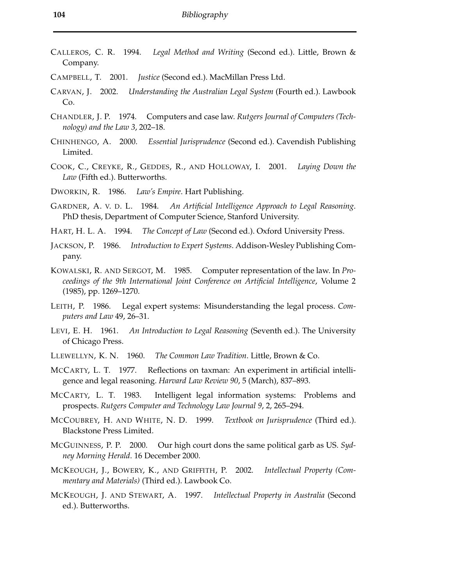- CALLEROS, C. R. 1994. *Legal Method and Writing* (Second ed.). Little, Brown & Company.
- CAMPBELL, T. 2001. *Justice* (Second ed.). MacMillan Press Ltd.
- CARVAN, J. 2002. *Understanding the Australian Legal System* (Fourth ed.). Lawbook Co.
- CHANDLER, J. P. 1974. Computers and case law. *Rutgers Journal of Computers (Technology) and the Law 3*, 202–18.
- CHINHENGO, A. 2000. *Essential Jurisprudence* (Second ed.). Cavendish Publishing Limited.
- COOK, C., CREYKE, R., GEDDES, R., AND HOLLOWAY, I. 2001. *Laying Down the Law* (Fifth ed.). Butterworths.
- DWORKIN, R. 1986. *Law's Empire*. Hart Publishing.
- GARDNER, A. V. D. L. 1984. *An Artificial Intelligence Approach to Legal Reasoning*. PhD thesis, Department of Computer Science, Stanford University.
- HART, H. L. A. 1994. *The Concept of Law* (Second ed.). Oxford University Press.
- JACKSON, P. 1986. *Introduction to Expert Systems*. Addison-Wesley Publishing Company.
- KOWALSKI, R. AND SERGOT, M. 1985. Computer representation of the law. In *Proceedings of the 9th International Joint Conference on Artificial Intelligence*, Volume 2 (1985), pp. 1269–1270.
- LEITH, P. 1986. Legal expert systems: Misunderstanding the legal process. *Computers and Law* 49, 26–31.
- LEVI, E. H. 1961. *An Introduction to Legal Reasoning* (Seventh ed.). The University of Chicago Press.
- LLEWELLYN, K. N. 1960. *The Common Law Tradition*. Little, Brown & Co.
- MCCARTY, L. T. 1977. Reflections on taxman: An experiment in artificial intelligence and legal reasoning. *Harvard Law Review 90*, 5 (March), 837–893.
- MCCARTY, L. T. 1983. Intelligent legal information systems: Problems and prospects. *Rutgers Computer and Technology Law Journal 9*, 2, 265–294.
- MCCOUBREY, H. AND WHITE, N. D. 1999. *Textbook on Jurisprudence* (Third ed.). Blackstone Press Limited.
- MCGUINNESS, P. P. 2000. Our high court dons the same political garb as US. *Sydney Morning Herald*. 16 December 2000.
- MCKEOUGH, J., BOWERY, K., AND GRIFFITH, P. 2002. *Intellectual Property (Commentary and Materials)* (Third ed.). Lawbook Co.
- MCKEOUGH, J. AND STEWART, A. 1997. *Intellectual Property in Australia* (Second ed.). Butterworths.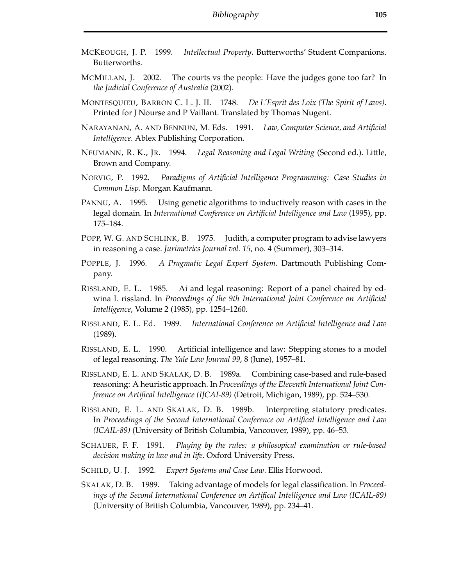- MCKEOUGH, J. P. 1999. *Intellectual Property*. Butterworths' Student Companions. Butterworths.
- MCMILLAN, J. 2002. The courts vs the people: Have the judges gone too far? In *the Judicial Conference of Australia* (2002).
- MONTESQUIEU, BARRON C. L. J. II. 1748. *De L'Esprit des Loix (The Spirit of Laws)*. Printed for J Nourse and P Vaillant. Translated by Thomas Nugent.
- NARAYANAN, A. AND BENNUN, M. Eds. 1991. *Law, Computer Science, and Artificial Intelligence*. Ablex Publishing Corporation.
- NEUMANN, R. K., JR. 1994. *Legal Reasoning and Legal Writing* (Second ed.). Little, Brown and Company.
- NORVIG, P. 1992. *Paradigms of Artificial Intelligence Programming: Case Studies in Common Lisp*. Morgan Kaufmann.
- PANNU, A. 1995. Using genetic algorithms to inductively reason with cases in the legal domain. In *International Conference on Artificial Intelligence and Law* (1995), pp. 175–184.
- POPP, W. G. AND SCHLINK, B. 1975. Judith, a computer program to advise lawyers in reasoning a case. *Jurimetrics Journal vol. 15*, no. 4 (Summer), 303–314.
- POPPLE, J. 1996. *A Pragmatic Legal Expert System*. Dartmouth Publishing Company.
- RISSLAND, E. L. 1985. Ai and legal reasoning: Report of a panel chaired by edwina l. rissland. In *Proceedings of the 9th International Joint Conference on Artificial Intelligence*, Volume 2 (1985), pp. 1254–1260.
- RISSLAND, E. L. Ed. 1989. *International Conference on Artificial Intelligence and Law* (1989).
- RISSLAND, E. L. 1990. Artificial intelligence and law: Stepping stones to a model of legal reasoning. *The Yale Law Journal 99*, 8 (June), 1957–81.
- RISSLAND, E. L. AND SKALAK, D. B. 1989a. Combining case-based and rule-based reasoning: A heuristic approach. In *Proceedings of the Eleventh International Joint Conference on Artifical Intelligence (IJCAI-89)* (Detroit, Michigan, 1989), pp. 524–530.
- RISSLAND, E. L. AND SKALAK, D. B. 1989b. Interpreting statutory predicates. In *Proceedings of the Second International Conference on Artifical Intelligence and Law (ICAIL-89)* (University of British Columbia, Vancouver, 1989), pp. 46–53.
- SCHAUER, F. F. 1991. *Playing by the rules: a philosopical examination or rule-based decision making in law and in life*. Oxford University Press.
- SCHILD, U. J. 1992. *Expert Systems and Case Law*. Ellis Horwood.
- SKALAK, D. B. 1989. Taking advantage of models for legal classification. In *Proceedings of the Second International Conference on Artifical Intelligence and Law (ICAIL-89)* (University of British Columbia, Vancouver, 1989), pp. 234–41.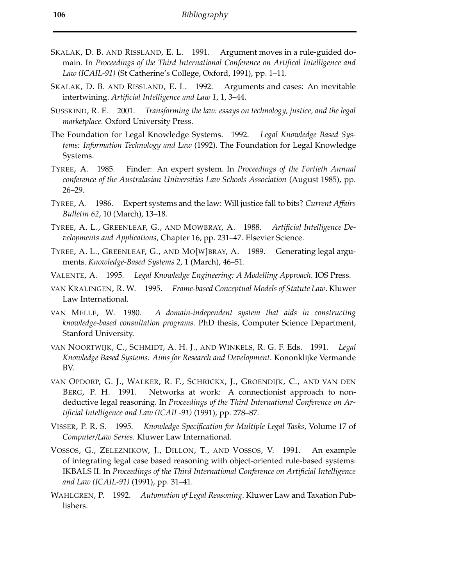- SKALAK, D. B. AND RISSLAND, E. L. 1991. Argument moves in a rule-guided domain. In *Proceedings of the Third International Conference on Artifical Intelligence and Law (ICAIL-91)* (St Catherine's College, Oxford, 1991), pp. 1–11.
- SKALAK, D. B. AND RISSLAND, E. L. 1992. Arguments and cases: An inevitable intertwining. *Artificial Intelligence and Law 1*, 1, 3–44.
- SUSSKIND, R. E. 2001. *Transforming the law: essays on technology, justice, and the legal marketplace*. Oxford University Press.
- The Foundation for Legal Knowledge Systems. 1992. *Legal Knowledge Based Systems: Information Technology and Law* (1992). The Foundation for Legal Knowledge Systems.
- TYREE, A. 1985. Finder: An expert system. In *Proceedings of the Fortieth Annual conference of the Australasian Universities Law Schools Association* (August 1985), pp. 26–29.
- TYREE, A. 1986. Expert systems and the law: Will justice fall to bits? *Current Affairs Bulletin 62*, 10 (March), 13–18.
- TYREE, A. L., GREENLEAF, G., AND MOWBRAY, A. 1988. *Artificial Intelligence Developments and Applications*, Chapter 16, pp. 231–47. Elsevier Science.
- TYREE, A. L., GREENLEAF, G., AND MO[W]BRAY, A. 1989. Generating legal arguments. *Knowledge-Based Systems 2*, 1 (March), 46–51.
- VALENTE, A. 1995. *Legal Knowledge Engineering: A Modelling Approach*. IOS Press.
- VAN KRALINGEN, R. W. 1995. *Frame-based Conceptual Models of Statute Law*. Kluwer Law International.
- VAN MELLE, W. 1980. *A domain-independent system that aids in constructing knowledge-based consultation programs*. PhD thesis, Computer Science Department, Stanford University.
- VAN NOORTWIJK, C., SCHMIDT, A. H. J., AND WINKELS, R. G. F. Eds. 1991. *Legal Knowledge Based Systems: Aims for Research and Development*. Kononklijke Vermande BV.
- VAN OPDORP, G. J., WALKER, R. F., SCHRICKX, J., GROENDIJK, C., AND VAN DEN BERG, P. H. 1991. Networks at work: A connectionist approach to nondeductive legal reasoning. In *Proceedings of the Third International Conference on Artificial Intelligence and Law (ICAIL-91)* (1991), pp. 278–87.
- VISSER, P. R. S. 1995. *Knowledge Specification for Multiple Legal Tasks*, Volume 17 of *Computer/Law Series*. Kluwer Law International.
- VOSSOS, G., ZELEZNIKOW, J., DILLON, T., AND VOSSOS, V. 1991. An example of integrating legal case based reasoning with object-oriented rule-based systems: IKBALS II. In *Proceedings of the Third International Conference on Artificial Intelligence and Law (ICAIL-91)* (1991), pp. 31–41.
- WAHLGREN, P. 1992. *Automation of Legal Reasoning*. Kluwer Law and Taxation Publishers.